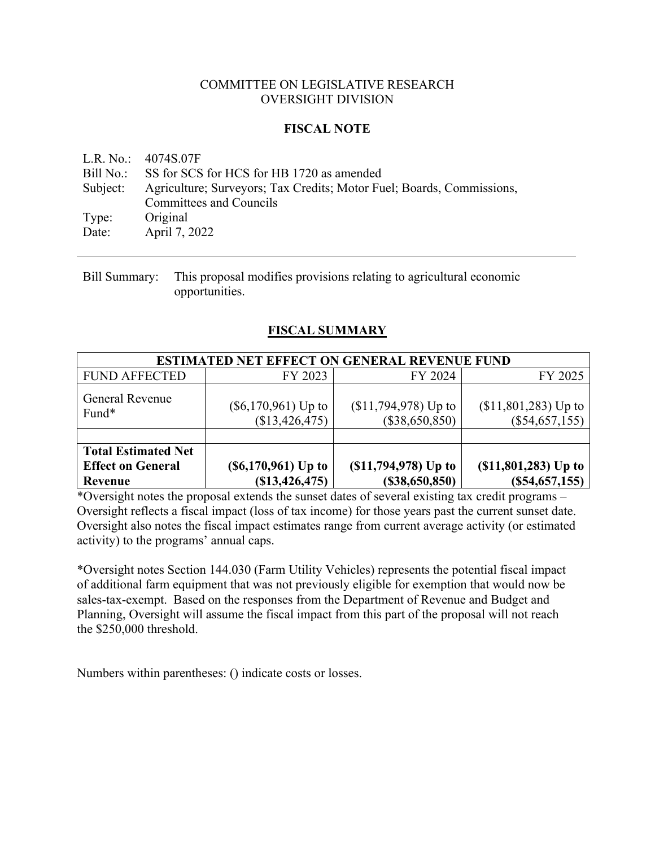#### COMMITTEE ON LEGISLATIVE RESEARCH OVERSIGHT DIVISION

## **FISCAL NOTE**

L.R. No.: 4074S.07F Bill No.: SS for SCS for HCS for HB 1720 as amended Subject: Agriculture; Surveyors; Tax Credits; Motor Fuel; Boards, Commissions, Committees and Councils Type: Original Date: April 7, 2022

Bill Summary: This proposal modifies provisions relating to agricultural economic opportunities.

## **FISCAL SUMMARY**

| <b>ESTIMATED NET EFFECT ON GENERAL REVENUE FUND</b>               |                                           |                                           |                                              |  |  |  |
|-------------------------------------------------------------------|-------------------------------------------|-------------------------------------------|----------------------------------------------|--|--|--|
| <b>FUND AFFECTED</b>                                              | FY 2023                                   | FY 2024                                   | FY 2025                                      |  |  |  |
| General Revenue<br>Fund*                                          | $(\$6,170,961)$ Up to<br>(\$13,426,475)   | $($11,794,978)$ Up to<br>$(\$38,650,850)$ | $($11,801,283)$ Up to<br>(S54, 657, 155)     |  |  |  |
| <b>Total Estimated Net</b><br><b>Effect on General</b><br>Revenue | $(S6, 170, 961)$ Up to<br>(S13, 426, 475) | $(1,794,978)$ Up to<br>(\$38,650,850)     | $(\$11, \$01, 283)$ Up to<br>(S54, 657, 155) |  |  |  |

\*Oversight notes the proposal extends the sunset dates of several existing tax credit programs – Oversight reflects a fiscal impact (loss of tax income) for those years past the current sunset date. Oversight also notes the fiscal impact estimates range from current average activity (or estimated activity) to the programs' annual caps.

\*Oversight notes Section 144.030 (Farm Utility Vehicles) represents the potential fiscal impact of additional farm equipment that was not previously eligible for exemption that would now be sales-tax-exempt. Based on the responses from the Department of Revenue and Budget and Planning, Oversight will assume the fiscal impact from this part of the proposal will not reach the \$250,000 threshold.

Numbers within parentheses: () indicate costs or losses.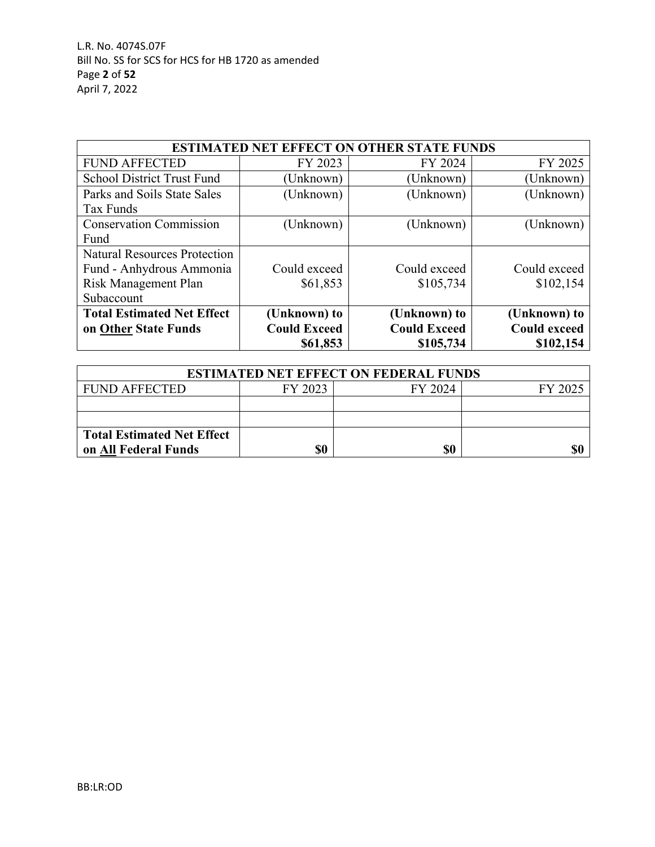| <b>ESTIMATED NET EFFECT ON OTHER STATE FUNDS</b> |                     |                     |                     |  |  |  |
|--------------------------------------------------|---------------------|---------------------|---------------------|--|--|--|
| <b>FUND AFFECTED</b>                             | FY 2023             | FY 2024             | FY 2025             |  |  |  |
| <b>School District Trust Fund</b>                | (Unknown)           | (Unknown)           | (Unknown)           |  |  |  |
| Parks and Soils State Sales                      | (Unknown)           | (Unknown)           | (Unknown)           |  |  |  |
| Tax Funds                                        |                     |                     |                     |  |  |  |
| <b>Conservation Commission</b>                   | (Unknown)           | (Unknown)           | (Unknown)           |  |  |  |
| Fund                                             |                     |                     |                     |  |  |  |
| <b>Natural Resources Protection</b>              |                     |                     |                     |  |  |  |
| Fund - Anhydrous Ammonia                         | Could exceed        | Could exceed        | Could exceed        |  |  |  |
| Risk Management Plan                             | \$61,853            | \$105,734           | \$102,154           |  |  |  |
| Subaccount                                       |                     |                     |                     |  |  |  |
| <b>Total Estimated Net Effect</b>                | (Unknown) to        | (Unknown) to        | (Unknown) to        |  |  |  |
| on Other State Funds                             | <b>Could Exceed</b> | <b>Could Exceed</b> | <b>Could exceed</b> |  |  |  |
|                                                  | \$61,853            | \$105,734           | \$102,154           |  |  |  |

| <b>ESTIMATED NET EFFECT ON FEDERAL FUNDS</b> |         |         |         |  |  |
|----------------------------------------------|---------|---------|---------|--|--|
| <b>FUND AFFECTED</b>                         | FY 2023 | FY 2024 | FY 2025 |  |  |
|                                              |         |         |         |  |  |
|                                              |         |         |         |  |  |
| <b>Total Estimated Net Effect</b>            |         |         |         |  |  |
| on All Federal Funds                         |         | \$0     | \$(     |  |  |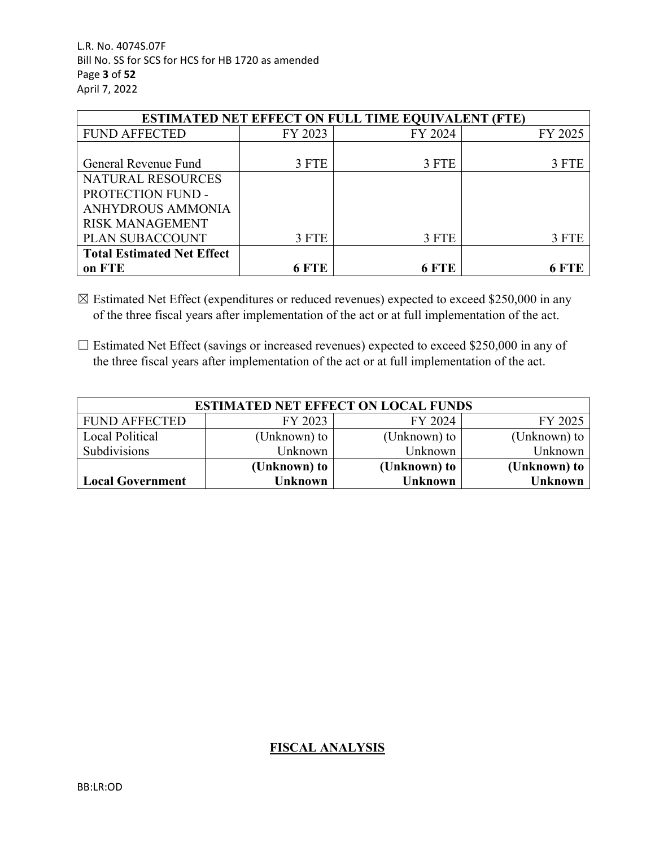L.R. No. 4074S.07F Bill No. SS for SCS for HCS for HB 1720 as amended Page **3** of **52** April 7, 2022

| <b>ESTIMATED NET EFFECT ON FULL TIME EQUIVALENT (FTE)</b> |         |         |         |  |  |  |
|-----------------------------------------------------------|---------|---------|---------|--|--|--|
| <b>FUND AFFECTED</b>                                      | FY 2023 | FY 2024 | FY 2025 |  |  |  |
|                                                           |         |         |         |  |  |  |
| General Revenue Fund                                      | 3 FTE   | 3 FTE   | 3 FTE   |  |  |  |
| NATURAL RESOURCES                                         |         |         |         |  |  |  |
| PROTECTION FUND -                                         |         |         |         |  |  |  |
| ANHYDROUS AMMONIA                                         |         |         |         |  |  |  |
| <b>RISK MANAGEMENT</b>                                    |         |         |         |  |  |  |
| PLAN SUBACCOUNT                                           | 3 FTE   | 3 FTE   | 3 FTE   |  |  |  |
| <b>Total Estimated Net Effect</b>                         |         |         |         |  |  |  |
| on FTE                                                    | 6 FTE   | 6 FTE   |         |  |  |  |

 $\boxtimes$  Estimated Net Effect (expenditures or reduced revenues) expected to exceed \$250,000 in any of the three fiscal years after implementation of the act or at full implementation of the act.

□ Estimated Net Effect (savings or increased revenues) expected to exceed \$250,000 in any of the three fiscal years after implementation of the act or at full implementation of the act.

| <b>ESTIMATED NET EFFECT ON LOCAL FUNDS</b> |              |                |                  |  |  |  |
|--------------------------------------------|--------------|----------------|------------------|--|--|--|
| <b>FUND AFFECTED</b>                       | FY 2023      | FY 2024        | FY 2025          |  |  |  |
| Local Political                            | (Unknown) to | (Unknown) to   | (Unknown) to $ $ |  |  |  |
| Subdivisions                               | Unknown      | Unknown        | Unknown          |  |  |  |
|                                            | (Unknown) to | (Unknown) to   | (Unknown) to     |  |  |  |
| <b>Local Government</b>                    | Unknown      | <b>Unknown</b> | Unknown          |  |  |  |

# **FISCAL ANALYSIS**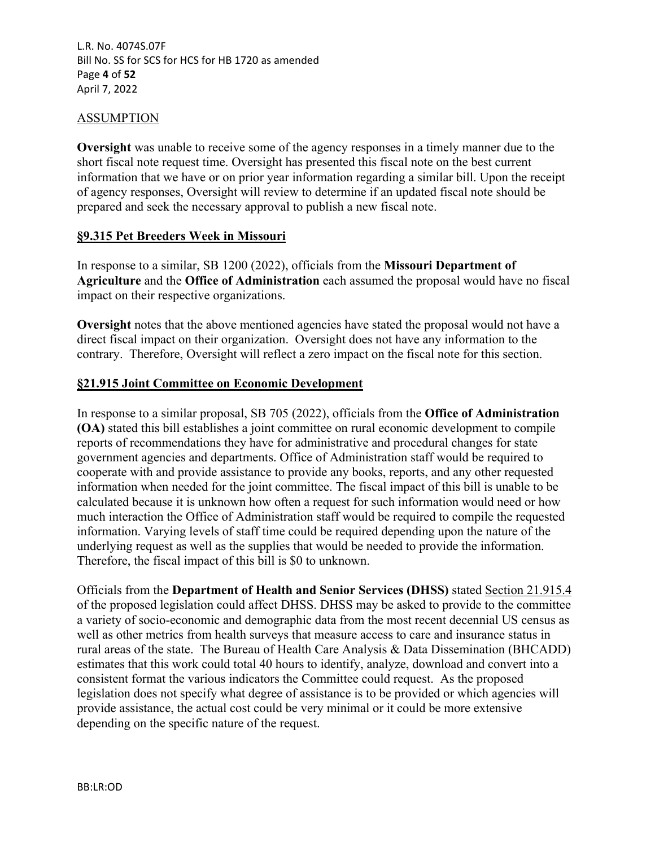### ASSUMPTION

**Oversight** was unable to receive some of the agency responses in a timely manner due to the short fiscal note request time. Oversight has presented this fiscal note on the best current information that we have or on prior year information regarding a similar bill. Upon the receipt of agency responses, Oversight will review to determine if an updated fiscal note should be prepared and seek the necessary approval to publish a new fiscal note.

#### **§9.315 Pet Breeders Week in Missouri**

In response to a similar, SB 1200 (2022), officials from the **Missouri Department of Agriculture** and the **Office of Administration** each assumed the proposal would have no fiscal impact on their respective organizations.

**Oversight** notes that the above mentioned agencies have stated the proposal would not have a direct fiscal impact on their organization. Oversight does not have any information to the contrary. Therefore, Oversight will reflect a zero impact on the fiscal note for this section.

#### **§21.915 Joint Committee on Economic Development**

In response to a similar proposal, SB 705 (2022), officials from the **Office of Administration (OA)** stated this bill establishes a joint committee on rural economic development to compile reports of recommendations they have for administrative and procedural changes for state government agencies and departments. Office of Administration staff would be required to cooperate with and provide assistance to provide any books, reports, and any other requested information when needed for the joint committee. The fiscal impact of this bill is unable to be calculated because it is unknown how often a request for such information would need or how much interaction the Office of Administration staff would be required to compile the requested information. Varying levels of staff time could be required depending upon the nature of the underlying request as well as the supplies that would be needed to provide the information. Therefore, the fiscal impact of this bill is \$0 to unknown.

Officials from the **Department of Health and Senior Services (DHSS)** stated Section 21.915.4 of the proposed legislation could affect DHSS. DHSS may be asked to provide to the committee a variety of socio-economic and demographic data from the most recent decennial US census as well as other metrics from health surveys that measure access to care and insurance status in rural areas of the state. The Bureau of Health Care Analysis & Data Dissemination (BHCADD) estimates that this work could total 40 hours to identify, analyze, download and convert into a consistent format the various indicators the Committee could request. As the proposed legislation does not specify what degree of assistance is to be provided or which agencies will provide assistance, the actual cost could be very minimal or it could be more extensive depending on the specific nature of the request.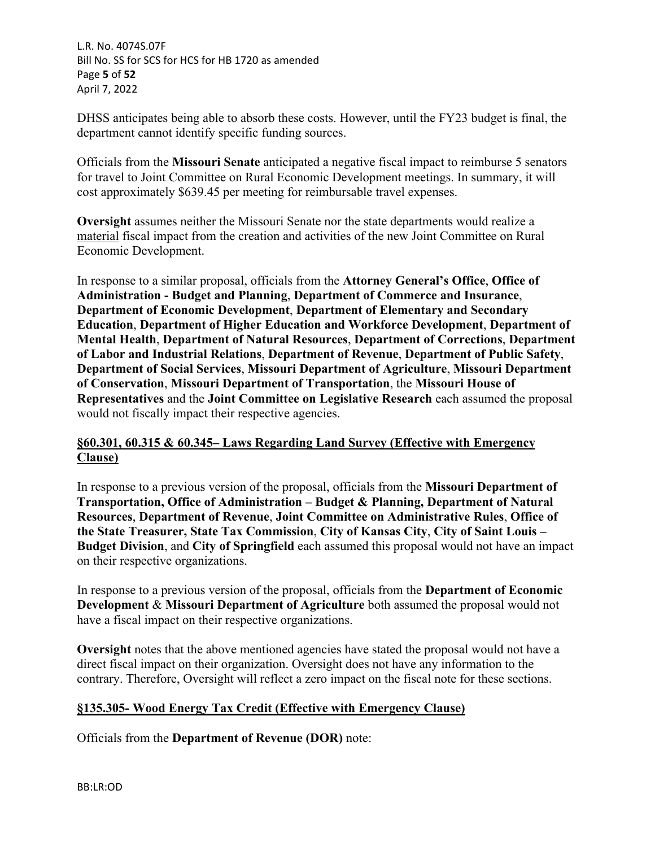L.R. No. 4074S.07F Bill No. SS for SCS for HCS for HB 1720 as amended Page **5** of **52** April 7, 2022

DHSS anticipates being able to absorb these costs. However, until the FY23 budget is final, the department cannot identify specific funding sources.

Officials from the **Missouri Senate** anticipated a negative fiscal impact to reimburse 5 senators for travel to Joint Committee on Rural Economic Development meetings. In summary, it will cost approximately \$639.45 per meeting for reimbursable travel expenses.

**Oversight** assumes neither the Missouri Senate nor the state departments would realize a material fiscal impact from the creation and activities of the new Joint Committee on Rural Economic Development.

In response to a similar proposal, officials from the **Attorney General's Office**, **Office of Administration - Budget and Planning**, **Department of Commerce and Insurance**, **Department of Economic Development**, **Department of Elementary and Secondary Education**, **Department of Higher Education and Workforce Development**, **Department of Mental Health**, **Department of Natural Resources**, **Department of Corrections**, **Department of Labor and Industrial Relations**, **Department of Revenue**, **Department of Public Safety**, **Department of Social Services**, **Missouri Department of Agriculture**, **Missouri Department of Conservation**, **Missouri Department of Transportation**, the **Missouri House of Representatives** and the **Joint Committee on Legislative Research** each assumed the proposal would not fiscally impact their respective agencies.

# **§60.301, 60.315 & 60.345– Laws Regarding Land Survey (Effective with Emergency Clause)**

In response to a previous version of the proposal, officials from the **Missouri Department of Transportation, Office of Administration – Budget & Planning, Department of Natural Resources**, **Department of Revenue**, **Joint Committee on Administrative Rules**, **Office of the State Treasurer, State Tax Commission**, **City of Kansas City**, **City of Saint Louis – Budget Division**, and **City of Springfield** each assumed this proposal would not have an impact on their respective organizations.

In response to a previous version of the proposal, officials from the **Department of Economic Development** & **Missouri Department of Agriculture** both assumed the proposal would not have a fiscal impact on their respective organizations.

**Oversight** notes that the above mentioned agencies have stated the proposal would not have a direct fiscal impact on their organization. Oversight does not have any information to the contrary. Therefore, Oversight will reflect a zero impact on the fiscal note for these sections.

# **§135.305- Wood Energy Tax Credit (Effective with Emergency Clause)**

Officials from the **Department of Revenue (DOR)** note: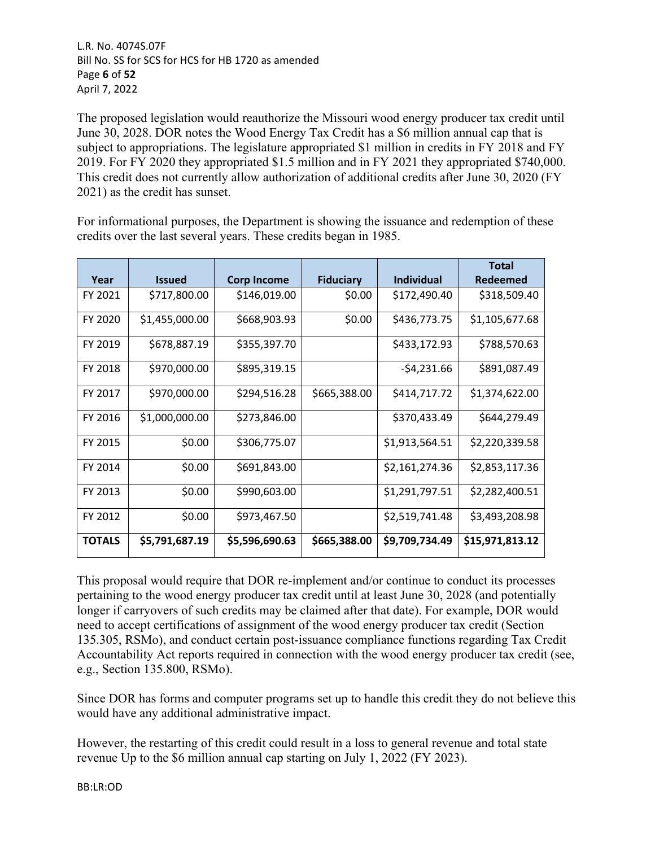L.R. No. 4074S.07F Bill No. SS for SCS for HCS for HB 1720 as amended Page **6** of **52** April 7, 2022

The proposed legislation would reauthorize the Missouri wood energy producer tax credit until June 30, 2028. DOR notes the Wood Energy Tax Credit has a \$6 million annual cap that is subject to appropriations. The legislature appropriated \$1 million in credits in FY 2018 and FY 2019. For FY 2020 they appropriated \$1.5 million and in FY 2021 they appropriated \$740,000. This credit does not currently allow authorization of additional credits after June 30, 2020 (FY 2021) as the credit has sunset.

For informational purposes, the Department is showing the issuance and redemption of these credits over the last several years. These credits began in 1985.

|               |                |                    |                  |                   | <b>Total</b>    |
|---------------|----------------|--------------------|------------------|-------------------|-----------------|
| Year          | <b>Issued</b>  | <b>Corp Income</b> | <b>Fiduciary</b> | <b>Individual</b> | Redeemed        |
| FY 2021       | \$717,800.00   | \$146,019.00       | \$0.00           | \$172,490.40      | \$318,509.40    |
| FY 2020       | \$1,455,000.00 | \$668,903.93       | \$0.00           | \$436,773.75      | \$1,105,677.68  |
| FY 2019       | \$678,887.19   | \$355,397.70       |                  | \$433,172.93      | \$788,570.63    |
| FY 2018       | \$970,000.00   | \$895,319.15       |                  | $-54,231.66$      | \$891,087.49    |
| FY 2017       | \$970,000.00   | \$294,516.28       | \$665,388.00     | \$414,717.72      | \$1,374,622.00  |
| FY 2016       | \$1,000,000.00 | \$273,846.00       |                  | \$370,433.49      | \$644,279.49    |
| FY 2015       | \$0.00         | \$306,775.07       |                  | \$1,913,564.51    | \$2,220,339.58  |
| FY 2014       | \$0.00         | \$691,843.00       |                  | \$2,161,274.36    | \$2,853,117.36  |
| FY 2013       | \$0.00         | \$990,603.00       |                  | \$1,291,797.51    | \$2,282,400.51  |
| FY 2012       | \$0.00         | \$973,467.50       |                  | \$2,519,741.48    | \$3,493,208.98  |
| <b>TOTALS</b> | \$5,791,687.19 | \$5,596,690.63     | \$665,388.00     | \$9,709,734.49    | \$15,971,813.12 |

This proposal would require that DOR re-implement and/or continue to conduct its processes pertaining to the wood energy producer tax credit until at least June 30, 2028 (and potentially longer if carryovers of such credits may be claimed after that date). For example, DOR would need to accept certifications of assignment of the wood energy producer tax credit (Section 135.305, RSMo), and conduct certain post-issuance compliance functions regarding Tax Credit Accountability Act reports required in connection with the wood energy producer tax credit (see, e.g., Section 135.800, RSMo).

Since DOR has forms and computer programs set up to handle this credit they do not believe this would have any additional administrative impact.

However, the restarting of this credit could result in a loss to general revenue and total state revenue Up to the \$6 million annual cap starting on July 1, 2022 (FY 2023).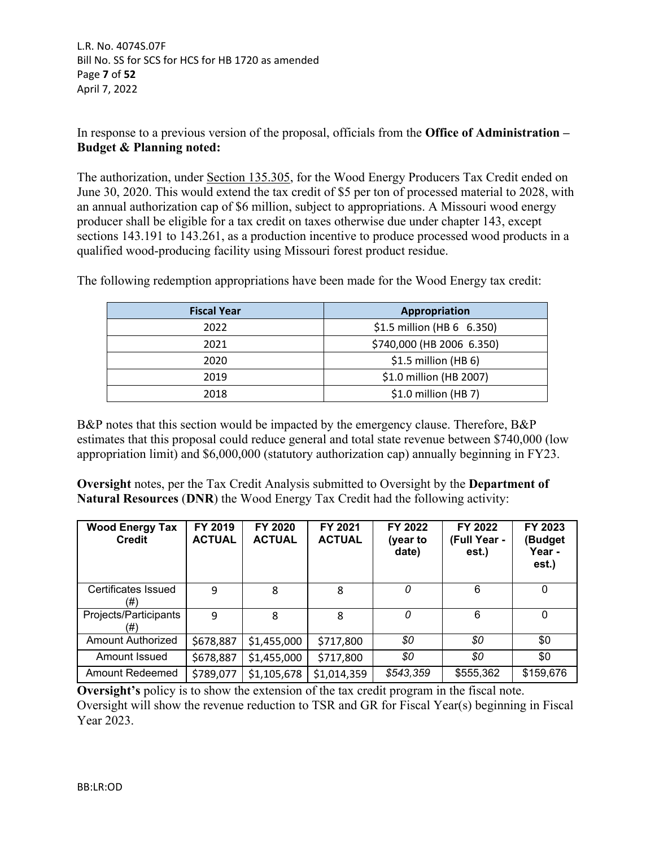In response to a previous version of the proposal, officials from the **Office of Administration – Budget & Planning noted:** 

The authorization, under Section 135.305, for the Wood Energy Producers Tax Credit ended on June 30, 2020. This would extend the tax credit of \$5 per ton of processed material to 2028, with an annual authorization cap of \$6 million, subject to appropriations. A Missouri wood energy producer shall be eligible for a tax credit on taxes otherwise due under chapter 143, except sections 143.191 to 143.261, as a production incentive to produce processed wood products in a qualified wood-producing facility using Missouri forest product residue.

| <b>Fiscal Year</b> | Appropriation              |
|--------------------|----------------------------|
| 2022               | \$1.5 million (HB 6 6.350) |
| 2021               | \$740,000 (HB 2006 6.350)  |
| 2020               | $$1.5$ million (HB 6)      |
| 2019               | \$1.0 million (HB 2007)    |
| 2018               | $$1.0$ million (HB 7)      |

The following redemption appropriations have been made for the Wood Energy tax credit:

B&P notes that this section would be impacted by the emergency clause. Therefore, B&P estimates that this proposal could reduce general and total state revenue between \$740,000 (low appropriation limit) and \$6,000,000 (statutory authorization cap) annually beginning in FY23.

**Oversight** notes, per the Tax Credit Analysis submitted to Oversight by the **Department of Natural Resources** (**DNR**) the Wood Energy Tax Credit had the following activity:

| <b>Wood Energy Tax</b><br><b>Credit</b> | FY 2019<br><b>ACTUAL</b> | FY 2020<br><b>ACTUAL</b> | FY 2021<br><b>ACTUAL</b> | FY 2022<br>(year to<br>date) | FY 2022<br>(Full Year -<br>est.) | FY 2023<br>(Budget<br>Year -<br>est.) |
|-----------------------------------------|--------------------------|--------------------------|--------------------------|------------------------------|----------------------------------|---------------------------------------|
| Certificates Issued<br>(#)              | 9                        | 8                        | 8                        | 0                            | 6                                | $\Omega$                              |
| Projects/Participants<br>(#)            | 9                        | 8                        | 8                        | 0                            | 6                                | $\Omega$                              |
| <b>Amount Authorized</b>                | \$678,887                | \$1,455,000              | \$717,800                | \$0                          | \$0                              | \$0                                   |
| Amount Issued                           | \$678,887                | \$1,455,000              | \$717,800                | \$0                          | \$0                              | \$0                                   |
| Amount Redeemed                         | \$789,077                | \$1,105,678              | \$1,014,359              | \$543,359                    | \$555,362                        | \$159,676                             |

**Oversight's** policy is to show the extension of the tax credit program in the fiscal note. Oversight will show the revenue reduction to TSR and GR for Fiscal Year(s) beginning in Fiscal Year 2023.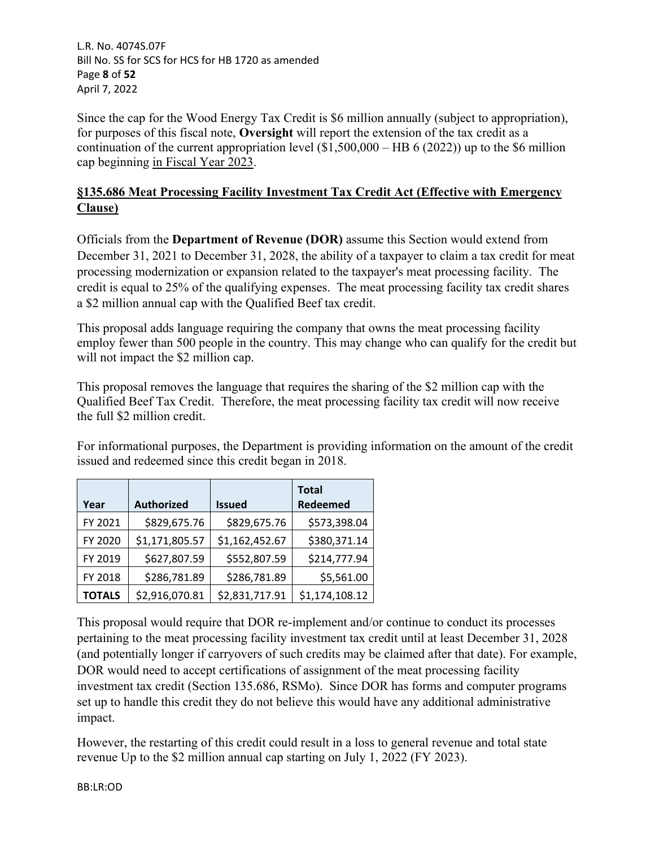L.R. No. 4074S.07F Bill No. SS for SCS for HCS for HB 1720 as amended Page **8** of **52** April 7, 2022

Since the cap for the Wood Energy Tax Credit is \$6 million annually (subject to appropriation), for purposes of this fiscal note, **Oversight** will report the extension of the tax credit as a continuation of the current appropriation level  $(\$1,500,000 - HB 6 (2022))$  up to the \$6 million cap beginning in Fiscal Year 2023.

# **§135.686 Meat Processing Facility Investment Tax Credit Act (Effective with Emergency Clause)**

Officials from the **Department of Revenue (DOR)** assume this Section would extend from December 31, 2021 to December 31, 2028, the ability of a taxpayer to claim a tax credit for meat processing modernization or expansion related to the taxpayer's meat processing facility. The credit is equal to 25% of the qualifying expenses. The meat processing facility tax credit shares a \$2 million annual cap with the Qualified Beef tax credit.

This proposal adds language requiring the company that owns the meat processing facility employ fewer than 500 people in the country. This may change who can qualify for the credit but will not impact the \$2 million cap.

This proposal removes the language that requires the sharing of the \$2 million cap with the Qualified Beef Tax Credit. Therefore, the meat processing facility tax credit will now receive the full \$2 million credit.

For informational purposes, the Department is providing information on the amount of the credit issued and redeemed since this credit began in 2018.

| Year          | <b>Authorized</b> | <b>Issued</b>  | <b>Total</b><br>Redeemed |
|---------------|-------------------|----------------|--------------------------|
| FY 2021       | \$829,675.76      | \$829,675.76   | \$573,398.04             |
| FY 2020       | \$1,171,805.57    | \$1,162,452.67 | \$380,371.14             |
| FY 2019       | \$627,807.59      | \$552,807.59   | \$214,777.94             |
| FY 2018       | \$286,781.89      | \$286,781.89   | \$5,561.00               |
| <b>TOTALS</b> | \$2,916,070.81    | \$2,831,717.91 | \$1,174,108.12           |

This proposal would require that DOR re-implement and/or continue to conduct its processes pertaining to the meat processing facility investment tax credit until at least December 31, 2028 (and potentially longer if carryovers of such credits may be claimed after that date). For example, DOR would need to accept certifications of assignment of the meat processing facility investment tax credit (Section 135.686, RSMo). Since DOR has forms and computer programs set up to handle this credit they do not believe this would have any additional administrative impact.

However, the restarting of this credit could result in a loss to general revenue and total state revenue Up to the \$2 million annual cap starting on July 1, 2022 (FY 2023).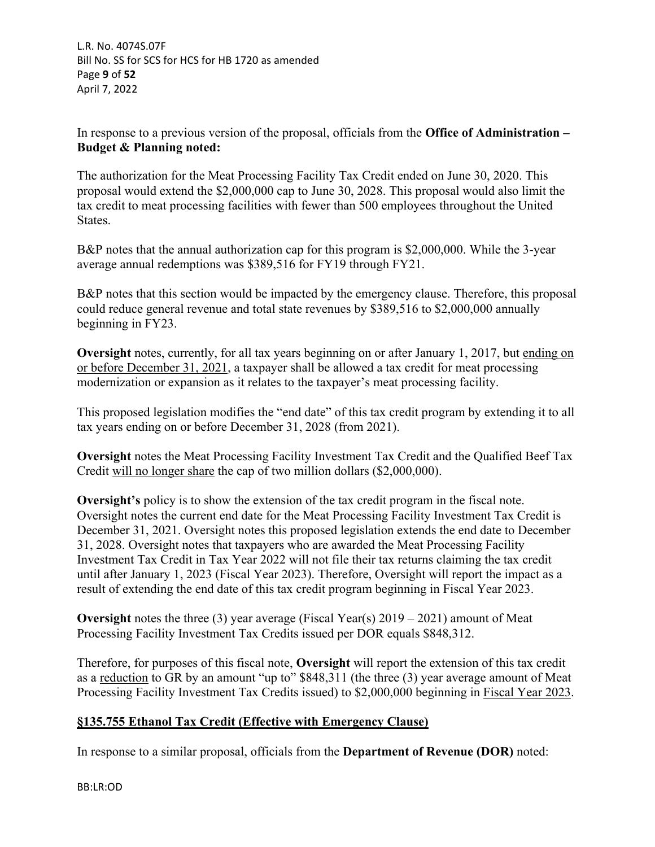L.R. No. 4074S.07F Bill No. SS for SCS for HCS for HB 1720 as amended Page **9** of **52** April 7, 2022

In response to a previous version of the proposal, officials from the **Office of Administration – Budget & Planning noted:**

The authorization for the Meat Processing Facility Tax Credit ended on June 30, 2020. This proposal would extend the \$2,000,000 cap to June 30, 2028. This proposal would also limit the tax credit to meat processing facilities with fewer than 500 employees throughout the United States.

B&P notes that the annual authorization cap for this program is \$2,000,000. While the 3-year average annual redemptions was \$389,516 for FY19 through FY21.

B&P notes that this section would be impacted by the emergency clause. Therefore, this proposal could reduce general revenue and total state revenues by \$389,516 to \$2,000,000 annually beginning in FY23.

**Oversight** notes, currently, for all tax years beginning on or after January 1, 2017, but ending on or before December 31, 2021, a taxpayer shall be allowed a tax credit for meat processing modernization or expansion as it relates to the taxpayer's meat processing facility.

This proposed legislation modifies the "end date" of this tax credit program by extending it to all tax years ending on or before December 31, 2028 (from 2021).

**Oversight** notes the Meat Processing Facility Investment Tax Credit and the Qualified Beef Tax Credit will no longer share the cap of two million dollars (\$2,000,000).

**Oversight's** policy is to show the extension of the tax credit program in the fiscal note. Oversight notes the current end date for the Meat Processing Facility Investment Tax Credit is December 31, 2021. Oversight notes this proposed legislation extends the end date to December 31, 2028. Oversight notes that taxpayers who are awarded the Meat Processing Facility Investment Tax Credit in Tax Year 2022 will not file their tax returns claiming the tax credit until after January 1, 2023 (Fiscal Year 2023). Therefore, Oversight will report the impact as a result of extending the end date of this tax credit program beginning in Fiscal Year 2023.

**Oversight** notes the three (3) year average (Fiscal Year(s)  $2019 - 2021$ ) amount of Meat Processing Facility Investment Tax Credits issued per DOR equals \$848,312.

Therefore, for purposes of this fiscal note, **Oversight** will report the extension of this tax credit as a reduction to GR by an amount "up to" \$848,311 (the three (3) year average amount of Meat Processing Facility Investment Tax Credits issued) to \$2,000,000 beginning in Fiscal Year 2023.

# **§135.755 Ethanol Tax Credit (Effective with Emergency Clause)**

In response to a similar proposal, officials from the **Department of Revenue (DOR)** noted: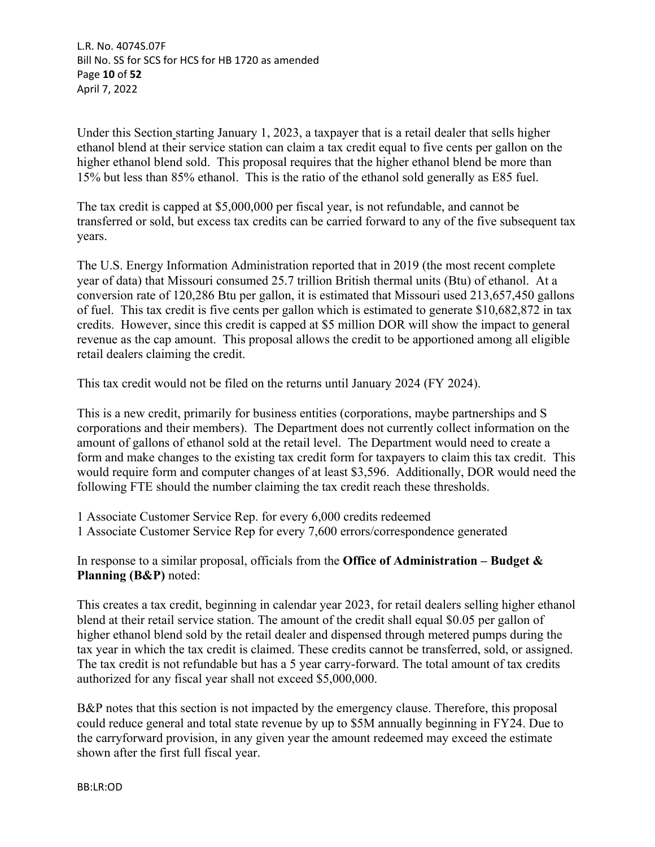L.R. No. 4074S.07F Bill No. SS for SCS for HCS for HB 1720 as amended Page **10** of **52** April 7, 2022

Under this Section starting January 1, 2023, a taxpayer that is a retail dealer that sells higher ethanol blend at their service station can claim a tax credit equal to five cents per gallon on the higher ethanol blend sold. This proposal requires that the higher ethanol blend be more than 15% but less than 85% ethanol. This is the ratio of the ethanol sold generally as E85 fuel.

The tax credit is capped at \$5,000,000 per fiscal year, is not refundable, and cannot be transferred or sold, but excess tax credits can be carried forward to any of the five subsequent tax years.

The U.S. Energy Information Administration reported that in 2019 (the most recent complete year of data) that Missouri consumed 25.7 trillion British thermal units (Btu) of ethanol. At a conversion rate of 120,286 Btu per gallon, it is estimated that Missouri used 213,657,450 gallons of fuel. This tax credit is five cents per gallon which is estimated to generate \$10,682,872 in tax credits. However, since this credit is capped at \$5 million DOR will show the impact to general revenue as the cap amount. This proposal allows the credit to be apportioned among all eligible retail dealers claiming the credit.

This tax credit would not be filed on the returns until January 2024 (FY 2024).

This is a new credit, primarily for business entities (corporations, maybe partnerships and S corporations and their members). The Department does not currently collect information on the amount of gallons of ethanol sold at the retail level. The Department would need to create a form and make changes to the existing tax credit form for taxpayers to claim this tax credit. This would require form and computer changes of at least \$3,596. Additionally, DOR would need the following FTE should the number claiming the tax credit reach these thresholds.

1 Associate Customer Service Rep. for every 6,000 credits redeemed 1 Associate Customer Service Rep for every 7,600 errors/correspondence generated

In response to a similar proposal, officials from the **Office of Administration – Budget & Planning (B&P)** noted:

This creates a tax credit, beginning in calendar year 2023, for retail dealers selling higher ethanol blend at their retail service station. The amount of the credit shall equal \$0.05 per gallon of higher ethanol blend sold by the retail dealer and dispensed through metered pumps during the tax year in which the tax credit is claimed. These credits cannot be transferred, sold, or assigned. The tax credit is not refundable but has a 5 year carry-forward. The total amount of tax credits authorized for any fiscal year shall not exceed \$5,000,000.

B&P notes that this section is not impacted by the emergency clause. Therefore, this proposal could reduce general and total state revenue by up to \$5M annually beginning in FY24. Due to the carryforward provision, in any given year the amount redeemed may exceed the estimate shown after the first full fiscal year.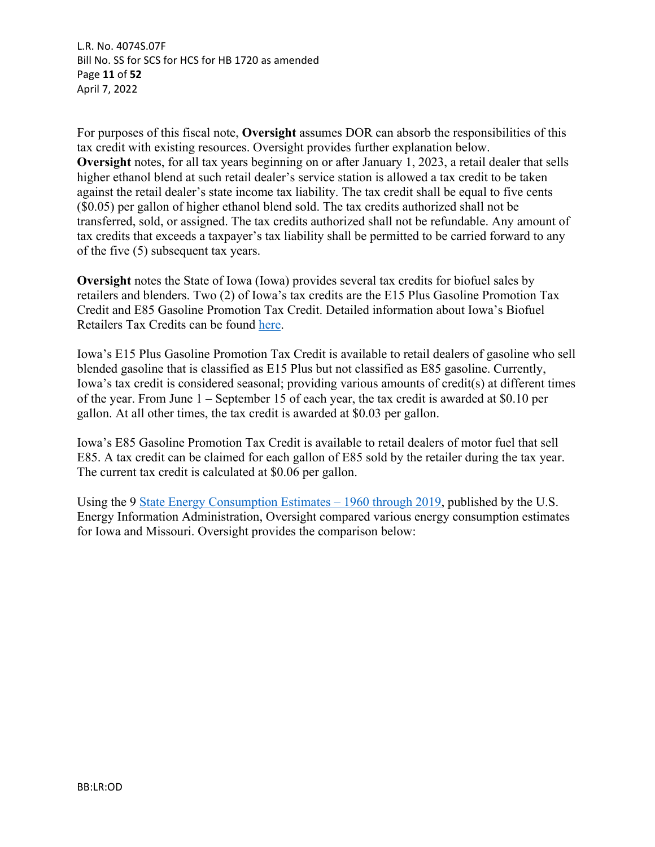L.R. No. 4074S.07F Bill No. SS for SCS for HCS for HB 1720 as amended Page **11** of **52** April 7, 2022

For purposes of this fiscal note, **Oversight** assumes DOR can absorb the responsibilities of this tax credit with existing resources. Oversight provides further explanation below. **Oversight** notes, for all tax years beginning on or after January 1, 2023, a retail dealer that sells higher ethanol blend at such retail dealer's service station is allowed a tax credit to be taken against the retail dealer's state income tax liability. The tax credit shall be equal to five cents (\$0.05) per gallon of higher ethanol blend sold. The tax credits authorized shall not be transferred, sold, or assigned. The tax credits authorized shall not be refundable. Any amount of tax credits that exceeds a taxpayer's tax liability shall be permitted to be carried forward to any of the five (5) subsequent tax years.

**Oversight** notes the State of Iowa (Iowa) provides several tax credits for biofuel sales by retailers and blenders. Two (2) of Iowa's tax credits are the E15 Plus Gasoline Promotion Tax Credit and E85 Gasoline Promotion Tax Credit. Detailed information about Iowa's Biofuel Retailers Tax Credits can be found [here.](https://tax.iowa.gov/sites/default/files/2020-06/Iowa%20Biofuel%20Retailer%20Tax%20Credits%20Evaluation%20Study%202019.pdf)

Iowa's E15 Plus Gasoline Promotion Tax Credit is available to retail dealers of gasoline who sell blended gasoline that is classified as E15 Plus but not classified as E85 gasoline. Currently, Iowa's tax credit is considered seasonal; providing various amounts of credit(s) at different times of the year. From June 1 – September 15 of each year, the tax credit is awarded at \$0.10 per gallon. At all other times, the tax credit is awarded at \$0.03 per gallon.

Iowa's E85 Gasoline Promotion Tax Credit is available to retail dealers of motor fuel that sell E85. A tax credit can be claimed for each gallon of E85 sold by the retailer during the tax year. The current tax credit is calculated at \$0.06 per gallon.

Using the 9 State Energy Consumption Estimates – 1960 through 2019, published by the U.S. Energy Information Administration, Oversight compared various energy consumption estimates for Iowa and Missouri. Oversight provides the comparison below: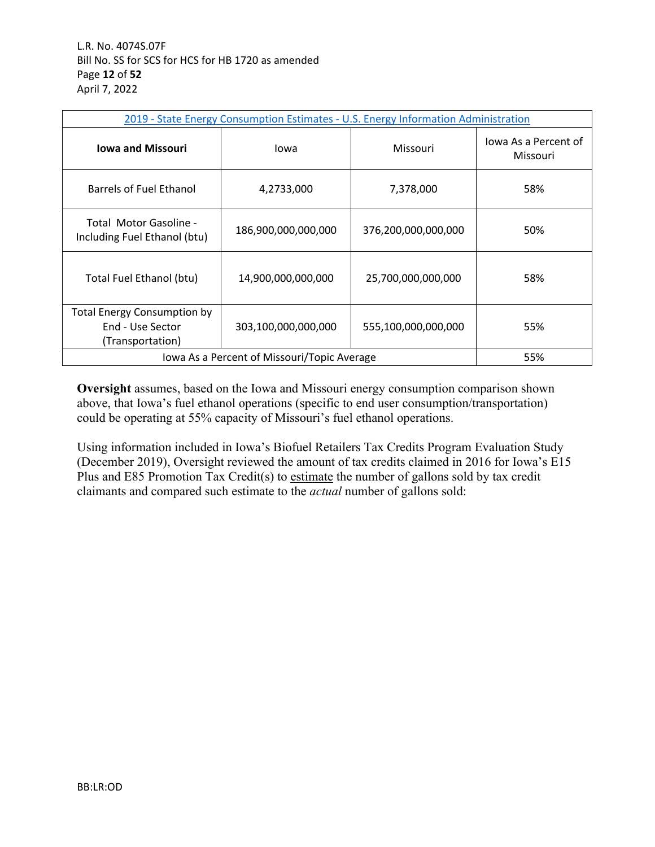| 2019 - State Energy Consumption Estimates - U.S. Energy Information Administration |                     |                     |                                  |  |
|------------------------------------------------------------------------------------|---------------------|---------------------|----------------------------------|--|
| <b>Iowa and Missouri</b>                                                           | Iowa                | Missouri            | lowa As a Percent of<br>Missouri |  |
| Barrels of Fuel Ethanol                                                            | 4,2733,000          | 7,378,000           | 58%                              |  |
| Total Motor Gasoline -<br>Including Fuel Ethanol (btu)                             | 186,900,000,000,000 | 376,200,000,000,000 | 50%                              |  |
| Total Fuel Ethanol (btu)                                                           | 14,900,000,000,000  | 25,700,000,000,000  | 58%                              |  |
| <b>Total Energy Consumption by</b><br>End - Use Sector<br>(Transportation)         | 303,100,000,000,000 | 555,100,000,000,000 | 55%                              |  |
| Iowa As a Percent of Missouri/Topic Average<br>55%                                 |                     |                     |                                  |  |

**Oversight** assumes, based on the Iowa and Missouri energy consumption comparison shown above, that Iowa's fuel ethanol operations (specific to end user consumption/transportation) could be operating at 55% capacity of Missouri's fuel ethanol operations.

Using information included in Iowa's Biofuel Retailers Tax Credits Program Evaluation Study (December 2019), Oversight reviewed the amount of tax credits claimed in 2016 for Iowa's E15 Plus and E85 Promotion Tax Credit(s) to estimate the number of gallons sold by tax credit claimants and compared such estimate to the *actual* number of gallons sold: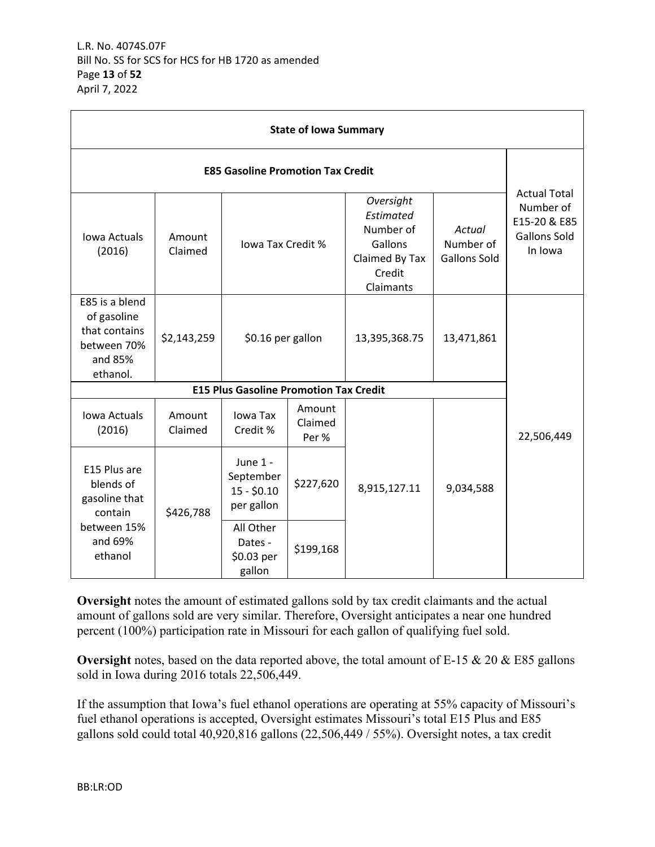| <b>State of Iowa Summary</b>                                                         |                   |                                                     |                            |                                                                                         |                                            |                                                                                    |
|--------------------------------------------------------------------------------------|-------------------|-----------------------------------------------------|----------------------------|-----------------------------------------------------------------------------------------|--------------------------------------------|------------------------------------------------------------------------------------|
| <b>E85 Gasoline Promotion Tax Credit</b>                                             |                   |                                                     |                            |                                                                                         |                                            |                                                                                    |
| <b>Iowa Actuals</b><br>(2016)                                                        | Amount<br>Claimed | lowa Tax Credit %                                   |                            | Oversight<br>Estimated<br>Number of<br>Gallons<br>Claimed By Tax<br>Credit<br>Claimants | Actual<br>Number of<br><b>Gallons Sold</b> | <b>Actual Total</b><br>Number of<br>E15-20 & E85<br><b>Gallons Sold</b><br>In Iowa |
| E85 is a blend<br>of gasoline<br>that contains<br>between 70%<br>and 85%<br>ethanol. | \$2,143,259       | \$0.16 per gallon                                   |                            | 13,395,368.75                                                                           | 13,471,861                                 |                                                                                    |
|                                                                                      |                   | <b>E15 Plus Gasoline Promotion Tax Credit</b>       |                            |                                                                                         |                                            |                                                                                    |
| Iowa Actuals<br>(2016)                                                               | Amount<br>Claimed | Iowa Tax<br>Credit %                                | Amount<br>Claimed<br>Per % |                                                                                         |                                            | 22,506,449                                                                         |
| E15 Plus are<br>blends of<br>gasoline that<br>contain                                | \$426,788         | June 1 -<br>September<br>$15 - $0.10$<br>per gallon | \$227,620                  | 8,915,127.11                                                                            | 9,034,588                                  |                                                                                    |
| between 15%<br>and 69%<br>ethanol                                                    |                   | All Other<br>Dates -<br>\$0.03 per<br>gallon        | \$199,168                  |                                                                                         |                                            |                                                                                    |

**Oversight** notes the amount of estimated gallons sold by tax credit claimants and the actual amount of gallons sold are very similar. Therefore, Oversight anticipates a near one hundred percent (100%) participation rate in Missouri for each gallon of qualifying fuel sold.

**Oversight** notes, based on the data reported above, the total amount of E-15 & 20 & E85 gallons sold in Iowa during 2016 totals 22,506,449.

If the assumption that Iowa's fuel ethanol operations are operating at 55% capacity of Missouri's fuel ethanol operations is accepted, Oversight estimates Missouri's total E15 Plus and E85 gallons sold could total 40,920,816 gallons (22,506,449 / 55%). Oversight notes, a tax credit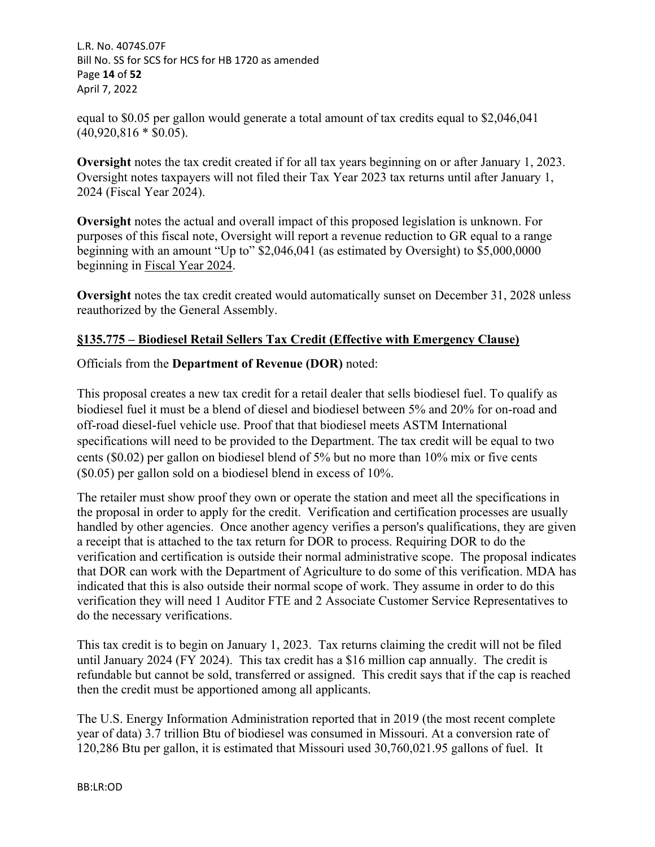L.R. No. 4074S.07F Bill No. SS for SCS for HCS for HB 1720 as amended Page **14** of **52** April 7, 2022

equal to \$0.05 per gallon would generate a total amount of tax credits equal to \$2,046,041  $(40,920,816 * $0.05)$ .

**Oversight** notes the tax credit created if for all tax years beginning on or after January 1, 2023. Oversight notes taxpayers will not filed their Tax Year 2023 tax returns until after January 1, 2024 (Fiscal Year 2024).

**Oversight** notes the actual and overall impact of this proposed legislation is unknown. For purposes of this fiscal note, Oversight will report a revenue reduction to GR equal to a range beginning with an amount "Up to" \$2,046,041 (as estimated by Oversight) to \$5,000,0000 beginning in Fiscal Year 2024.

**Oversight** notes the tax credit created would automatically sunset on December 31, 2028 unless reauthorized by the General Assembly.

# **§135.775 – Biodiesel Retail Sellers Tax Credit (Effective with Emergency Clause)**

Officials from the **Department of Revenue (DOR)** noted:

This proposal creates a new tax credit for a retail dealer that sells biodiesel fuel. To qualify as biodiesel fuel it must be a blend of diesel and biodiesel between 5% and 20% for on-road and off-road diesel-fuel vehicle use. Proof that that biodiesel meets ASTM International specifications will need to be provided to the Department. The tax credit will be equal to two cents (\$0.02) per gallon on biodiesel blend of 5% but no more than 10% mix or five cents (\$0.05) per gallon sold on a biodiesel blend in excess of 10%.

The retailer must show proof they own or operate the station and meet all the specifications in the proposal in order to apply for the credit. Verification and certification processes are usually handled by other agencies. Once another agency verifies a person's qualifications, they are given a receipt that is attached to the tax return for DOR to process. Requiring DOR to do the verification and certification is outside their normal administrative scope. The proposal indicates that DOR can work with the Department of Agriculture to do some of this verification. MDA has indicated that this is also outside their normal scope of work. They assume in order to do this verification they will need 1 Auditor FTE and 2 Associate Customer Service Representatives to do the necessary verifications.

This tax credit is to begin on January 1, 2023. Tax returns claiming the credit will not be filed until January 2024 (FY 2024). This tax credit has a \$16 million cap annually. The credit is refundable but cannot be sold, transferred or assigned. This credit says that if the cap is reached then the credit must be apportioned among all applicants.

The U.S. Energy Information Administration reported that in 2019 (the most recent complete year of data) 3.7 trillion Btu of biodiesel was consumed in Missouri. At a conversion rate of 120,286 Btu per gallon, it is estimated that Missouri used 30,760,021.95 gallons of fuel. It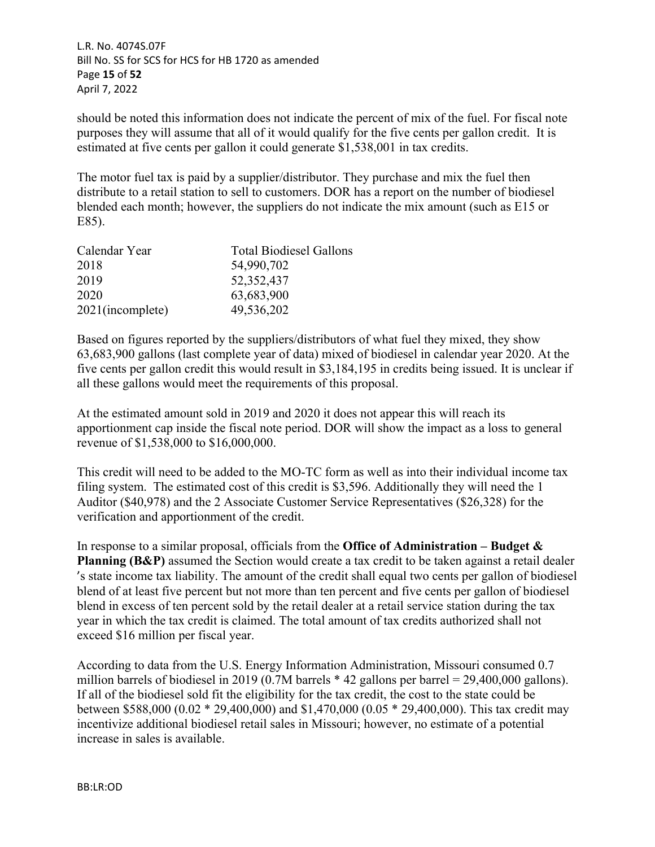L.R. No. 4074S.07F Bill No. SS for SCS for HCS for HB 1720 as amended Page **15** of **52** April 7, 2022

should be noted this information does not indicate the percent of mix of the fuel. For fiscal note purposes they will assume that all of it would qualify for the five cents per gallon credit. It is estimated at five cents per gallon it could generate \$1,538,001 in tax credits.

The motor fuel tax is paid by a supplier/distributor. They purchase and mix the fuel then distribute to a retail station to sell to customers. DOR has a report on the number of biodiesel blended each month; however, the suppliers do not indicate the mix amount (such as E15 or E85).

| <b>Total Biodiesel Gallons</b> |
|--------------------------------|
| 54,990,702                     |
| 52, 352, 437                   |
| 63,683,900                     |
| 49,536,202                     |
|                                |

Based on figures reported by the suppliers/distributors of what fuel they mixed, they show 63,683,900 gallons (last complete year of data) mixed of biodiesel in calendar year 2020. At the five cents per gallon credit this would result in \$3,184,195 in credits being issued. It is unclear if all these gallons would meet the requirements of this proposal.

At the estimated amount sold in 2019 and 2020 it does not appear this will reach its apportionment cap inside the fiscal note period. DOR will show the impact as a loss to general revenue of \$1,538,000 to \$16,000,000.

This credit will need to be added to the MO-TC form as well as into their individual income tax filing system. The estimated cost of this credit is \$3,596. Additionally they will need the 1 Auditor (\$40,978) and the 2 Associate Customer Service Representatives (\$26,328) for the verification and apportionment of the credit.

In response to a similar proposal, officials from the **Office of Administration – Budget & Planning (B&P)** assumed the Section would create a tax credit to be taken against a retail dealer 's state income tax liability. The amount of the credit shall equal two cents per gallon of biodiesel blend of at least five percent but not more than ten percent and five cents per gallon of biodiesel blend in excess of ten percent sold by the retail dealer at a retail service station during the tax year in which the tax credit is claimed. The total amount of tax credits authorized shall not exceed \$16 million per fiscal year.

According to data from the U.S. Energy Information Administration, Missouri consumed 0.7 million barrels of biodiesel in 2019 (0.7M barrels \* 42 gallons per barrel = 29,400,000 gallons). If all of the biodiesel sold fit the eligibility for the tax credit, the cost to the state could be between \$588,000 (0.02 \* 29,400,000) and \$1,470,000 (0.05 \* 29,400,000). This tax credit may incentivize additional biodiesel retail sales in Missouri; however, no estimate of a potential increase in sales is available.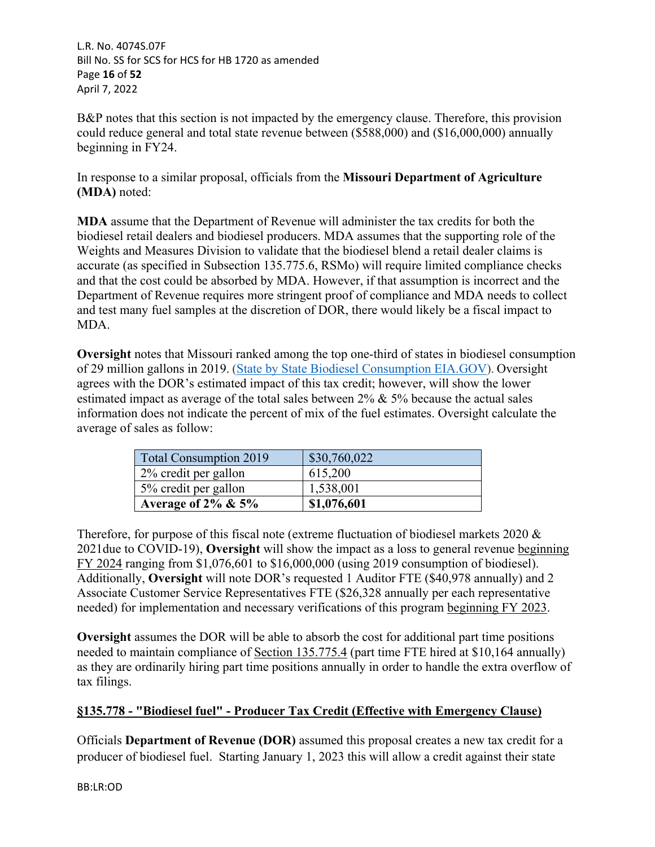L.R. No. 4074S.07F Bill No. SS for SCS for HCS for HB 1720 as amended Page **16** of **52** April 7, 2022

B&P notes that this section is not impacted by the emergency clause. Therefore, this provision could reduce general and total state revenue between (\$588,000) and (\$16,000,000) annually beginning in FY24.

In response to a similar proposal, officials from the **Missouri Department of Agriculture (MDA)** noted:

**MDA** assume that the Department of Revenue will administer the tax credits for both the biodiesel retail dealers and biodiesel producers. MDA assumes that the supporting role of the Weights and Measures Division to validate that the biodiesel blend a retail dealer claims is accurate (as specified in Subsection 135.775.6, RSMo) will require limited compliance checks and that the cost could be absorbed by MDA. However, if that assumption is incorrect and the Department of Revenue requires more stringent proof of compliance and MDA needs to collect and test many fuel samples at the discretion of DOR, there would likely be a fiscal impact to MDA.

**Oversight** notes that Missouri ranked among the top one-third of states in biodiesel consumption of 29 million gallons in 2019. [\(State by State Biodiesel Consumption EIA.GOV](https://www.eia.gov/state/analysis.php?sid=MO)). Oversight agrees with the DOR's estimated impact of this tax credit; however, will show the lower estimated impact as average of the total sales between 2% & 5% because the actual sales information does not indicate the percent of mix of the fuel estimates. Oversight calculate the average of sales as follow:

| Total Consumption 2019  | \$30,760,022 |
|-------------------------|--------------|
| 2% credit per gallon    | 615,200      |
| 5% credit per gallon    | 1,538,001    |
| Average of $2\% \& 5\%$ | \$1,076,601  |

Therefore, for purpose of this fiscal note (extreme fluctuation of biodiesel markets 2020 & 2021due to COVID-19), **Oversight** will show the impact as a loss to general revenue beginning FY 2024 ranging from \$1,076,601 to \$16,000,000 (using 2019 consumption of biodiesel). Additionally, **Oversight** will note DOR's requested 1 Auditor FTE (\$40,978 annually) and 2 Associate Customer Service Representatives FTE (\$26,328 annually per each representative needed) for implementation and necessary verifications of this program beginning FY 2023.

**Oversight** assumes the DOR will be able to absorb the cost for additional part time positions needed to maintain compliance of Section 135.775.4 (part time FTE hired at \$10,164 annually) as they are ordinarily hiring part time positions annually in order to handle the extra overflow of tax filings.

# **§135.778 - "Biodiesel fuel" - Producer Tax Credit (Effective with Emergency Clause)**

Officials **Department of Revenue (DOR)** assumed this proposal creates a new tax credit for a producer of biodiesel fuel. Starting January 1, 2023 this will allow a credit against their state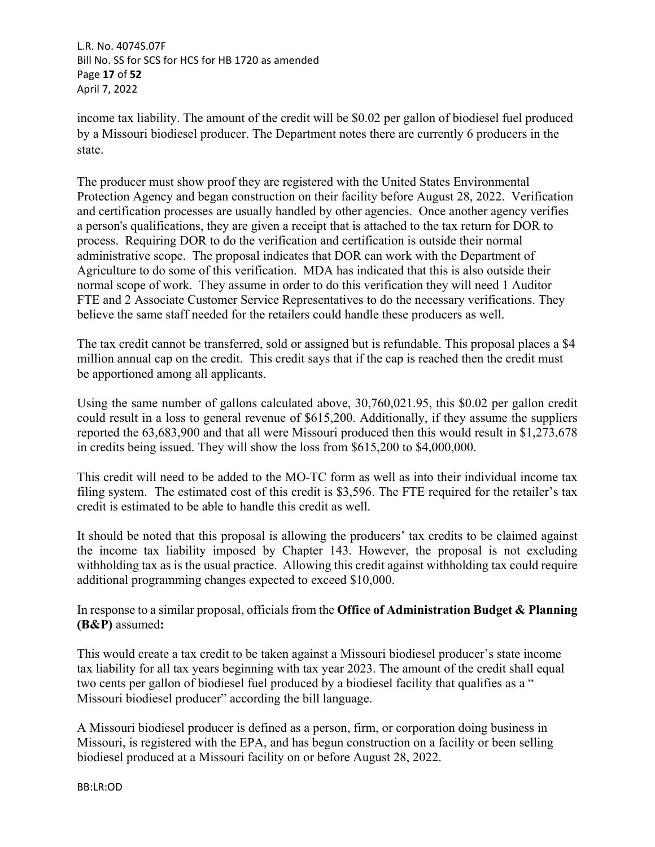L.R. No. 4074S.07F Bill No. SS for SCS for HCS for HB 1720 as amended Page **17** of **52** April 7, 2022

income tax liability. The amount of the credit will be \$0.02 per gallon of biodiesel fuel produced by a Missouri biodiesel producer. The Department notes there are currently 6 producers in the state.

The producer must show proof they are registered with the United States Environmental Protection Agency and began construction on their facility before August 28, 2022. Verification and certification processes are usually handled by other agencies. Once another agency verifies a person's qualifications, they are given a receipt that is attached to the tax return for DOR to process. Requiring DOR to do the verification and certification is outside their normal administrative scope. The proposal indicates that DOR can work with the Department of Agriculture to do some of this verification. MDA has indicated that this is also outside their normal scope of work. They assume in order to do this verification they will need 1 Auditor FTE and 2 Associate Customer Service Representatives to do the necessary verifications. They believe the same staff needed for the retailers could handle these producers as well.

The tax credit cannot be transferred, sold or assigned but is refundable. This proposal places a \$4 million annual cap on the credit. This credit says that if the cap is reached then the credit must be apportioned among all applicants.

Using the same number of gallons calculated above, 30,760,021.95, this \$0.02 per gallon credit could result in a loss to general revenue of \$615,200. Additionally, if they assume the suppliers reported the 63,683,900 and that all were Missouri produced then this would result in \$1,273,678 in credits being issued. They will show the loss from \$615,200 to \$4,000,000.

This credit will need to be added to the MO-TC form as well as into their individual income tax filing system. The estimated cost of this credit is \$3,596. The FTE required for the retailer's tax credit is estimated to be able to handle this credit as well.

It should be noted that this proposal is allowing the producers' tax credits to be claimed against the income tax liability imposed by Chapter 143. However, the proposal is not excluding withholding tax as is the usual practice. Allowing this credit against withholding tax could require additional programming changes expected to exceed \$10,000.

In response to a similar proposal, officials from the **Office of Administration Budget & Planning (B&P)** assumed**:** 

This would create a tax credit to be taken against a Missouri biodiesel producer's state income tax liability for all tax years beginning with tax year 2023. The amount of the credit shall equal two cents per gallon of biodiesel fuel produced by a biodiesel facility that qualifies as a " Missouri biodiesel producer" according the bill language.

A Missouri biodiesel producer is defined as a person, firm, or corporation doing business in Missouri, is registered with the EPA, and has begun construction on a facility or been selling biodiesel produced at a Missouri facility on or before August 28, 2022.

BB:LR:OD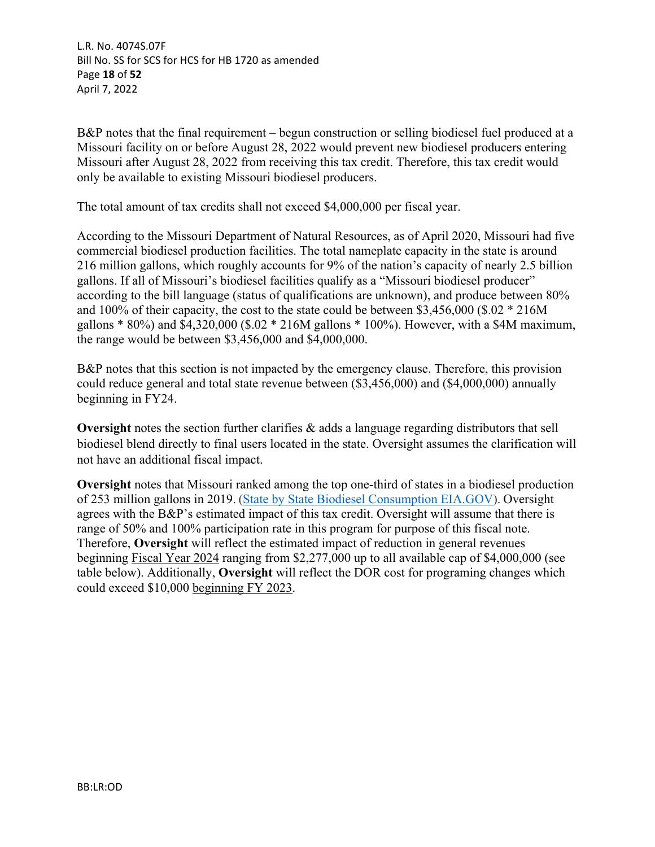L.R. No. 4074S.07F Bill No. SS for SCS for HCS for HB 1720 as amended Page **18** of **52** April 7, 2022

B&P notes that the final requirement – begun construction or selling biodiesel fuel produced at a Missouri facility on or before August 28, 2022 would prevent new biodiesel producers entering Missouri after August 28, 2022 from receiving this tax credit. Therefore, this tax credit would only be available to existing Missouri biodiesel producers.

The total amount of tax credits shall not exceed \$4,000,000 per fiscal year.

According to the Missouri Department of Natural Resources, as of April 2020, Missouri had five commercial biodiesel production facilities. The total nameplate capacity in the state is around 216 million gallons, which roughly accounts for 9% of the nation's capacity of nearly 2.5 billion gallons. If all of Missouri's biodiesel facilities qualify as a "Missouri biodiesel producer" according to the bill language (status of qualifications are unknown), and produce between 80% and 100% of their capacity, the cost to the state could be between \$3,456,000 (\$.02 \* 216M gallons \* 80%) and \$4,320,000 (\$.02 \* 216M gallons \* 100%). However, with a \$4M maximum, the range would be between \$3,456,000 and \$4,000,000.

B&P notes that this section is not impacted by the emergency clause. Therefore, this provision could reduce general and total state revenue between (\$3,456,000) and (\$4,000,000) annually beginning in FY24.

**Oversight** notes the section further clarifies & adds a language regarding distributors that sell biodiesel blend directly to final users located in the state. Oversight assumes the clarification will not have an additional fiscal impact.

**Oversight** notes that Missouri ranked among the top one-third of states in a biodiesel production of 253 million gallons in 2019. [\(State by State Biodiesel Consumption EIA.GOV](https://www.eia.gov/state/analysis.php?sid=MO)). Oversight agrees with the B&P's estimated impact of this tax credit. Oversight will assume that there is range of 50% and 100% participation rate in this program for purpose of this fiscal note. Therefore, **Oversight** will reflect the estimated impact of reduction in general revenues beginning Fiscal Year 2024 ranging from \$2,277,000 up to all available cap of \$4,000,000 (see table below). Additionally, **Oversight** will reflect the DOR cost for programing changes which could exceed \$10,000 beginning FY 2023.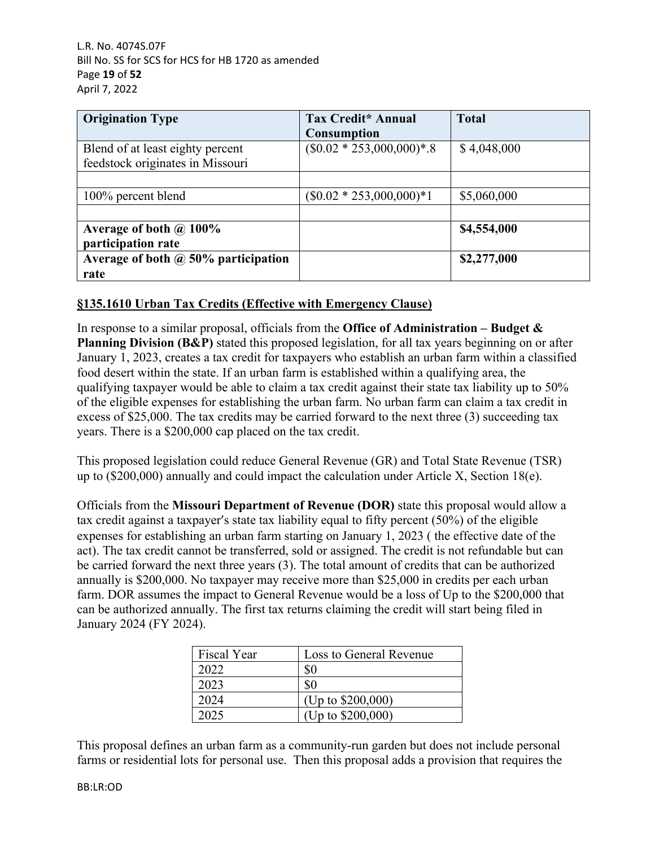L.R. No. 4074S.07F Bill No. SS for SCS for HCS for HB 1720 as amended Page **19** of **52** April 7, 2022

| <b>Origination Type</b>                                              | Tax Credit* Annual<br><b>Consumption</b> | <b>Total</b> |
|----------------------------------------------------------------------|------------------------------------------|--------------|
| Blend of at least eighty percent<br>feedstock originates in Missouri | $($0.02 * 253,000,000)*.8$               | \$4,048,000  |
| 100% percent blend                                                   | $(\$0.02 * 253,000,000)*1$               | \$5,060,000  |
|                                                                      |                                          |              |
| Average of both $\omega$ 100%<br>participation rate                  |                                          | \$4,554,000  |
| Average of both $\omega$ , 50% participation<br>rate                 |                                          | \$2,277,000  |

# **§135.1610 Urban Tax Credits (Effective with Emergency Clause)**

In response to a similar proposal, officials from the **Office of Administration – Budget & Planning Division (B&P)** stated this proposed legislation, for all tax years beginning on or after January 1, 2023, creates a tax credit for taxpayers who establish an urban farm within a classified food desert within the state. If an urban farm is established within a qualifying area, the qualifying taxpayer would be able to claim a tax credit against their state tax liability up to 50% of the eligible expenses for establishing the urban farm. No urban farm can claim a tax credit in excess of \$25,000. The tax credits may be carried forward to the next three (3) succeeding tax years. There is a \$200,000 cap placed on the tax credit.

This proposed legislation could reduce General Revenue (GR) and Total State Revenue (TSR) up to (\$200,000) annually and could impact the calculation under Article X, Section 18(e).

Officials from the **Missouri Department of Revenue (DOR)** state this proposal would allow a tax credit against a taxpayer's state tax liability equal to fifty percent (50%) of the eligible expenses for establishing an urban farm starting on January 1, 2023 ( the effective date of the act). The tax credit cannot be transferred, sold or assigned. The credit is not refundable but can be carried forward the next three years (3). The total amount of credits that can be authorized annually is \$200,000. No taxpayer may receive more than \$25,000 in credits per each urban farm. DOR assumes the impact to General Revenue would be a loss of Up to the \$200,000 that can be authorized annually. The first tax returns claiming the credit will start being filed in January 2024 (FY 2024).

| <b>Fiscal Year</b> | Loss to General Revenue |
|--------------------|-------------------------|
| 2022               | \$0                     |
| 2023               | \$0                     |
| 2024               | (Up to $$200,000$ )     |
| 2025               | (Up to \$200,000)       |

This proposal defines an urban farm as a community-run garden but does not include personal farms or residential lots for personal use. Then this proposal adds a provision that requires the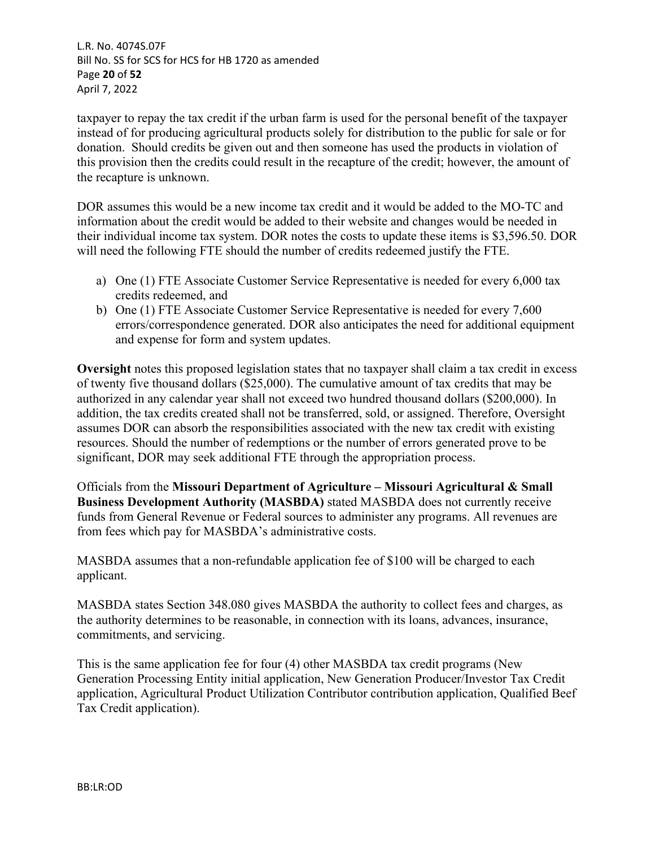L.R. No. 4074S.07F Bill No. SS for SCS for HCS for HB 1720 as amended Page **20** of **52** April 7, 2022

taxpayer to repay the tax credit if the urban farm is used for the personal benefit of the taxpayer instead of for producing agricultural products solely for distribution to the public for sale or for donation. Should credits be given out and then someone has used the products in violation of this provision then the credits could result in the recapture of the credit; however, the amount of the recapture is unknown.

DOR assumes this would be a new income tax credit and it would be added to the MO-TC and information about the credit would be added to their website and changes would be needed in their individual income tax system. DOR notes the costs to update these items is \$3,596.50. DOR will need the following FTE should the number of credits redeemed justify the FTE.

- a) One (1) FTE Associate Customer Service Representative is needed for every 6,000 tax credits redeemed, and
- b) One (1) FTE Associate Customer Service Representative is needed for every 7,600 errors/correspondence generated. DOR also anticipates the need for additional equipment and expense for form and system updates.

**Oversight** notes this proposed legislation states that no taxpayer shall claim a tax credit in excess of twenty five thousand dollars (\$25,000). The cumulative amount of tax credits that may be authorized in any calendar year shall not exceed two hundred thousand dollars (\$200,000). In addition, the tax credits created shall not be transferred, sold, or assigned. Therefore, Oversight assumes DOR can absorb the responsibilities associated with the new tax credit with existing resources. Should the number of redemptions or the number of errors generated prove to be significant, DOR may seek additional FTE through the appropriation process.

Officials from the **Missouri Department of Agriculture – Missouri Agricultural & Small Business Development Authority (MASBDA)** stated MASBDA does not currently receive funds from General Revenue or Federal sources to administer any programs. All revenues are from fees which pay for MASBDA's administrative costs.

MASBDA assumes that a non-refundable application fee of \$100 will be charged to each applicant.

MASBDA states Section 348.080 gives MASBDA the authority to collect fees and charges, as the authority determines to be reasonable, in connection with its loans, advances, insurance, commitments, and servicing.

This is the same application fee for four (4) other MASBDA tax credit programs (New Generation Processing Entity initial application, New Generation Producer/Investor Tax Credit application, Agricultural Product Utilization Contributor contribution application, Qualified Beef Tax Credit application).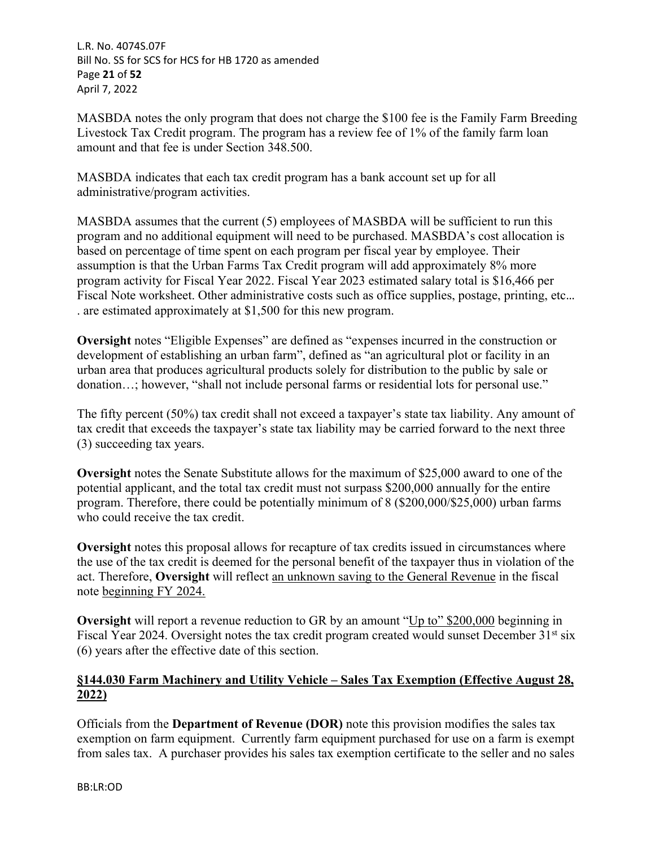L.R. No. 4074S.07F Bill No. SS for SCS for HCS for HB 1720 as amended Page **21** of **52** April 7, 2022

MASBDA notes the only program that does not charge the \$100 fee is the Family Farm Breeding Livestock Tax Credit program. The program has a review fee of 1% of the family farm loan amount and that fee is under Section 348.500.

MASBDA indicates that each tax credit program has a bank account set up for all administrative/program activities.

MASBDA assumes that the current (5) employees of MASBDA will be sufficient to run this program and no additional equipment will need to be purchased. MASBDA's cost allocation is based on percentage of time spent on each program per fiscal year by employee. Their assumption is that the Urban Farms Tax Credit program will add approximately 8% more program activity for Fiscal Year 2022. Fiscal Year 2023 estimated salary total is \$16,466 per Fiscal Note worksheet. Other administrative costs such as office supplies, postage, printing, etc… . are estimated approximately at \$1,500 for this new program.

**Oversight** notes "Eligible Expenses" are defined as "expenses incurred in the construction or development of establishing an urban farm", defined as "an agricultural plot or facility in an urban area that produces agricultural products solely for distribution to the public by sale or donation…; however, "shall not include personal farms or residential lots for personal use."

The fifty percent (50%) tax credit shall not exceed a taxpayer's state tax liability. Any amount of tax credit that exceeds the taxpayer's state tax liability may be carried forward to the next three (3) succeeding tax years.

**Oversight** notes the Senate Substitute allows for the maximum of \$25,000 award to one of the potential applicant, and the total tax credit must not surpass \$200,000 annually for the entire program. Therefore, there could be potentially minimum of 8 (\$200,000/\$25,000) urban farms who could receive the tax credit.

**Oversight** notes this proposal allows for recapture of tax credits issued in circumstances where the use of the tax credit is deemed for the personal benefit of the taxpayer thus in violation of the act. Therefore, **Oversight** will reflect an unknown saving to the General Revenue in the fiscal note beginning FY 2024.

**Oversight** will report a revenue reduction to GR by an amount "Up to" \$200,000 beginning in Fiscal Year 2024. Oversight notes the tax credit program created would sunset December 31<sup>st</sup> six (6) years after the effective date of this section.

# **§144.030 Farm Machinery and Utility Vehicle – Sales Tax Exemption (Effective August 28, 2022)**

Officials from the **Department of Revenue (DOR)** note this provision modifies the sales tax exemption on farm equipment. Currently farm equipment purchased for use on a farm is exempt from sales tax. A purchaser provides his sales tax exemption certificate to the seller and no sales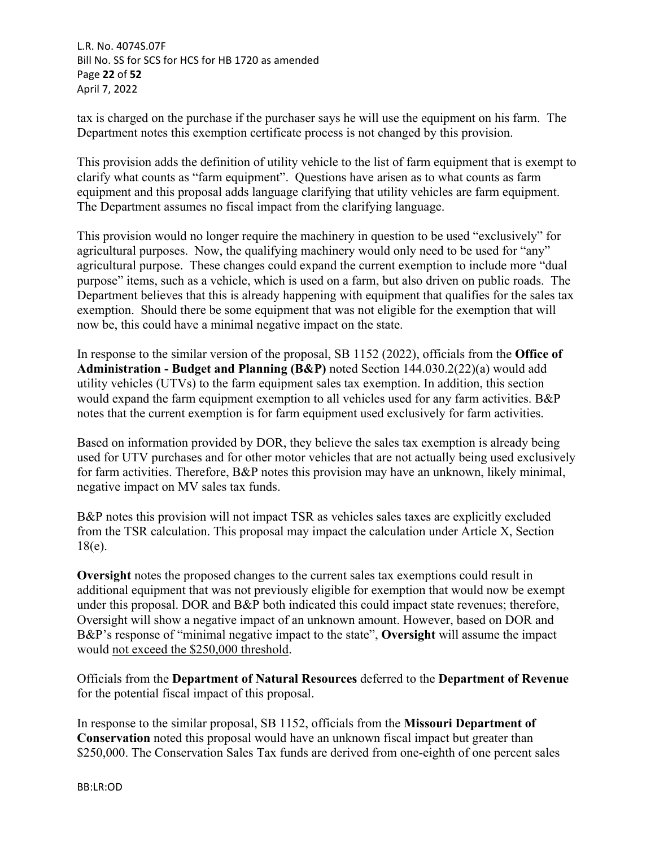L.R. No. 4074S.07F Bill No. SS for SCS for HCS for HB 1720 as amended Page **22** of **52** April 7, 2022

tax is charged on the purchase if the purchaser says he will use the equipment on his farm. The Department notes this exemption certificate process is not changed by this provision.

This provision adds the definition of utility vehicle to the list of farm equipment that is exempt to clarify what counts as "farm equipment". Questions have arisen as to what counts as farm equipment and this proposal adds language clarifying that utility vehicles are farm equipment. The Department assumes no fiscal impact from the clarifying language.

This provision would no longer require the machinery in question to be used "exclusively" for agricultural purposes. Now, the qualifying machinery would only need to be used for "any" agricultural purpose. These changes could expand the current exemption to include more "dual purpose" items, such as a vehicle, which is used on a farm, but also driven on public roads. The Department believes that this is already happening with equipment that qualifies for the sales tax exemption. Should there be some equipment that was not eligible for the exemption that will now be, this could have a minimal negative impact on the state.

In response to the similar version of the proposal, SB 1152 (2022), officials from the **Office of Administration - Budget and Planning (B&P)** noted Section 144.030.2(22)(a) would add utility vehicles (UTVs) to the farm equipment sales tax exemption. In addition, this section would expand the farm equipment exemption to all vehicles used for any farm activities. B&P notes that the current exemption is for farm equipment used exclusively for farm activities.

Based on information provided by DOR, they believe the sales tax exemption is already being used for UTV purchases and for other motor vehicles that are not actually being used exclusively for farm activities. Therefore, B&P notes this provision may have an unknown, likely minimal, negative impact on MV sales tax funds.

B&P notes this provision will not impact TSR as vehicles sales taxes are explicitly excluded from the TSR calculation. This proposal may impact the calculation under Article X, Section 18(e).

**Oversight** notes the proposed changes to the current sales tax exemptions could result in additional equipment that was not previously eligible for exemption that would now be exempt under this proposal. DOR and B&P both indicated this could impact state revenues; therefore, Oversight will show a negative impact of an unknown amount. However, based on DOR and B&P's response of "minimal negative impact to the state", **Oversight** will assume the impact would not exceed the \$250,000 threshold.

Officials from the **Department of Natural Resources** deferred to the **Department of Revenue** for the potential fiscal impact of this proposal.

In response to the similar proposal, SB 1152, officials from the **Missouri Department of Conservation** noted this proposal would have an unknown fiscal impact but greater than \$250,000. The Conservation Sales Tax funds are derived from one-eighth of one percent sales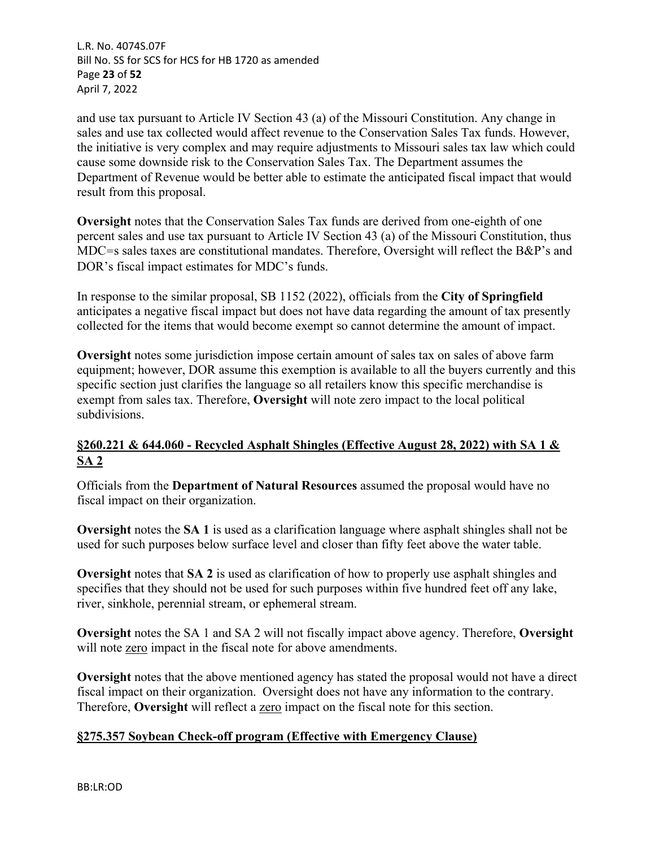L.R. No. 4074S.07F Bill No. SS for SCS for HCS for HB 1720 as amended Page **23** of **52** April 7, 2022

and use tax pursuant to Article IV Section 43 (a) of the Missouri Constitution. Any change in sales and use tax collected would affect revenue to the Conservation Sales Tax funds. However, the initiative is very complex and may require adjustments to Missouri sales tax law which could cause some downside risk to the Conservation Sales Tax. The Department assumes the Department of Revenue would be better able to estimate the anticipated fiscal impact that would result from this proposal.

**Oversight** notes that the Conservation Sales Tax funds are derived from one-eighth of one percent sales and use tax pursuant to Article IV Section 43 (a) of the Missouri Constitution, thus MDC=s sales taxes are constitutional mandates. Therefore, Oversight will reflect the B&P's and DOR's fiscal impact estimates for MDC's funds.

In response to the similar proposal, SB 1152 (2022), officials from the **City of Springfield** anticipates a negative fiscal impact but does not have data regarding the amount of tax presently collected for the items that would become exempt so cannot determine the amount of impact.

**Oversight** notes some jurisdiction impose certain amount of sales tax on sales of above farm equipment; however, DOR assume this exemption is available to all the buyers currently and this specific section just clarifies the language so all retailers know this specific merchandise is exempt from sales tax. Therefore, **Oversight** will note zero impact to the local political subdivisions.

# **§260.221 & 644.060 - Recycled Asphalt Shingles (Effective August 28, 2022) with SA 1 & SA 2**

Officials from the **Department of Natural Resources** assumed the proposal would have no fiscal impact on their organization.

**Oversight** notes the **SA 1** is used as a clarification language where asphalt shingles shall not be used for such purposes below surface level and closer than fifty feet above the water table.

**Oversight** notes that **SA 2** is used as clarification of how to properly use asphalt shingles and specifies that they should not be used for such purposes within five hundred feet off any lake, river, sinkhole, perennial stream, or ephemeral stream.

**Oversight** notes the SA 1 and SA 2 will not fiscally impact above agency. Therefore, **Oversight**  will note zero impact in the fiscal note for above amendments.

**Oversight** notes that the above mentioned agency has stated the proposal would not have a direct fiscal impact on their organization. Oversight does not have any information to the contrary. Therefore, **Oversight** will reflect a zero impact on the fiscal note for this section.

# **§275.357 Soybean Check-off program (Effective with Emergency Clause)**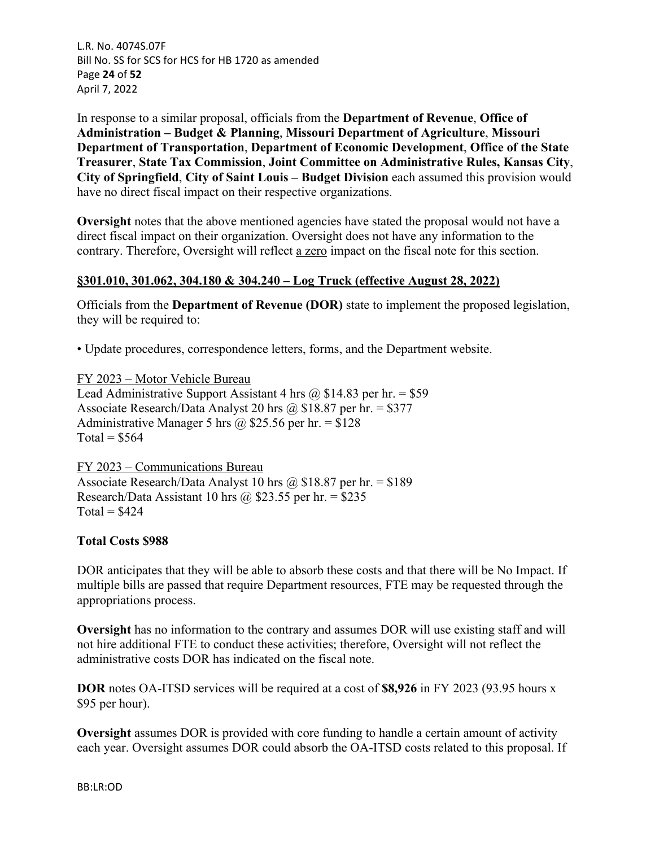L.R. No. 4074S.07F Bill No. SS for SCS for HCS for HB 1720 as amended Page **24** of **52** April 7, 2022

In response to a similar proposal, officials from the **Department of Revenue**, **Office of Administration – Budget & Planning**, **Missouri Department of Agriculture**, **Missouri Department of Transportation**, **Department of Economic Development**, **Office of the State Treasurer**, **State Tax Commission**, **Joint Committee on Administrative Rules, Kansas City**, **City of Springfield**, **City of Saint Louis – Budget Division** each assumed this provision would have no direct fiscal impact on their respective organizations.

**Oversight** notes that the above mentioned agencies have stated the proposal would not have a direct fiscal impact on their organization. Oversight does not have any information to the contrary. Therefore, Oversight will reflect a zero impact on the fiscal note for this section.

## **§301.010, 301.062, 304.180 & 304.240 – Log Truck (effective August 28, 2022)**

Officials from the **Department of Revenue (DOR)** state to implement the proposed legislation, they will be required to:

• Update procedures, correspondence letters, forms, and the Department website.

FY 2023 – Motor Vehicle Bureau Lead Administrative Support Assistant 4 hrs  $\omega$  \$14.83 per hr. = \$59 Associate Research/Data Analyst 20 hrs @  $$18.87$  per hr. = \$377 Administrative Manager 5 hrs @ \$25.56 per hr. = \$128  $Total = $564$ 

FY 2023 – Communications Bureau Associate Research/Data Analyst 10 hrs  $\omega$  \$18.87 per hr. = \$189 Research/Data Assistant 10 hrs  $\omega$  \$23.55 per hr. = \$235  $Total = $424$ 

#### **Total Costs \$988**

DOR anticipates that they will be able to absorb these costs and that there will be No Impact. If multiple bills are passed that require Department resources, FTE may be requested through the appropriations process.

**Oversight** has no information to the contrary and assumes DOR will use existing staff and will not hire additional FTE to conduct these activities; therefore, Oversight will not reflect the administrative costs DOR has indicated on the fiscal note.

**DOR** notes OA-ITSD services will be required at a cost of **\$8,926** in FY 2023 (93.95 hours x \$95 per hour).

**Oversight** assumes DOR is provided with core funding to handle a certain amount of activity each year. Oversight assumes DOR could absorb the OA-ITSD costs related to this proposal. If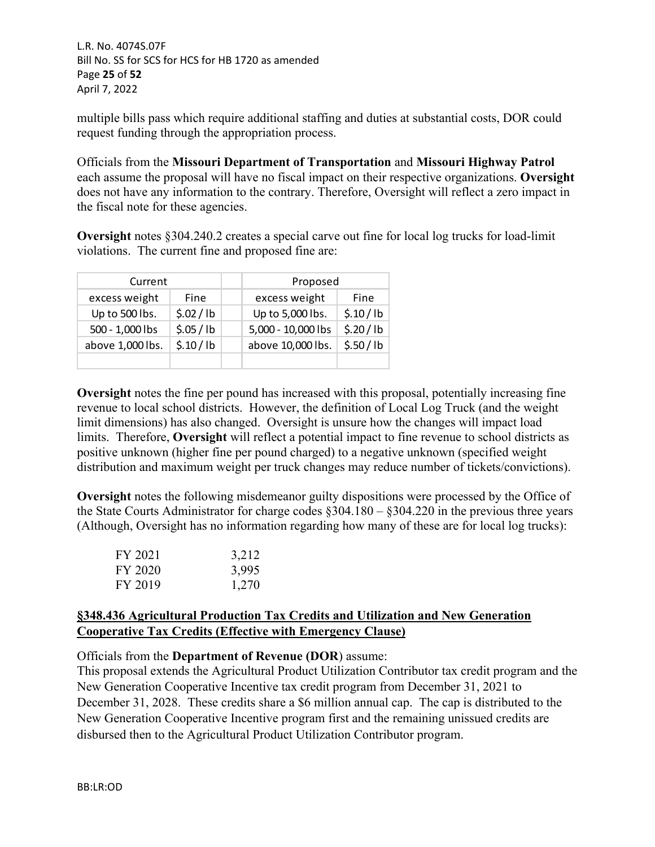L.R. No. 4074S.07F Bill No. SS for SCS for HCS for HB 1720 as amended Page **25** of **52** April 7, 2022

multiple bills pass which require additional staffing and duties at substantial costs, DOR could request funding through the appropriation process.

Officials from the **Missouri Department of Transportation** and **Missouri Highway Patrol** each assume the proposal will have no fiscal impact on their respective organizations. **Oversight** does not have any information to the contrary. Therefore, Oversight will reflect a zero impact in the fiscal note for these agencies.

**Oversight** notes §304.240.2 creates a special carve out fine for local log trucks for load-limit violations. The current fine and proposed fine are:

| Current          |          | Proposed           |          |
|------------------|----------|--------------------|----------|
| excess weight    | Fine     | excess weight      | Fine     |
| Up to 500 lbs.   | \$.02/lb | Up to 5,000 lbs.   | \$.10/lb |
| 500 - 1,000 lbs  | \$.05/lb | 5,000 - 10,000 lbs | \$.20/lb |
| above 1,000 lbs. | \$.10/lb | above 10,000 lbs.  | \$.50/lb |
|                  |          |                    |          |

**Oversight** notes the fine per pound has increased with this proposal, potentially increasing fine revenue to local school districts. However, the definition of Local Log Truck (and the weight limit dimensions) has also changed. Oversight is unsure how the changes will impact load limits. Therefore, **Oversight** will reflect a potential impact to fine revenue to school districts as positive unknown (higher fine per pound charged) to a negative unknown (specified weight distribution and maximum weight per truck changes may reduce number of tickets/convictions).

**Oversight** notes the following misdemeanor guilty dispositions were processed by the Office of the State Courts Administrator for charge codes §304.180 – §304.220 in the previous three years (Although, Oversight has no information regarding how many of these are for local log trucks):

| FY 2021 | 3,212 |
|---------|-------|
| FY 2020 | 3,995 |
| FY 2019 | 1,270 |

# **§348.436 Agricultural Production Tax Credits and Utilization and New Generation Cooperative Tax Credits (Effective with Emergency Clause)**

Officials from the **Department of Revenue (DOR**) assume:

This proposal extends the Agricultural Product Utilization Contributor tax credit program and the New Generation Cooperative Incentive tax credit program from December 31, 2021 to December 31, 2028. These credits share a \$6 million annual cap. The cap is distributed to the New Generation Cooperative Incentive program first and the remaining unissued credits are disbursed then to the Agricultural Product Utilization Contributor program.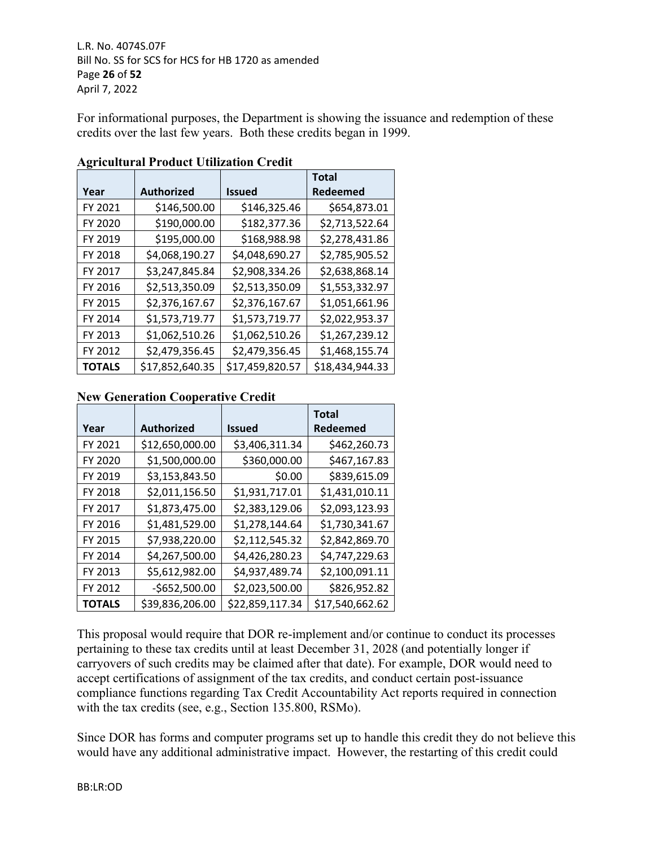For informational purposes, the Department is showing the issuance and redemption of these credits over the last few years. Both these credits began in 1999.

|               |                   |                 | <b>Total</b>    |
|---------------|-------------------|-----------------|-----------------|
| Year          | <b>Authorized</b> | <b>Issued</b>   | Redeemed        |
| FY 2021       | \$146,500.00      | \$146,325.46    | \$654,873.01    |
| FY 2020       | \$190,000.00      | \$182,377.36    | \$2,713,522.64  |
| FY 2019       | \$195,000.00      | \$168,988.98    | \$2,278,431.86  |
| FY 2018       | \$4,068,190.27    | \$4,048,690.27  | \$2,785,905.52  |
| FY 2017       | \$3,247,845.84    | \$2,908,334.26  | \$2,638,868.14  |
| FY 2016       | \$2,513,350.09    | \$2,513,350.09  | \$1,553,332.97  |
| FY 2015       | \$2,376,167.67    | \$2,376,167.67  | \$1,051,661.96  |
| FY 2014       | \$1,573,719.77    | \$1,573,719.77  | \$2,022,953.37  |
| FY 2013       | \$1,062,510.26    | \$1,062,510.26  | \$1,267,239.12  |
| FY 2012       | \$2,479,356.45    | \$2,479,356.45  | \$1,468,155.74  |
| <b>TOTALS</b> | \$17,852,640.35   | \$17,459,820.57 | \$18,434,944.33 |

## **Agricultural Product Utilization Credit**

# **New Generation Cooperative Credit**

|               |                   |                 | <b>Total</b>    |
|---------------|-------------------|-----------------|-----------------|
| Year          | <b>Authorized</b> | <b>Issued</b>   | Redeemed        |
| FY 2021       | \$12,650,000.00   | \$3,406,311.34  | \$462,260.73    |
| FY 2020       | \$1,500,000.00    | \$360,000.00    | \$467,167.83    |
| FY 2019       | \$3,153,843.50    | \$0.00          | \$839,615.09    |
| FY 2018       | \$2,011,156.50    | \$1,931,717.01  | \$1,431,010.11  |
| FY 2017       | \$1,873,475.00    | \$2,383,129.06  | \$2,093,123.93  |
| FY 2016       | \$1,481,529.00    | \$1,278,144.64  | \$1,730,341.67  |
| FY 2015       | \$7,938,220.00    | \$2,112,545.32  | \$2,842,869.70  |
| FY 2014       | \$4,267,500.00    | \$4,426,280.23  | \$4,747,229.63  |
| FY 2013       | \$5,612,982.00    | \$4,937,489.74  | \$2,100,091.11  |
| FY 2012       | $-$652,500.00$    | \$2,023,500.00  | \$826,952.82    |
| <b>TOTALS</b> | \$39,836,206.00   | \$22,859,117.34 | \$17,540,662.62 |

This proposal would require that DOR re-implement and/or continue to conduct its processes pertaining to these tax credits until at least December 31, 2028 (and potentially longer if carryovers of such credits may be claimed after that date). For example, DOR would need to accept certifications of assignment of the tax credits, and conduct certain post-issuance compliance functions regarding Tax Credit Accountability Act reports required in connection with the tax credits (see, e.g., Section 135.800, RSMo).

Since DOR has forms and computer programs set up to handle this credit they do not believe this would have any additional administrative impact. However, the restarting of this credit could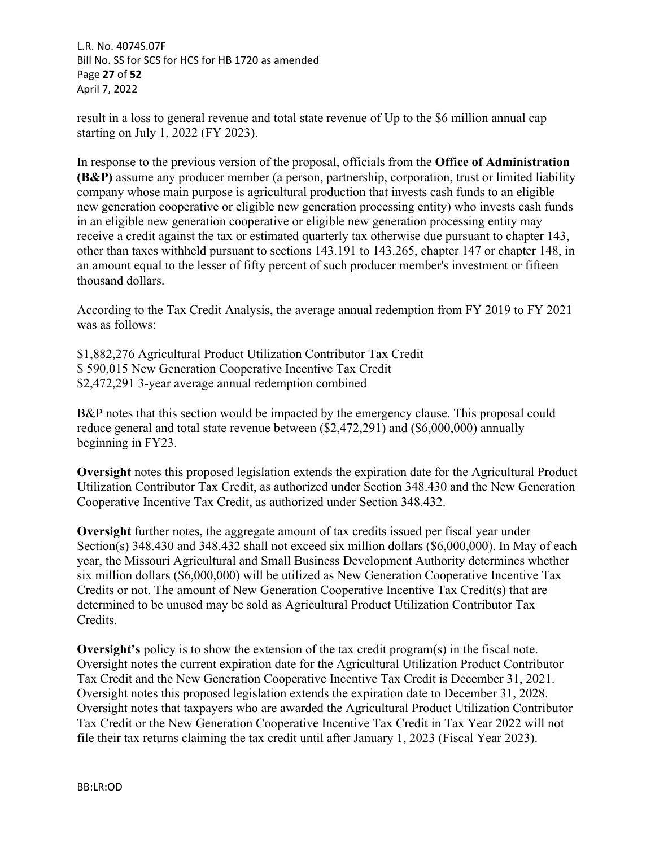L.R. No. 4074S.07F Bill No. SS for SCS for HCS for HB 1720 as amended Page **27** of **52** April 7, 2022

result in a loss to general revenue and total state revenue of Up to the \$6 million annual cap starting on July 1, 2022 (FY 2023).

In response to the previous version of the proposal, officials from the **Office of Administration (B&P)** assume any producer member (a person, partnership, corporation, trust or limited liability company whose main purpose is agricultural production that invests cash funds to an eligible new generation cooperative or eligible new generation processing entity) who invests cash funds in an eligible new generation cooperative or eligible new generation processing entity may receive a credit against the tax or estimated quarterly tax otherwise due pursuant to chapter 143, other than taxes withheld pursuant to sections 143.191 to 143.265, chapter 147 or chapter 148, in an amount equal to the lesser of fifty percent of such producer member's investment or fifteen thousand dollars.

According to the Tax Credit Analysis, the average annual redemption from FY 2019 to FY 2021 was as follows:

\$1,882,276 Agricultural Product Utilization Contributor Tax Credit \$ 590,015 New Generation Cooperative Incentive Tax Credit \$2,472,291 3-year average annual redemption combined

B&P notes that this section would be impacted by the emergency clause. This proposal could reduce general and total state revenue between (\$2,472,291) and (\$6,000,000) annually beginning in FY23.

**Oversight** notes this proposed legislation extends the expiration date for the Agricultural Product Utilization Contributor Tax Credit, as authorized under Section 348.430 and the New Generation Cooperative Incentive Tax Credit, as authorized under Section 348.432.

**Oversight** further notes, the aggregate amount of tax credits issued per fiscal year under Section(s) 348.430 and 348.432 shall not exceed six million dollars (\$6,000,000). In May of each year, the Missouri Agricultural and Small Business Development Authority determines whether six million dollars (\$6,000,000) will be utilized as New Generation Cooperative Incentive Tax Credits or not. The amount of New Generation Cooperative Incentive Tax Credit(s) that are determined to be unused may be sold as Agricultural Product Utilization Contributor Tax Credits.

**Oversight's** policy is to show the extension of the tax credit program(s) in the fiscal note. Oversight notes the current expiration date for the Agricultural Utilization Product Contributor Tax Credit and the New Generation Cooperative Incentive Tax Credit is December 31, 2021. Oversight notes this proposed legislation extends the expiration date to December 31, 2028. Oversight notes that taxpayers who are awarded the Agricultural Product Utilization Contributor Tax Credit or the New Generation Cooperative Incentive Tax Credit in Tax Year 2022 will not file their tax returns claiming the tax credit until after January 1, 2023 (Fiscal Year 2023).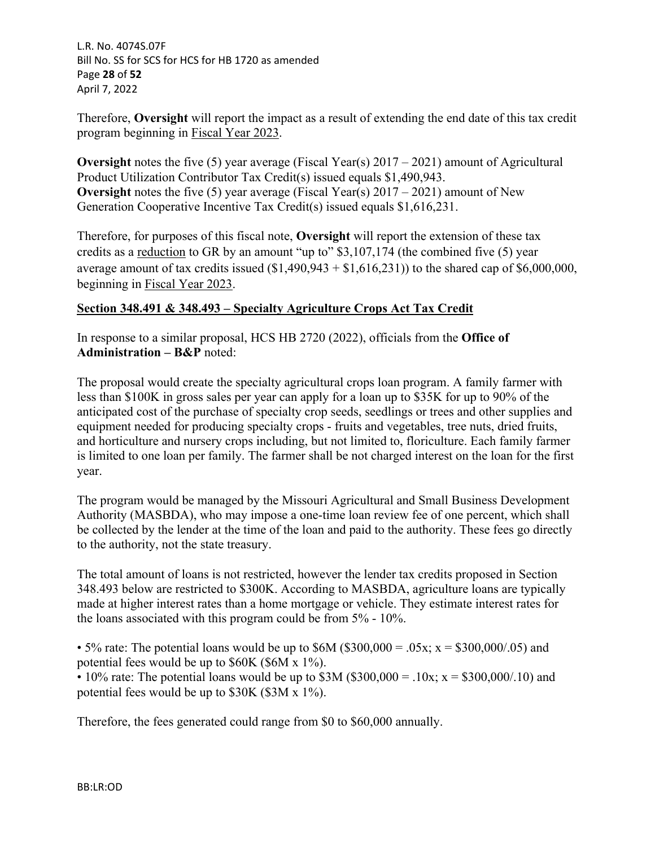L.R. No. 4074S.07F Bill No. SS for SCS for HCS for HB 1720 as amended Page **28** of **52** April 7, 2022

Therefore, **Oversight** will report the impact as a result of extending the end date of this tax credit program beginning in Fiscal Year 2023.

**Oversight** notes the five (5) year average (Fiscal Year(s) 2017 – 2021) amount of Agricultural Product Utilization Contributor Tax Credit(s) issued equals \$1,490,943. **Oversight** notes the five (5) year average (Fiscal Year(s) 2017 – 2021) amount of New Generation Cooperative Incentive Tax Credit(s) issued equals \$1,616,231.

Therefore, for purposes of this fiscal note, **Oversight** will report the extension of these tax credits as a reduction to GR by an amount "up to" \$3,107,174 (the combined five (5) year average amount of tax credits issued  $(1,490,943 + 1,616,231)$  to the shared cap of \$6,000,000, beginning in Fiscal Year 2023.

# **Section 348.491 & 348.493 – Specialty Agriculture Crops Act Tax Credit**

In response to a similar proposal, HCS HB 2720 (2022), officials from the **Office of Administration – B&P** noted:

The proposal would create the specialty agricultural crops loan program. A family farmer with less than \$100K in gross sales per year can apply for a loan up to \$35K for up to 90% of the anticipated cost of the purchase of specialty crop seeds, seedlings or trees and other supplies and equipment needed for producing specialty crops - fruits and vegetables, tree nuts, dried fruits, and horticulture and nursery crops including, but not limited to, floriculture. Each family farmer is limited to one loan per family. The farmer shall be not charged interest on the loan for the first year.

The program would be managed by the Missouri Agricultural and Small Business Development Authority (MASBDA), who may impose a one-time loan review fee of one percent, which shall be collected by the lender at the time of the loan and paid to the authority. These fees go directly to the authority, not the state treasury.

The total amount of loans is not restricted, however the lender tax credits proposed in Section 348.493 below are restricted to \$300K. According to MASBDA, agriculture loans are typically made at higher interest rates than a home mortgage or vehicle. They estimate interest rates for the loans associated with this program could be from 5% - 10%.

• 5% rate: The potential loans would be up to  $$6M ($300,000 = .05x; x = $300,000/.05)$  and potential fees would be up to \$60K (\$6M x 1%).

• 10% rate: The potential loans would be up to  $$3M ($300,000 = .10x; x = $300,000/.10)$  and potential fees would be up to \$30K (\$3M x 1%).

Therefore, the fees generated could range from \$0 to \$60,000 annually.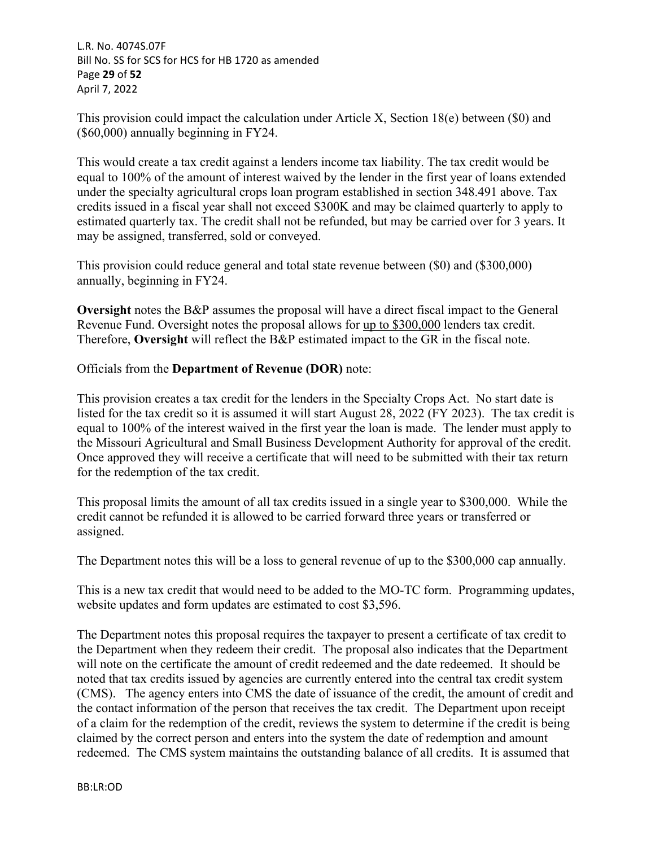L.R. No. 4074S.07F Bill No. SS for SCS for HCS for HB 1720 as amended Page **29** of **52** April 7, 2022

This provision could impact the calculation under Article X, Section 18(e) between (\$0) and (\$60,000) annually beginning in FY24.

This would create a tax credit against a lenders income tax liability. The tax credit would be equal to 100% of the amount of interest waived by the lender in the first year of loans extended under the specialty agricultural crops loan program established in section 348.491 above. Tax credits issued in a fiscal year shall not exceed \$300K and may be claimed quarterly to apply to estimated quarterly tax. The credit shall not be refunded, but may be carried over for 3 years. It may be assigned, transferred, sold or conveyed.

This provision could reduce general and total state revenue between (\$0) and (\$300,000) annually, beginning in FY24.

**Oversight** notes the B&P assumes the proposal will have a direct fiscal impact to the General Revenue Fund. Oversight notes the proposal allows for up to \$300,000 lenders tax credit. Therefore, **Oversight** will reflect the B&P estimated impact to the GR in the fiscal note.

Officials from the **Department of Revenue (DOR)** note:

This provision creates a tax credit for the lenders in the Specialty Crops Act. No start date is listed for the tax credit so it is assumed it will start August 28, 2022 (FY 2023). The tax credit is equal to 100% of the interest waived in the first year the loan is made. The lender must apply to the Missouri Agricultural and Small Business Development Authority for approval of the credit. Once approved they will receive a certificate that will need to be submitted with their tax return for the redemption of the tax credit.

This proposal limits the amount of all tax credits issued in a single year to \$300,000. While the credit cannot be refunded it is allowed to be carried forward three years or transferred or assigned.

The Department notes this will be a loss to general revenue of up to the \$300,000 cap annually.

This is a new tax credit that would need to be added to the MO-TC form. Programming updates, website updates and form updates are estimated to cost \$3,596.

The Department notes this proposal requires the taxpayer to present a certificate of tax credit to the Department when they redeem their credit. The proposal also indicates that the Department will note on the certificate the amount of credit redeemed and the date redeemed. It should be noted that tax credits issued by agencies are currently entered into the central tax credit system (CMS). The agency enters into CMS the date of issuance of the credit, the amount of credit and the contact information of the person that receives the tax credit. The Department upon receipt of a claim for the redemption of the credit, reviews the system to determine if the credit is being claimed by the correct person and enters into the system the date of redemption and amount redeemed. The CMS system maintains the outstanding balance of all credits. It is assumed that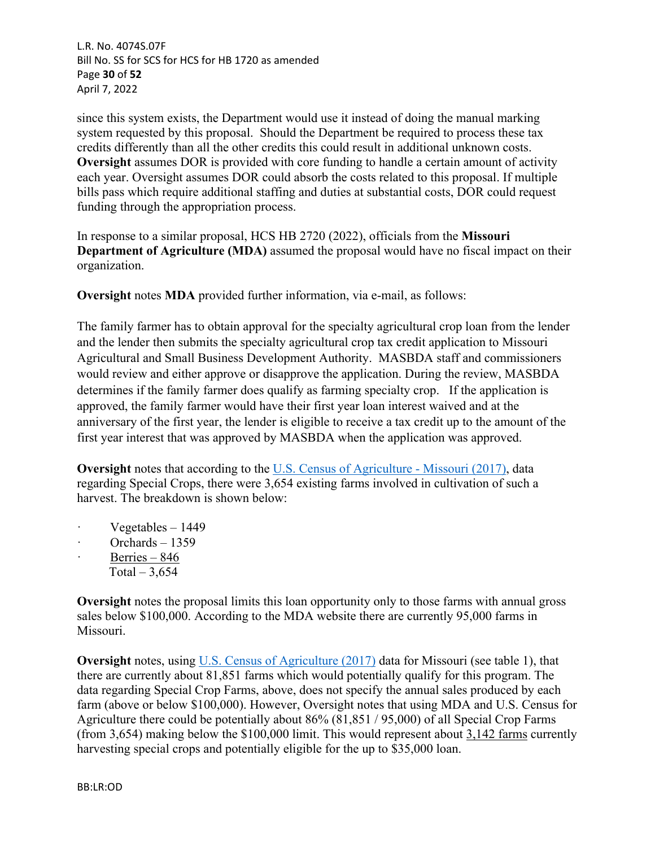L.R. No. 4074S.07F Bill No. SS for SCS for HCS for HB 1720 as amended Page **30** of **52** April 7, 2022

since this system exists, the Department would use it instead of doing the manual marking system requested by this proposal. Should the Department be required to process these tax credits differently than all the other credits this could result in additional unknown costs. **Oversight** assumes DOR is provided with core funding to handle a certain amount of activity each year. Oversight assumes DOR could absorb the costs related to this proposal. If multiple bills pass which require additional staffing and duties at substantial costs, DOR could request funding through the appropriation process.

In response to a similar proposal, HCS HB 2720 (2022), officials from the **Missouri Department of Agriculture (MDA)** assumed the proposal would have no fiscal impact on their organization.

**Oversight** notes **MDA** provided further information, via e-mail, as follows:

The family farmer has to obtain approval for the specialty agricultural crop loan from the lender and the lender then submits the specialty agricultural crop tax credit application to Missouri Agricultural and Small Business Development Authority. MASBDA staff and commissioners would review and either approve or disapprove the application. During the review, MASBDA determines if the family farmer does qualify as farming specialty crop. If the application is approved, the family farmer would have their first year loan interest waived and at the anniversary of the first year, the lender is eligible to receive a tax credit up to the amount of the first year interest that was approved by MASBDA when the application was approved.

**Oversight** notes that according to the [U.S. Census of Agriculture - Missouri \(2017\)](https://urldefense.com/v3/__https:/www.nass.usda.gov/Publications/AgCensus/2017/Full_Report/Volume_1,_Chapter_1_State_Level/Missouri/st29_1_0035_0035.pdf__;!!EErPFA7f--AJOw!RauDfEp8Ddcsf5zlBt-dTCO5UZ5F6sAbo1WVAUG-YhoWzmpk91uuzqpn5TTktteBSWSl$), data regarding Special Crops, there were 3,654 existing farms involved in cultivation of such a harvest. The breakdown is shown below:

- $\cdot$  Vegetables 1449
- Orchards  $-1359$
- Berries  $846$
- Total  $-3,654$

**Oversight** notes the proposal limits this loan opportunity only to those farms with annual gross sales below \$100,000. According to the MDA website there are currently 95,000 farms in Missouri.

**Oversight** notes, using U.S. Census of Agriculture (2017) data for Missouri (see table 1), that there are currently about 81,851 farms which would potentially qualify for this program. The data regarding Special Crop Farms, above, does not specify the annual sales produced by each farm (above or below \$100,000). However, Oversight notes that using MDA and U.S. Census for Agriculture there could be potentially about 86% (81,851 / 95,000) of all Special Crop Farms (from 3,654) making below the \$100,000 limit. This would represent about 3,142 farms currently harvesting special crops and potentially eligible for the up to \$35,000 loan.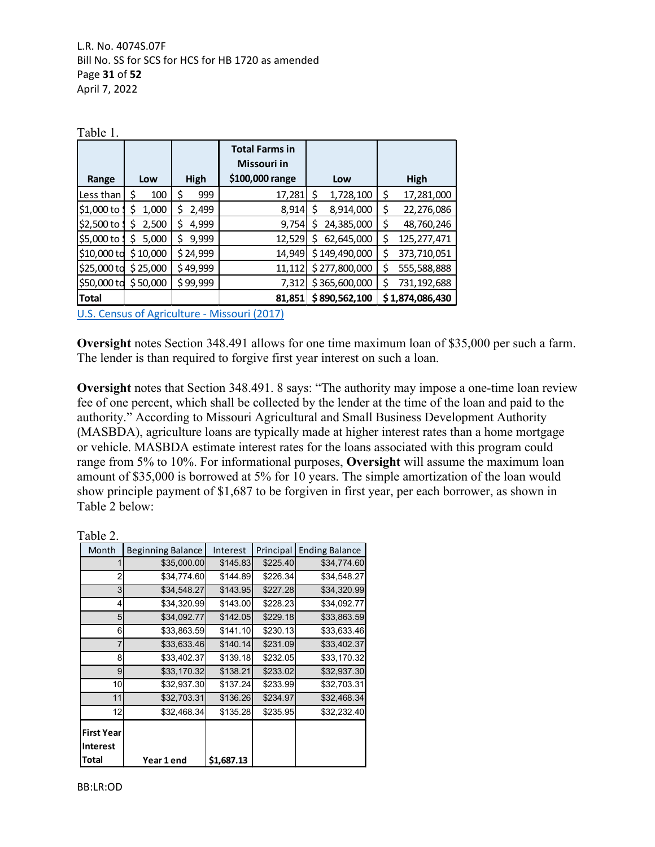| Table 1.             |            |             |                                      |                  |                   |  |
|----------------------|------------|-------------|--------------------------------------|------------------|-------------------|--|
|                      |            |             | <b>Total Farms in</b><br>Missouri in |                  |                   |  |
| Range                | Low        | High        | \$100,000 range                      | Low              | High              |  |
| Less than            | 100<br>S   | \$<br>999   | 17,281                               | \$<br>1,728,100  | \$<br>17,281,000  |  |
| \$1,000 to           | 1,000      | \$<br>2,499 | 8,914                                | Ś<br>8,914,000   | \$<br>22,276,086  |  |
| \$2,500 to           | 2,500<br>S | \$<br>4,999 | 9,754                                | 24,385,000<br>S  | \$,<br>48,760,246 |  |
| \$5,000 to           | 5,000<br>S | \$<br>9,999 | 12,529                               | 62,645,000<br>S. | \$<br>125,277,471 |  |
| \$10,000 to \$10,000 |            | \$24,999    | 14,949                               | \$149,490,000    | \$<br>373,710,051 |  |
| \$25,000 to \$25,000 |            | \$49,999    | 11,112                               | \$277,800,000    | \$<br>555,588,888 |  |
| \$50,000 to \$50,000 |            | \$99,999    | 7,312                                | \$365,600,000    | Ś<br>731,192,688  |  |
| <b>Total</b>         |            |             | 81,851                               | \$890,562,100    | \$1,874,086,430   |  |

[U.S. Census of Agriculture - Missouri \(2017\)](https://urldefense.com/v3/__https:/www.nass.usda.gov/Publications/AgCensus/2017/Full_Report/Volume_1,_Chapter_1_State_Level/Missouri/st29_1_0035_0035.pdf__;!!EErPFA7f--AJOw!RauDfEp8Ddcsf5zlBt-dTCO5UZ5F6sAbo1WVAUG-YhoWzmpk91uuzqpn5TTktteBSWSl$)

**Oversight** notes Section 348.491 allows for one time maximum loan of \$35,000 per such a farm. The lender is than required to forgive first year interest on such a loan.

**Oversight** notes that Section 348.491. 8 says: "The authority may impose a one-time loan review fee of one percent, which shall be collected by the lender at the time of the loan and paid to the authority." According to Missouri Agricultural and Small Business Development Authority (MASBDA), agriculture loans are typically made at higher interest rates than a home mortgage or vehicle. MASBDA estimate interest rates for the loans associated with this program could range from 5% to 10%. For informational purposes, **Oversight** will assume the maximum loan amount of \$35,000 is borrowed at 5% for 10 years. The simple amortization of the loan would show principle payment of \$1,687 to be forgiven in first year, per each borrower, as shown in Table 2 below:

| abie |  |
|------|--|
|------|--|

| Month                                         | <b>Beginning Balance</b> | Interest   | Principal | <b>Ending Balance</b> |
|-----------------------------------------------|--------------------------|------------|-----------|-----------------------|
|                                               | \$35,000.00              | \$145.83   | \$225.40  | \$34,774.60           |
| 2                                             | \$34,774.60              | \$144.89   | \$226.34  | \$34,548.27           |
| 3                                             | \$34,548.27              | \$143.95   | \$227.28  | \$34,320.99           |
| 4                                             | \$34,320.99              | \$143.00   | \$228.23  | \$34,092.77           |
| 5                                             | \$34.092.77              | \$142.05   | \$229.18  | \$33,863.59           |
| 6                                             | \$33,863.59              | \$141.10   | \$230.13  | \$33,633.46           |
| 7                                             | \$33,633.46              | \$140.14   | \$231.09  | \$33,402.37           |
| 8                                             | \$33,402.37              | \$139.18   | \$232.05  | \$33,170.32           |
| 9                                             | \$33,170.32              | \$138.21   | \$233.02  | \$32,937.30           |
| 10                                            | \$32,937.30              | \$137.24   | \$233.99  | \$32,703.31           |
| 11                                            | \$32,703.31              | \$136.26   | \$234.97  | \$32,468.34           |
| 12                                            | \$32,468.34              | \$135.28   | \$235.95  | \$32,232.40           |
| <b>First Year</b><br><b>Interest</b><br>Total | Year 1 end               | \$1,687.13 |           |                       |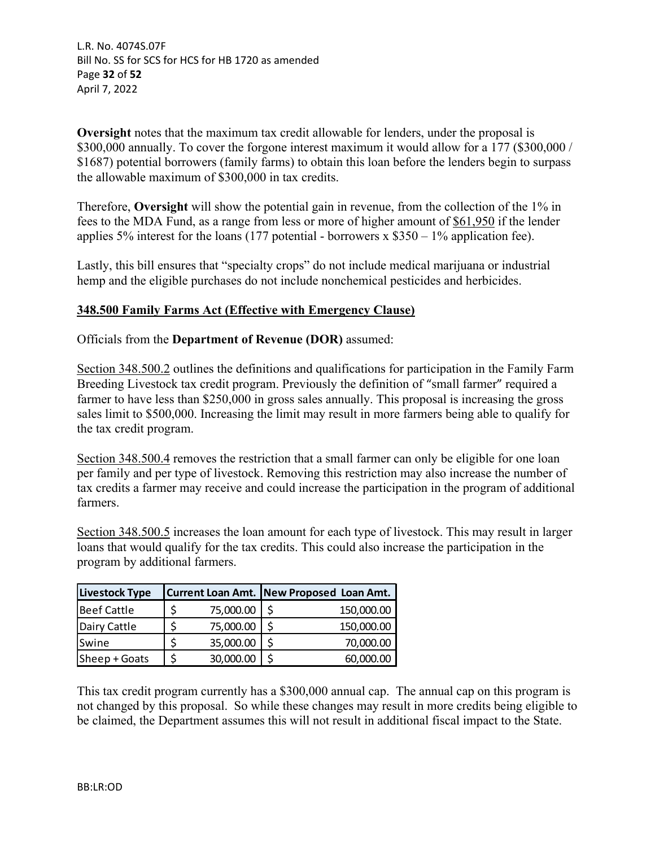L.R. No. 4074S.07F Bill No. SS for SCS for HCS for HB 1720 as amended Page **32** of **52** April 7, 2022

**Oversight** notes that the maximum tax credit allowable for lenders, under the proposal is \$300,000 annually. To cover the forgone interest maximum it would allow for a 177 (\$300,000 / \$1687) potential borrowers (family farms) to obtain this loan before the lenders begin to surpass the allowable maximum of \$300,000 in tax credits.

Therefore, **Oversight** will show the potential gain in revenue, from the collection of the 1% in fees to the MDA Fund, as a range from less or more of higher amount of \$61,950 if the lender applies 5% interest for the loans (177 potential - borrowers x  $$350 - 1%$  application fee).

Lastly, this bill ensures that "specialty crops" do not include medical marijuana or industrial hemp and the eligible purchases do not include nonchemical pesticides and herbicides.

# **348.500 Family Farms Act (Effective with Emergency Clause)**

Officials from the **Department of Revenue (DOR)** assumed:

Section 348.500.2 outlines the definitions and qualifications for participation in the Family Farm Breeding Livestock tax credit program. Previously the definition of "small farmer" required a farmer to have less than \$250,000 in gross sales annually. This proposal is increasing the gross sales limit to \$500,000. Increasing the limit may result in more farmers being able to qualify for the tax credit program.

Section 348.500.4 removes the restriction that a small farmer can only be eligible for one loan per family and per type of livestock. Removing this restriction may also increase the number of tax credits a farmer may receive and could increase the participation in the program of additional farmers.

Section 348.500.5 increases the loan amount for each type of livestock. This may result in larger loans that would qualify for the tax credits. This could also increase the participation in the program by additional farmers.

| <b>Livestock Type</b> |           | Current Loan Amt. New Proposed Loan Amt. |
|-----------------------|-----------|------------------------------------------|
| <b>Beef Cattle</b>    | 75,000.00 | 150,000.00                               |
| Dairy Cattle          | 75,000.00 | 150,000.00                               |
| Swine                 | 35,000.00 | 70,000.00                                |
| Sheep + Goats         | 30,000.00 | 60,000.00                                |

This tax credit program currently has a \$300,000 annual cap. The annual cap on this program is not changed by this proposal. So while these changes may result in more credits being eligible to be claimed, the Department assumes this will not result in additional fiscal impact to the State.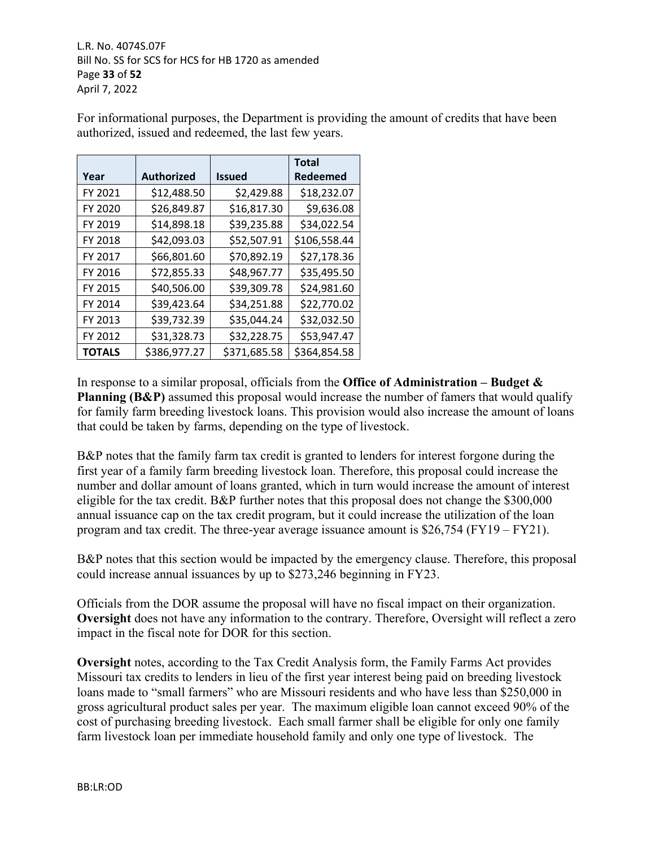L.R. No. 4074S.07F Bill No. SS for SCS for HCS for HB 1720 as amended Page **33** of **52** April 7, 2022

For informational purposes, the Department is providing the amount of credits that have been authorized, issued and redeemed, the last few years.

|               |                   |               | <b>Total</b> |
|---------------|-------------------|---------------|--------------|
| Year          | <b>Authorized</b> | <b>Issued</b> | Redeemed     |
| FY 2021       | \$12,488.50       | \$2,429.88    | \$18,232.07  |
| FY 2020       | \$26,849.87       | \$16,817.30   | \$9,636.08   |
| FY 2019       | \$14,898.18       | \$39,235.88   | \$34,022.54  |
| FY 2018       | \$42,093.03       | \$52,507.91   | \$106,558.44 |
| FY 2017       | \$66,801.60       | \$70,892.19   | \$27,178.36  |
| FY 2016       | \$72,855.33       | \$48,967.77   | \$35,495.50  |
| FY 2015       | \$40,506.00       | \$39,309.78   | \$24,981.60  |
| FY 2014       | \$39,423.64       | \$34,251.88   | \$22,770.02  |
| FY 2013       | \$39,732.39       | \$35,044.24   | \$32,032.50  |
| FY 2012       | \$31,328.73       | \$32,228.75   | \$53,947.47  |
| <b>TOTALS</b> | \$386,977.27      | \$371,685.58  | \$364,854.58 |

In response to a similar proposal, officials from the **Office of Administration – Budget & Planning (B&P)** assumed this proposal would increase the number of famers that would qualify for family farm breeding livestock loans. This provision would also increase the amount of loans that could be taken by farms, depending on the type of livestock.

B&P notes that the family farm tax credit is granted to lenders for interest forgone during the first year of a family farm breeding livestock loan. Therefore, this proposal could increase the number and dollar amount of loans granted, which in turn would increase the amount of interest eligible for the tax credit. B&P further notes that this proposal does not change the \$300,000 annual issuance cap on the tax credit program, but it could increase the utilization of the loan program and tax credit. The three-year average issuance amount is \$26,754 (FY19 – FY21).

B&P notes that this section would be impacted by the emergency clause. Therefore, this proposal could increase annual issuances by up to \$273,246 beginning in FY23.

Officials from the DOR assume the proposal will have no fiscal impact on their organization. **Oversight** does not have any information to the contrary. Therefore, Oversight will reflect a zero impact in the fiscal note for DOR for this section.

**Oversight** notes, according to the Tax Credit Analysis form, the Family Farms Act provides Missouri tax credits to lenders in lieu of the first year interest being paid on breeding livestock loans made to "small farmers" who are Missouri residents and who have less than \$250,000 in gross agricultural product sales per year. The maximum eligible loan cannot exceed 90% of the cost of purchasing breeding livestock. Each small farmer shall be eligible for only one family farm livestock loan per immediate household family and only one type of livestock. The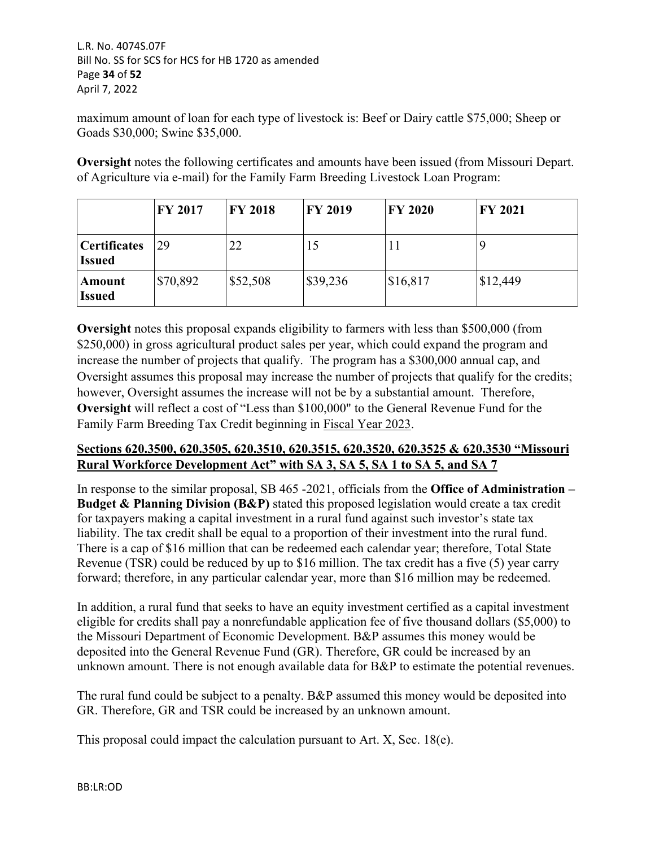L.R. No. 4074S.07F Bill No. SS for SCS for HCS for HB 1720 as amended Page **34** of **52** April 7, 2022

maximum amount of loan for each type of livestock is: Beef or Dairy cattle \$75,000; Sheep or Goads \$30,000; Swine \$35,000.

**Oversight** notes the following certificates and amounts have been issued (from Missouri Depart. of Agriculture via e-mail) for the Family Farm Breeding Livestock Loan Program:

|                                      | <b>FY 2017</b> | <b>FY 2018</b> | <b>FY 2019</b> | <b>FY 2020</b> | <b>FY 2021</b> |
|--------------------------------------|----------------|----------------|----------------|----------------|----------------|
| <b>Certificates</b><br><b>Issued</b> | 29             | 22             | 15             | 11             |                |
| Amount<br><b>Issued</b>              | \$70,892       | \$52,508       | \$39,236       | \$16,817       | \$12,449       |

**Oversight** notes this proposal expands eligibility to farmers with less than \$500,000 (from \$250,000) in gross agricultural product sales per year, which could expand the program and increase the number of projects that qualify. The program has a \$300,000 annual cap, and Oversight assumes this proposal may increase the number of projects that qualify for the credits; however, Oversight assumes the increase will not be by a substantial amount. Therefore, **Oversight** will reflect a cost of "Less than \$100,000" to the General Revenue Fund for the Family Farm Breeding Tax Credit beginning in Fiscal Year 2023.

# **Sections 620.3500, 620.3505, 620.3510, 620.3515, 620.3520, 620.3525 & 620.3530 "Missouri Rural Workforce Development Act" with SA 3, SA 5, SA 1 to SA 5, and SA 7**

In response to the similar proposal, SB 465 -2021, officials from the **Office of Administration – Budget & Planning Division (B&P)** stated this proposed legislation would create a tax credit for taxpayers making a capital investment in a rural fund against such investor's state tax liability. The tax credit shall be equal to a proportion of their investment into the rural fund. There is a cap of \$16 million that can be redeemed each calendar year; therefore, Total State Revenue (TSR) could be reduced by up to \$16 million. The tax credit has a five (5) year carry forward; therefore, in any particular calendar year, more than \$16 million may be redeemed.

In addition, a rural fund that seeks to have an equity investment certified as a capital investment eligible for credits shall pay a nonrefundable application fee of five thousand dollars (\$5,000) to the Missouri Department of Economic Development. B&P assumes this money would be deposited into the General Revenue Fund (GR). Therefore, GR could be increased by an unknown amount. There is not enough available data for B&P to estimate the potential revenues.

The rural fund could be subject to a penalty. B&P assumed this money would be deposited into GR. Therefore, GR and TSR could be increased by an unknown amount.

This proposal could impact the calculation pursuant to Art. X, Sec. 18(e).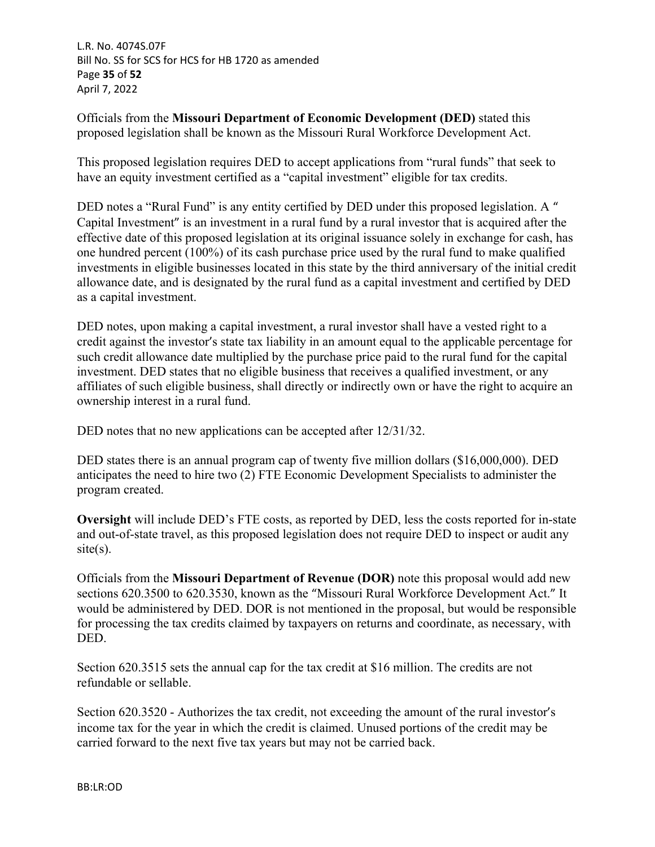L.R. No. 4074S.07F Bill No. SS for SCS for HCS for HB 1720 as amended Page **35** of **52** April 7, 2022

Officials from the **Missouri Department of Economic Development (DED)** stated this proposed legislation shall be known as the Missouri Rural Workforce Development Act.

This proposed legislation requires DED to accept applications from "rural funds" that seek to have an equity investment certified as a "capital investment" eligible for tax credits.

DED notes a "Rural Fund" is any entity certified by DED under this proposed legislation. A " Capital Investment" is an investment in a rural fund by a rural investor that is acquired after the effective date of this proposed legislation at its original issuance solely in exchange for cash, has one hundred percent (100%) of its cash purchase price used by the rural fund to make qualified investments in eligible businesses located in this state by the third anniversary of the initial credit allowance date, and is designated by the rural fund as a capital investment and certified by DED as a capital investment.

DED notes, upon making a capital investment, a rural investor shall have a vested right to a credit against the investor's state tax liability in an amount equal to the applicable percentage for such credit allowance date multiplied by the purchase price paid to the rural fund for the capital investment. DED states that no eligible business that receives a qualified investment, or any affiliates of such eligible business, shall directly or indirectly own or have the right to acquire an ownership interest in a rural fund.

DED notes that no new applications can be accepted after  $12/31/32$ .

DED states there is an annual program cap of twenty five million dollars (\$16,000,000). DED anticipates the need to hire two (2) FTE Economic Development Specialists to administer the program created.

**Oversight** will include DED's FTE costs, as reported by DED, less the costs reported for in-state and out-of-state travel, as this proposed legislation does not require DED to inspect or audit any  $site(s)$ .

Officials from the **Missouri Department of Revenue (DOR)** note this proposal would add new sections 620.3500 to 620.3530, known as the "Missouri Rural Workforce Development Act." It would be administered by DED. DOR is not mentioned in the proposal, but would be responsible for processing the tax credits claimed by taxpayers on returns and coordinate, as necessary, with DED.

Section 620.3515 sets the annual cap for the tax credit at \$16 million. The credits are not refundable or sellable.

Section 620.3520 - Authorizes the tax credit, not exceeding the amount of the rural investor's income tax for the year in which the credit is claimed. Unused portions of the credit may be carried forward to the next five tax years but may not be carried back.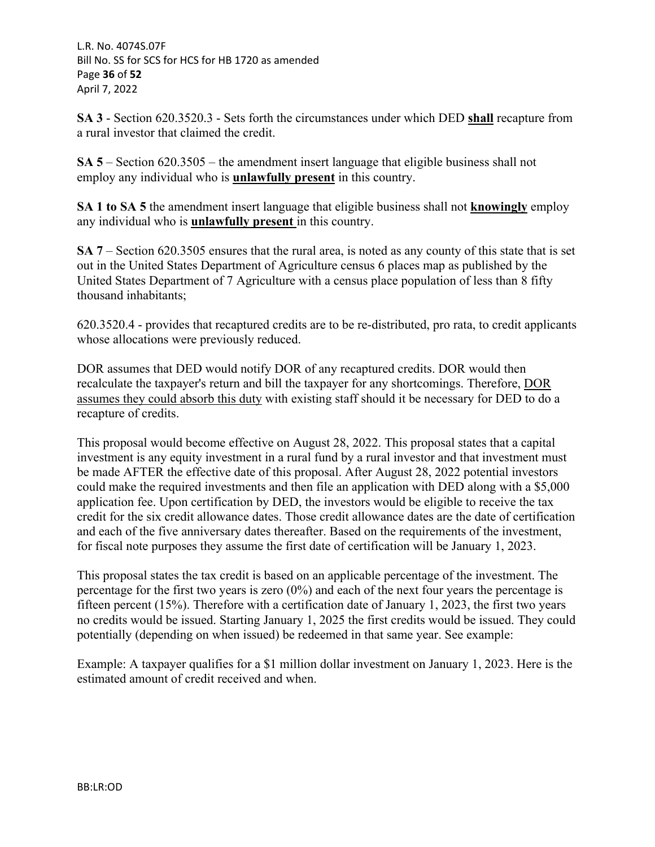L.R. No. 4074S.07F Bill No. SS for SCS for HCS for HB 1720 as amended Page **36** of **52** April 7, 2022

**SA 3** - Section 620.3520.3 - Sets forth the circumstances under which DED **shall** recapture from a rural investor that claimed the credit.

**SA 5** – Section 620.3505 – the amendment insert language that eligible business shall not employ any individual who is **unlawfully present** in this country.

**SA 1 to SA 5** the amendment insert language that eligible business shall not **knowingly** employ any individual who is **unlawfully present** in this country.

**SA 7** – Section 620.3505 ensures that the rural area, is noted as any county of this state that is set out in the United States Department of Agriculture census 6 places map as published by the United States Department of 7 Agriculture with a census place population of less than 8 fifty thousand inhabitants;

620.3520.4 - provides that recaptured credits are to be re-distributed, pro rata, to credit applicants whose allocations were previously reduced.

DOR assumes that DED would notify DOR of any recaptured credits. DOR would then recalculate the taxpayer's return and bill the taxpayer for any shortcomings. Therefore, DOR assumes they could absorb this duty with existing staff should it be necessary for DED to do a recapture of credits.

This proposal would become effective on August 28, 2022. This proposal states that a capital investment is any equity investment in a rural fund by a rural investor and that investment must be made AFTER the effective date of this proposal. After August 28, 2022 potential investors could make the required investments and then file an application with DED along with a \$5,000 application fee. Upon certification by DED, the investors would be eligible to receive the tax credit for the six credit allowance dates. Those credit allowance dates are the date of certification and each of the five anniversary dates thereafter. Based on the requirements of the investment, for fiscal note purposes they assume the first date of certification will be January 1, 2023.

This proposal states the tax credit is based on an applicable percentage of the investment. The percentage for the first two years is zero  $(0\%)$  and each of the next four years the percentage is fifteen percent (15%). Therefore with a certification date of January 1, 2023, the first two years no credits would be issued. Starting January 1, 2025 the first credits would be issued. They could potentially (depending on when issued) be redeemed in that same year. See example:

Example: A taxpayer qualifies for a \$1 million dollar investment on January 1, 2023. Here is the estimated amount of credit received and when.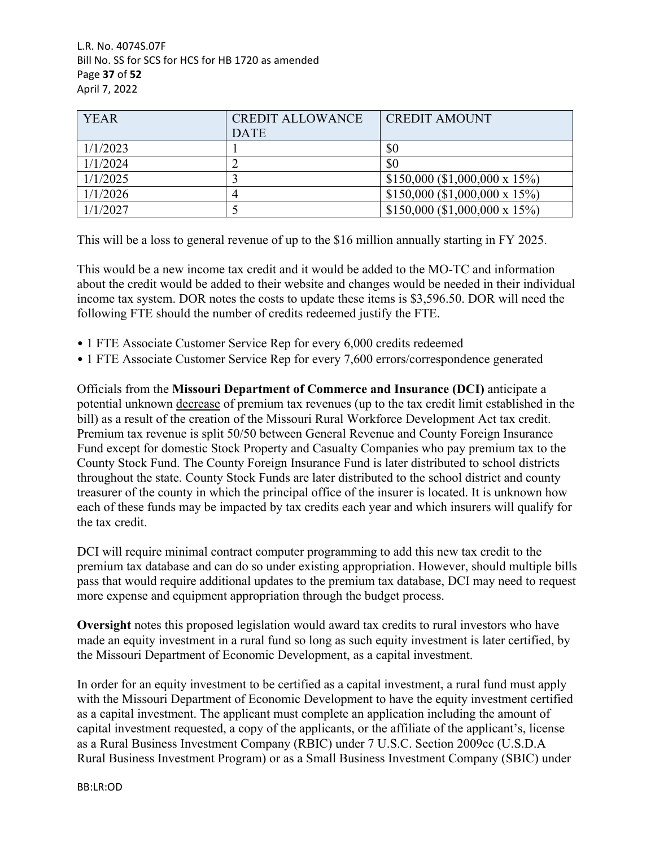L.R. No. 4074S.07F Bill No. SS for SCS for HCS for HB 1720 as amended Page **37** of **52** April 7, 2022

| <b>YEAR</b> | <b>CREDIT ALLOWANCE</b><br><b>DATE</b> | <b>CREDIT AMOUNT</b>          |
|-------------|----------------------------------------|-------------------------------|
| 1/1/2023    |                                        | \$0                           |
| 1/1/2024    |                                        | \$0                           |
| 1/1/2025    |                                        | \$150,000 (\$1,000,000 x 15%) |
| 1/1/2026    |                                        | \$150,000 (\$1,000,000 x 15%) |
| 1/1/2027    |                                        | \$150,000 (\$1,000,000 x 15%) |

This will be a loss to general revenue of up to the \$16 million annually starting in FY 2025.

This would be a new income tax credit and it would be added to the MO-TC and information about the credit would be added to their website and changes would be needed in their individual income tax system. DOR notes the costs to update these items is \$3,596.50. DOR will need the following FTE should the number of credits redeemed justify the FTE.

- 1 FTE Associate Customer Service Rep for every 6,000 credits redeemed
- 1 FTE Associate Customer Service Rep for every 7,600 errors/correspondence generated

Officials from the **Missouri Department of Commerce and Insurance (DCI)** anticipate a potential unknown decrease of premium tax revenues (up to the tax credit limit established in the bill) as a result of the creation of the Missouri Rural Workforce Development Act tax credit. Premium tax revenue is split 50/50 between General Revenue and County Foreign Insurance Fund except for domestic Stock Property and Casualty Companies who pay premium tax to the County Stock Fund. The County Foreign Insurance Fund is later distributed to school districts throughout the state. County Stock Funds are later distributed to the school district and county treasurer of the county in which the principal office of the insurer is located. It is unknown how each of these funds may be impacted by tax credits each year and which insurers will qualify for the tax credit.

DCI will require minimal contract computer programming to add this new tax credit to the premium tax database and can do so under existing appropriation. However, should multiple bills pass that would require additional updates to the premium tax database, DCI may need to request more expense and equipment appropriation through the budget process.

**Oversight** notes this proposed legislation would award tax credits to rural investors who have made an equity investment in a rural fund so long as such equity investment is later certified, by the Missouri Department of Economic Development, as a capital investment.

In order for an equity investment to be certified as a capital investment, a rural fund must apply with the Missouri Department of Economic Development to have the equity investment certified as a capital investment. The applicant must complete an application including the amount of capital investment requested, a copy of the applicants, or the affiliate of the applicant's, license as a Rural Business Investment Company (RBIC) under 7 U.S.C. Section 2009cc (U.S.D.A Rural Business Investment Program) or as a Small Business Investment Company (SBIC) under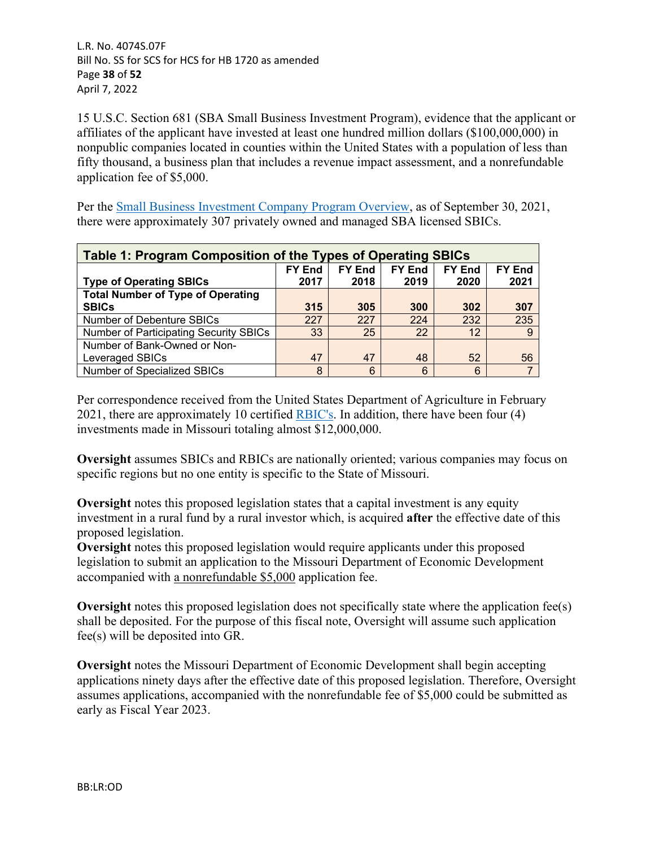L.R. No. 4074S.07F Bill No. SS for SCS for HCS for HB 1720 as amended Page **38** of **52** April 7, 2022

15 U.S.C. Section 681 (SBA Small Business Investment Program), evidence that the applicant or affiliates of the applicant have invested at least one hundred million dollars (\$100,000,000) in nonpublic companies located in counties within the United States with a population of less than fifty thousand, a business plan that includes a revenue impact assessment, and a nonrefundable application fee of \$5,000.

Per the [Small Business Investment Company Program Overview,](https://fas.org/sgp/crs/misc/R41456.pdf) as of September 30, 2021, there were approximately 307 privately owned and managed SBA licensed SBICs.

| Table 1: Program Composition of the Types of Operating SBICs |                                                                                   |      |      |      |      |  |
|--------------------------------------------------------------|-----------------------------------------------------------------------------------|------|------|------|------|--|
|                                                              | <b>FY End</b><br><b>FY End</b><br><b>FY End</b><br><b>FY End</b><br><b>FY End</b> |      |      |      |      |  |
| <b>Type of Operating SBICs</b>                               | 2017                                                                              | 2018 | 2019 | 2020 | 2021 |  |
| <b>Total Number of Type of Operating</b>                     |                                                                                   |      |      |      |      |  |
| <b>SBICs</b>                                                 | 315                                                                               | 305  | 300  | 302  | 307  |  |
| Number of Debenture SBICs                                    | 227                                                                               | 227  | 224  | 232  | 235  |  |
| Number of Participating Security SBICs                       | 33                                                                                | 25   | 22   | 12   | -9   |  |
| Number of Bank-Owned or Non-                                 |                                                                                   |      |      |      |      |  |
| Leveraged SBICs                                              | 47                                                                                | 47   | 48   | 52   | 56   |  |
| Number of Specialized SBICs                                  | 8                                                                                 | 6    | 6    | 6    |      |  |

Per correspondence received from the United States Department of Agriculture in February 2021, there are approximately 10 certified [RBIC's.](https://www.rd.usda.gov/sites/default/files/USDA_RD_CertifiedRBICs.pdf) In addition, there have been four (4) investments made in Missouri totaling almost \$12,000,000.

**Oversight** assumes SBICs and RBICs are nationally oriented; various companies may focus on specific regions but no one entity is specific to the State of Missouri.

**Oversight** notes this proposed legislation states that a capital investment is any equity investment in a rural fund by a rural investor which, is acquired **after** the effective date of this proposed legislation.

**Oversight** notes this proposed legislation would require applicants under this proposed legislation to submit an application to the Missouri Department of Economic Development accompanied with a nonrefundable \$5,000 application fee.

**Oversight** notes this proposed legislation does not specifically state where the application fee(s) shall be deposited. For the purpose of this fiscal note, Oversight will assume such application fee(s) will be deposited into GR.

**Oversight** notes the Missouri Department of Economic Development shall begin accepting applications ninety days after the effective date of this proposed legislation. Therefore, Oversight assumes applications, accompanied with the nonrefundable fee of \$5,000 could be submitted as early as Fiscal Year 2023.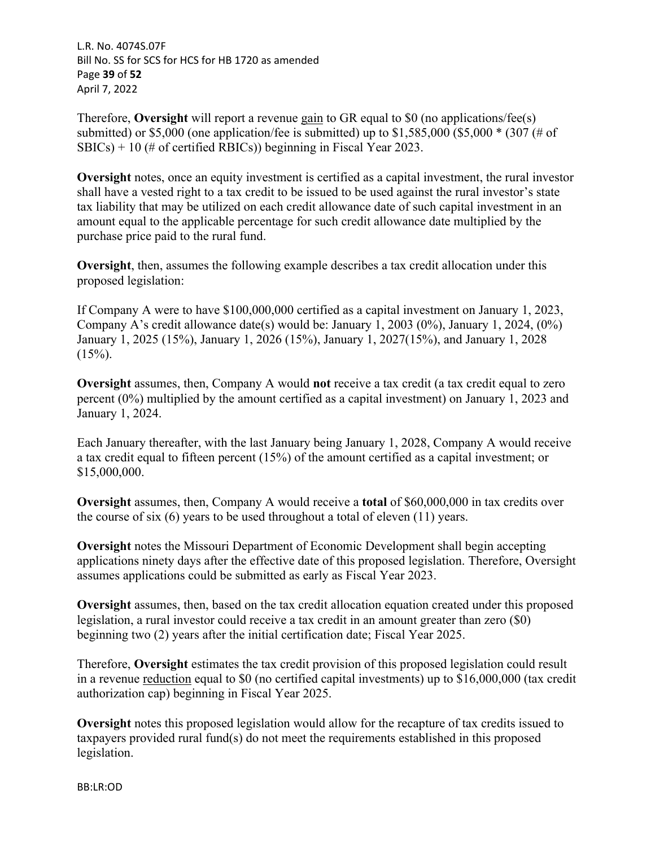L.R. No. 4074S.07F Bill No. SS for SCS for HCS for HB 1720 as amended Page **39** of **52** April 7, 2022

Therefore, **Oversight** will report a revenue gain to GR equal to \$0 (no applications/fee(s) submitted) or \$5,000 (one application/fee is submitted) up to  $$1,585,000$  (\$5,000  $*$  (307 (# of  $SBICs$ ) + 10 (# of certified RBICs)) beginning in Fiscal Year 2023.

**Oversight** notes, once an equity investment is certified as a capital investment, the rural investor shall have a vested right to a tax credit to be issued to be used against the rural investor's state tax liability that may be utilized on each credit allowance date of such capital investment in an amount equal to the applicable percentage for such credit allowance date multiplied by the purchase price paid to the rural fund.

**Oversight**, then, assumes the following example describes a tax credit allocation under this proposed legislation:

If Company A were to have \$100,000,000 certified as a capital investment on January 1, 2023, Company A's credit allowance date(s) would be: January 1, 2003 (0%), January 1, 2024, (0%) January 1, 2025 (15%), January 1, 2026 (15%), January 1, 2027(15%), and January 1, 2028  $(15\%)$ .

**Oversight** assumes, then, Company A would **not** receive a tax credit (a tax credit equal to zero percent (0%) multiplied by the amount certified as a capital investment) on January 1, 2023 and January 1, 2024.

Each January thereafter, with the last January being January 1, 2028, Company A would receive a tax credit equal to fifteen percent (15%) of the amount certified as a capital investment; or \$15,000,000.

**Oversight** assumes, then, Company A would receive a **total** of \$60,000,000 in tax credits over the course of six (6) years to be used throughout a total of eleven (11) years.

**Oversight** notes the Missouri Department of Economic Development shall begin accepting applications ninety days after the effective date of this proposed legislation. Therefore, Oversight assumes applications could be submitted as early as Fiscal Year 2023.

**Oversight** assumes, then, based on the tax credit allocation equation created under this proposed legislation, a rural investor could receive a tax credit in an amount greater than zero (\$0) beginning two (2) years after the initial certification date; Fiscal Year 2025.

Therefore, **Oversight** estimates the tax credit provision of this proposed legislation could result in a revenue reduction equal to \$0 (no certified capital investments) up to \$16,000,000 (tax credit authorization cap) beginning in Fiscal Year 2025.

**Oversight** notes this proposed legislation would allow for the recapture of tax credits issued to taxpayers provided rural fund(s) do not meet the requirements established in this proposed legislation.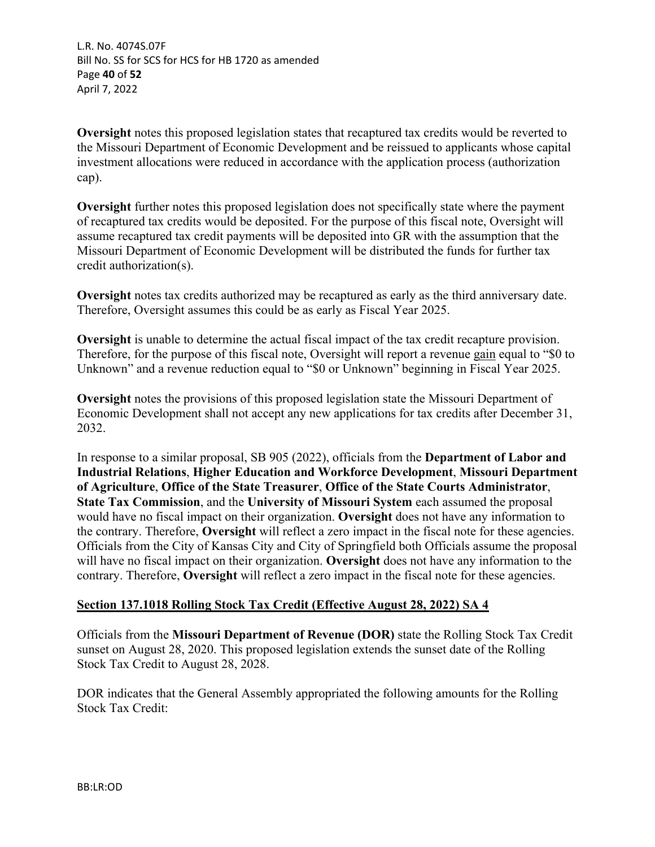L.R. No. 4074S.07F Bill No. SS for SCS for HCS for HB 1720 as amended Page **40** of **52** April 7, 2022

**Oversight** notes this proposed legislation states that recaptured tax credits would be reverted to the Missouri Department of Economic Development and be reissued to applicants whose capital investment allocations were reduced in accordance with the application process (authorization cap).

**Oversight** further notes this proposed legislation does not specifically state where the payment of recaptured tax credits would be deposited. For the purpose of this fiscal note, Oversight will assume recaptured tax credit payments will be deposited into GR with the assumption that the Missouri Department of Economic Development will be distributed the funds for further tax credit authorization(s).

**Oversight** notes tax credits authorized may be recaptured as early as the third anniversary date. Therefore, Oversight assumes this could be as early as Fiscal Year 2025.

**Oversight** is unable to determine the actual fiscal impact of the tax credit recapture provision. Therefore, for the purpose of this fiscal note, Oversight will report a revenue gain equal to "\$0 to Unknown" and a revenue reduction equal to "\$0 or Unknown" beginning in Fiscal Year 2025.

**Oversight** notes the provisions of this proposed legislation state the Missouri Department of Economic Development shall not accept any new applications for tax credits after December 31, 2032.

In response to a similar proposal, SB 905 (2022), officials from the **Department of Labor and Industrial Relations**, **Higher Education and Workforce Development**, **Missouri Department of Agriculture**, **Office of the State Treasurer**, **Office of the State Courts Administrator**, **State Tax Commission**, and the **University of Missouri System** each assumed the proposal would have no fiscal impact on their organization. **Oversight** does not have any information to the contrary. Therefore, **Oversight** will reflect a zero impact in the fiscal note for these agencies. Officials from the City of Kansas City and City of Springfield both Officials assume the proposal will have no fiscal impact on their organization. **Oversight** does not have any information to the contrary. Therefore, **Oversight** will reflect a zero impact in the fiscal note for these agencies.

# **Section 137.1018 Rolling Stock Tax Credit (Effective August 28, 2022) SA 4**

Officials from the **Missouri Department of Revenue (DOR)** state the Rolling Stock Tax Credit sunset on August 28, 2020. This proposed legislation extends the sunset date of the Rolling Stock Tax Credit to August 28, 2028.

DOR indicates that the General Assembly appropriated the following amounts for the Rolling Stock Tax Credit: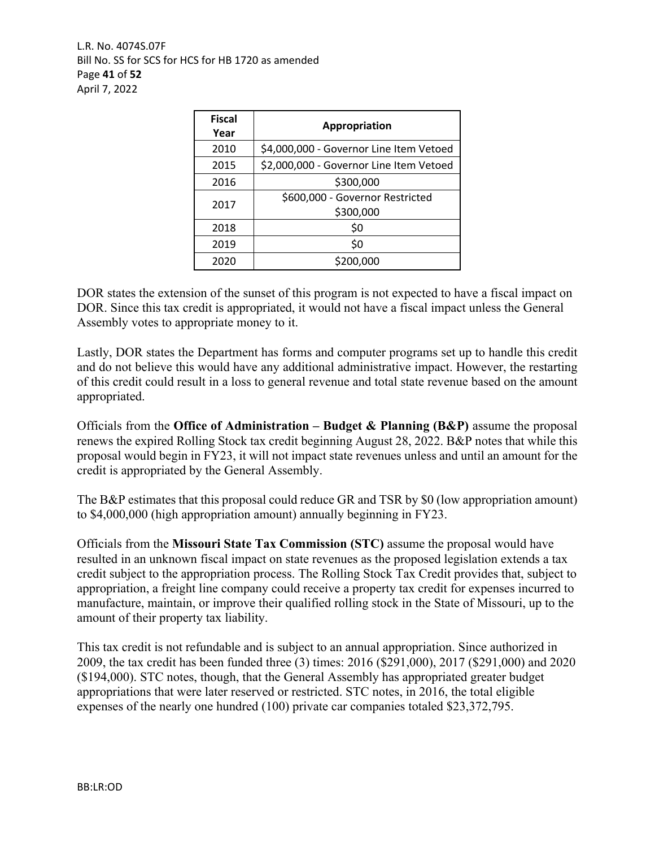L.R. No. 4074S.07F Bill No. SS for SCS for HCS for HB 1720 as amended Page **41** of **52** April 7, 2022

| <b>Fiscal</b><br>Year | Appropriation                                |
|-----------------------|----------------------------------------------|
| 2010                  | \$4,000,000 - Governor Line Item Vetoed      |
| 2015                  | \$2,000,000 - Governor Line Item Vetoed      |
| 2016                  | \$300,000                                    |
| 2017                  | \$600,000 - Governor Restricted<br>\$300,000 |
| 2018                  | \$0                                          |
| 2019                  | \$0                                          |
| 2020                  | \$200,000                                    |

DOR states the extension of the sunset of this program is not expected to have a fiscal impact on DOR. Since this tax credit is appropriated, it would not have a fiscal impact unless the General Assembly votes to appropriate money to it.

Lastly, DOR states the Department has forms and computer programs set up to handle this credit and do not believe this would have any additional administrative impact. However, the restarting of this credit could result in a loss to general revenue and total state revenue based on the amount appropriated.

Officials from the **Office of Administration – Budget & Planning (B&P)** assume the proposal renews the expired Rolling Stock tax credit beginning August 28, 2022. B&P notes that while this proposal would begin in FY23, it will not impact state revenues unless and until an amount for the credit is appropriated by the General Assembly.

The B&P estimates that this proposal could reduce GR and TSR by \$0 (low appropriation amount) to \$4,000,000 (high appropriation amount) annually beginning in FY23.

Officials from the **Missouri State Tax Commission (STC)** assume the proposal would have resulted in an unknown fiscal impact on state revenues as the proposed legislation extends a tax credit subject to the appropriation process. The Rolling Stock Tax Credit provides that, subject to appropriation, a freight line company could receive a property tax credit for expenses incurred to manufacture, maintain, or improve their qualified rolling stock in the State of Missouri, up to the amount of their property tax liability.

This tax credit is not refundable and is subject to an annual appropriation. Since authorized in 2009, the tax credit has been funded three (3) times: 2016 (\$291,000), 2017 (\$291,000) and 2020 (\$194,000). STC notes, though, that the General Assembly has appropriated greater budget appropriations that were later reserved or restricted. STC notes, in 2016, the total eligible expenses of the nearly one hundred (100) private car companies totaled \$23,372,795.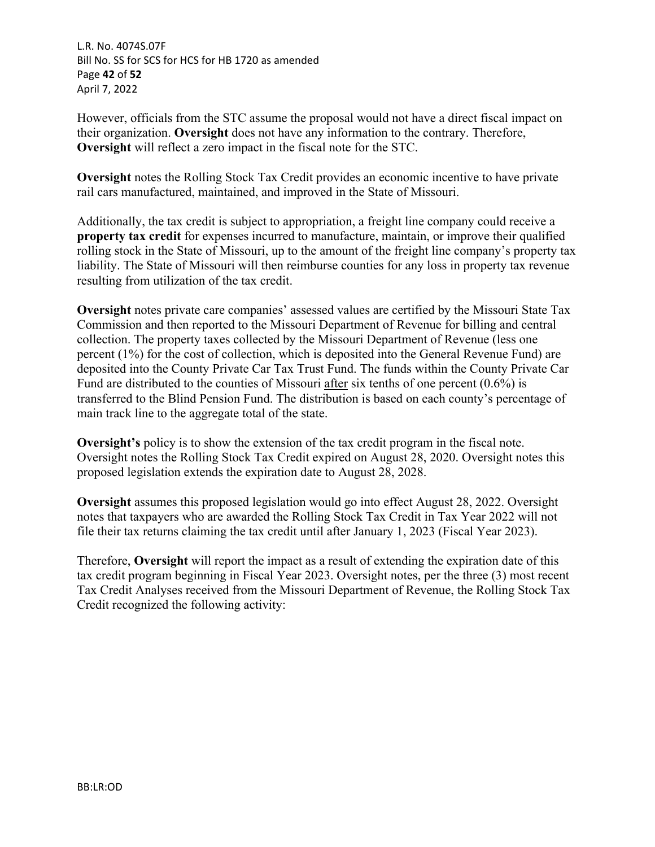L.R. No. 4074S.07F Bill No. SS for SCS for HCS for HB 1720 as amended Page **42** of **52** April 7, 2022

However, officials from the STC assume the proposal would not have a direct fiscal impact on their organization. **Oversight** does not have any information to the contrary. Therefore, **Oversight** will reflect a zero impact in the fiscal note for the STC.

**Oversight** notes the Rolling Stock Tax Credit provides an economic incentive to have private rail cars manufactured, maintained, and improved in the State of Missouri.

Additionally, the tax credit is subject to appropriation, a freight line company could receive a **property tax credit** for expenses incurred to manufacture, maintain, or improve their qualified rolling stock in the State of Missouri, up to the amount of the freight line company's property tax liability. The State of Missouri will then reimburse counties for any loss in property tax revenue resulting from utilization of the tax credit.

**Oversight** notes private care companies' assessed values are certified by the Missouri State Tax Commission and then reported to the Missouri Department of Revenue for billing and central collection. The property taxes collected by the Missouri Department of Revenue (less one percent (1%) for the cost of collection, which is deposited into the General Revenue Fund) are deposited into the County Private Car Tax Trust Fund. The funds within the County Private Car Fund are distributed to the counties of Missouri after six tenths of one percent (0.6%) is transferred to the Blind Pension Fund. The distribution is based on each county's percentage of main track line to the aggregate total of the state.

**Oversight's** policy is to show the extension of the tax credit program in the fiscal note. Oversight notes the Rolling Stock Tax Credit expired on August 28, 2020. Oversight notes this proposed legislation extends the expiration date to August 28, 2028.

**Oversight** assumes this proposed legislation would go into effect August 28, 2022. Oversight notes that taxpayers who are awarded the Rolling Stock Tax Credit in Tax Year 2022 will not file their tax returns claiming the tax credit until after January 1, 2023 (Fiscal Year 2023).

Therefore, **Oversight** will report the impact as a result of extending the expiration date of this tax credit program beginning in Fiscal Year 2023. Oversight notes, per the three (3) most recent Tax Credit Analyses received from the Missouri Department of Revenue, the Rolling Stock Tax Credit recognized the following activity: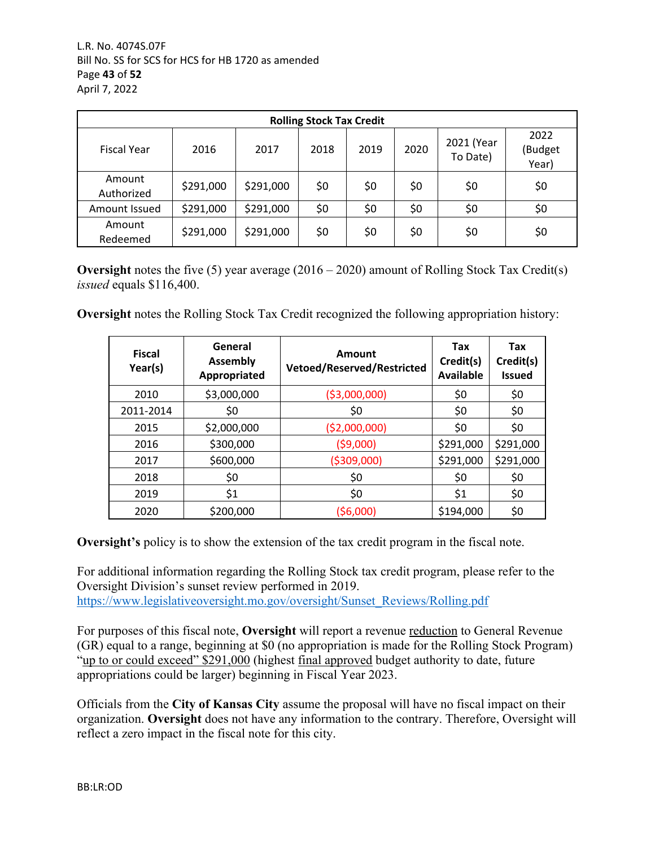| <b>Rolling Stock Tax Credit</b> |           |           |      |      |      |                        |                          |
|---------------------------------|-----------|-----------|------|------|------|------------------------|--------------------------|
| <b>Fiscal Year</b>              | 2016      | 2017      | 2018 | 2019 | 2020 | 2021 (Year<br>To Date) | 2022<br>(Budget<br>Year) |
| Amount<br>Authorized            | \$291,000 | \$291,000 | \$0  | \$0  | \$0  | \$0                    | \$0                      |
| Amount Issued                   | \$291,000 | \$291,000 | \$0  | \$0  | \$0  | \$0                    | \$0                      |
| Amount<br>Redeemed              | \$291,000 | \$291,000 | \$0  | \$0  | \$0  | \$0                    | \$0                      |

**Oversight** notes the five (5) year average (2016 – 2020) amount of Rolling Stock Tax Credit(s) *issued* equals \$116,400.

**Oversight** notes the Rolling Stock Tax Credit recognized the following appropriation history:

| <b>Fiscal</b><br>Year(s) | General<br><b>Assembly</b><br>Appropriated | Amount<br>Vetoed/Reserved/Restricted | Tax<br>Credit(s)<br><b>Available</b> | Tax<br>Credit(s)<br><b>Issued</b> |
|--------------------------|--------------------------------------------|--------------------------------------|--------------------------------------|-----------------------------------|
| 2010                     | \$3,000,000                                | ( \$3,000,000)                       | \$0                                  | \$0                               |
| 2011-2014                | \$0                                        | \$0                                  | \$0                                  | \$0                               |
| 2015                     | \$2,000,000                                | ( \$2,000,000)                       | \$0                                  | \$0                               |
| 2016                     | \$300,000                                  | (59,000)                             | \$291,000                            | \$291,000                         |
| 2017                     | \$600,000                                  | ( \$309,000)                         | \$291,000                            | \$291,000                         |
| 2018                     | \$0                                        | \$0                                  | \$0                                  | \$0                               |
| 2019                     | \$1                                        | \$0                                  | \$1                                  | \$0                               |
| 2020                     | \$200,000                                  | (56,000)                             | \$194,000                            | \$0                               |

**Oversight's** policy is to show the extension of the tax credit program in the fiscal note.

For additional information regarding the Rolling Stock tax credit program, please refer to the Oversight Division's sunset review performed in 2019. [https://www.legislativeoversight.mo.gov/oversight/Sunset\\_Reviews/Rolling.pdf](https://www.legislativeoversight.mo.gov/oversight/Sunset_Reviews/Rolling.pdf)

For purposes of this fiscal note, **Oversight** will report a revenue reduction to General Revenue (GR) equal to a range, beginning at \$0 (no appropriation is made for the Rolling Stock Program) "up to or could exceed" \$291,000 (highest final approved budget authority to date, future appropriations could be larger) beginning in Fiscal Year 2023.

Officials from the **City of Kansas City** assume the proposal will have no fiscal impact on their organization. **Oversight** does not have any information to the contrary. Therefore, Oversight will reflect a zero impact in the fiscal note for this city.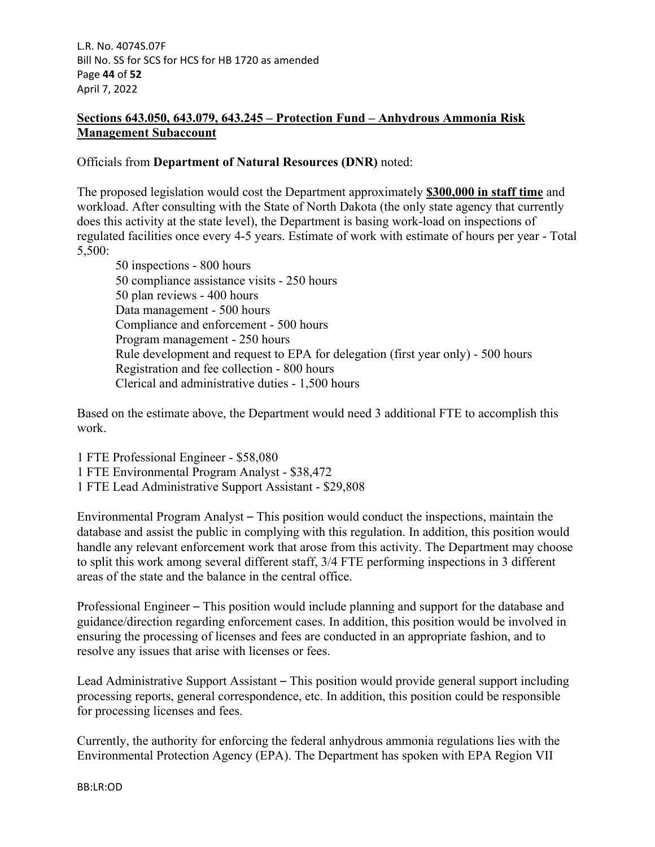L.R. No. 4074S.07F Bill No. SS for SCS for HCS for HB 1720 as amended Page **44** of **52** April 7, 2022

# **Sections 643.050, 643.079, 643.245 – Protection Fund – Anhydrous Ammonia Risk Management Subaccount**

### Officials from **Department of Natural Resources (DNR)** noted:

The proposed legislation would cost the Department approximately **\$300,000 in staff time** and workload. After consulting with the State of North Dakota (the only state agency that currently does this activity at the state level), the Department is basing work-load on inspections of regulated facilities once every 4-5 years. Estimate of work with estimate of hours per year - Total 5,500:

50 inspections - 800 hours 50 compliance assistance visits - 250 hours 50 plan reviews - 400 hours Data management - 500 hours Compliance and enforcement - 500 hours Program management - 250 hours Rule development and request to EPA for delegation (first year only) - 500 hours Registration and fee collection - 800 hours Clerical and administrative duties - 1,500 hours

Based on the estimate above, the Department would need 3 additional FTE to accomplish this work.

1 FTE Professional Engineer - \$58,080 1 FTE Environmental Program Analyst - \$38,472

1 FTE Lead Administrative Support Assistant - \$29,808

Environmental Program Analyst – This position would conduct the inspections, maintain the database and assist the public in complying with this regulation. In addition, this position would handle any relevant enforcement work that arose from this activity. The Department may choose to split this work among several different staff, 3/4 FTE performing inspections in 3 different areas of the state and the balance in the central office.

Professional Engineer – This position would include planning and support for the database and guidance/direction regarding enforcement cases. In addition, this position would be involved in ensuring the processing of licenses and fees are conducted in an appropriate fashion, and to resolve any issues that arise with licenses or fees.

Lead Administrative Support Assistant – This position would provide general support including processing reports, general correspondence, etc. In addition, this position could be responsible for processing licenses and fees.

Currently, the authority for enforcing the federal anhydrous ammonia regulations lies with the Environmental Protection Agency (EPA). The Department has spoken with EPA Region VII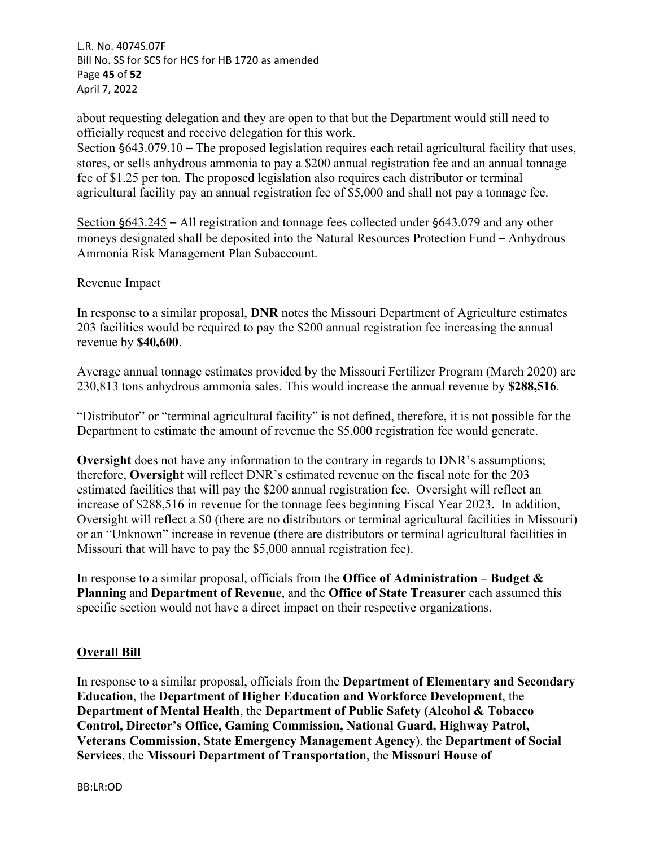L.R. No. 4074S.07F Bill No. SS for SCS for HCS for HB 1720 as amended Page **45** of **52** April 7, 2022

about requesting delegation and they are open to that but the Department would still need to officially request and receive delegation for this work.

Section §643.079.10 – The proposed legislation requires each retail agricultural facility that uses, stores, or sells anhydrous ammonia to pay a \$200 annual registration fee and an annual tonnage fee of \$1.25 per ton. The proposed legislation also requires each distributor or terminal agricultural facility pay an annual registration fee of \$5,000 and shall not pay a tonnage fee.

Section §643.245 – All registration and tonnage fees collected under §643.079 and any other moneys designated shall be deposited into the Natural Resources Protection Fund – Anhydrous Ammonia Risk Management Plan Subaccount.

#### Revenue Impact

In response to a similar proposal, **DNR** notes the Missouri Department of Agriculture estimates 203 facilities would be required to pay the \$200 annual registration fee increasing the annual revenue by **\$40,600**.

Average annual tonnage estimates provided by the Missouri Fertilizer Program (March 2020) are 230,813 tons anhydrous ammonia sales. This would increase the annual revenue by **\$288,516**.

"Distributor" or "terminal agricultural facility" is not defined, therefore, it is not possible for the Department to estimate the amount of revenue the \$5,000 registration fee would generate.

**Oversight** does not have any information to the contrary in regards to DNR's assumptions; therefore, **Oversight** will reflect DNR's estimated revenue on the fiscal note for the 203 estimated facilities that will pay the \$200 annual registration fee. Oversight will reflect an increase of \$288,516 in revenue for the tonnage fees beginning Fiscal Year 2023. In addition, Oversight will reflect a \$0 (there are no distributors or terminal agricultural facilities in Missouri) or an "Unknown" increase in revenue (there are distributors or terminal agricultural facilities in Missouri that will have to pay the \$5,000 annual registration fee).

In response to a similar proposal, officials from the **Office of Administration – Budget & Planning** and **Department of Revenue**, and the **Office of State Treasurer** each assumed this specific section would not have a direct impact on their respective organizations.

#### **Overall Bill**

In response to a similar proposal, officials from the **Department of Elementary and Secondary Education**, the **Department of Higher Education and Workforce Development**, the **Department of Mental Health**, the **Department of Public Safety (Alcohol & Tobacco Control, Director's Office, Gaming Commission, National Guard, Highway Patrol, Veterans Commission, State Emergency Management Agency**), the **Department of Social Services**, the **Missouri Department of Transportation**, the **Missouri House of**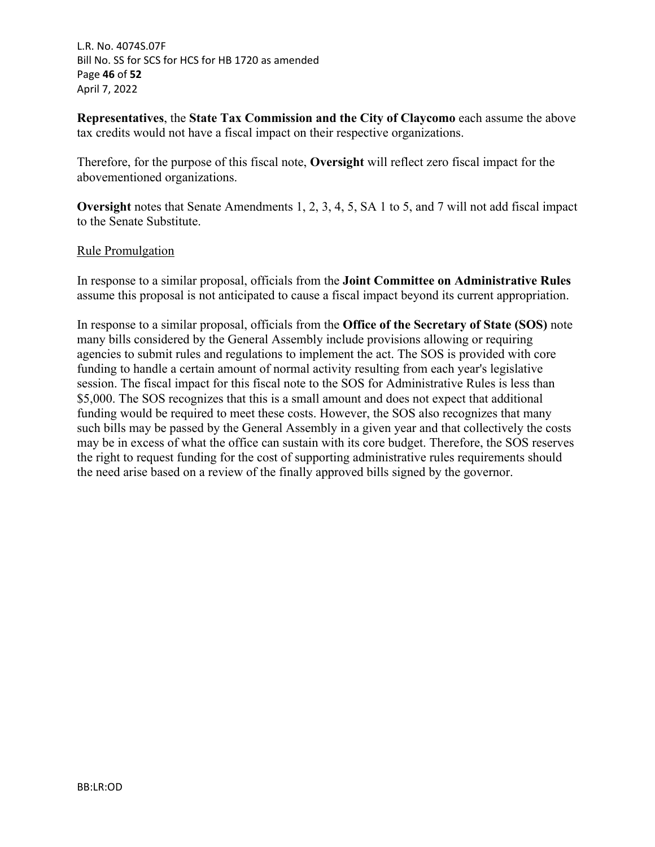L.R. No. 4074S.07F Bill No. SS for SCS for HCS for HB 1720 as amended Page **46** of **52** April 7, 2022

**Representatives**, the **State Tax Commission and the City of Claycomo** each assume the above tax credits would not have a fiscal impact on their respective organizations.

Therefore, for the purpose of this fiscal note, **Oversight** will reflect zero fiscal impact for the abovementioned organizations.

**Oversight** notes that Senate Amendments 1, 2, 3, 4, 5, SA 1 to 5, and 7 will not add fiscal impact to the Senate Substitute.

#### Rule Promulgation

In response to a similar proposal, officials from the **Joint Committee on Administrative Rules** assume this proposal is not anticipated to cause a fiscal impact beyond its current appropriation.

In response to a similar proposal, officials from the **Office of the Secretary of State (SOS)** note many bills considered by the General Assembly include provisions allowing or requiring agencies to submit rules and regulations to implement the act. The SOS is provided with core funding to handle a certain amount of normal activity resulting from each year's legislative session. The fiscal impact for this fiscal note to the SOS for Administrative Rules is less than \$5,000. The SOS recognizes that this is a small amount and does not expect that additional funding would be required to meet these costs. However, the SOS also recognizes that many such bills may be passed by the General Assembly in a given year and that collectively the costs may be in excess of what the office can sustain with its core budget. Therefore, the SOS reserves the right to request funding for the cost of supporting administrative rules requirements should the need arise based on a review of the finally approved bills signed by the governor.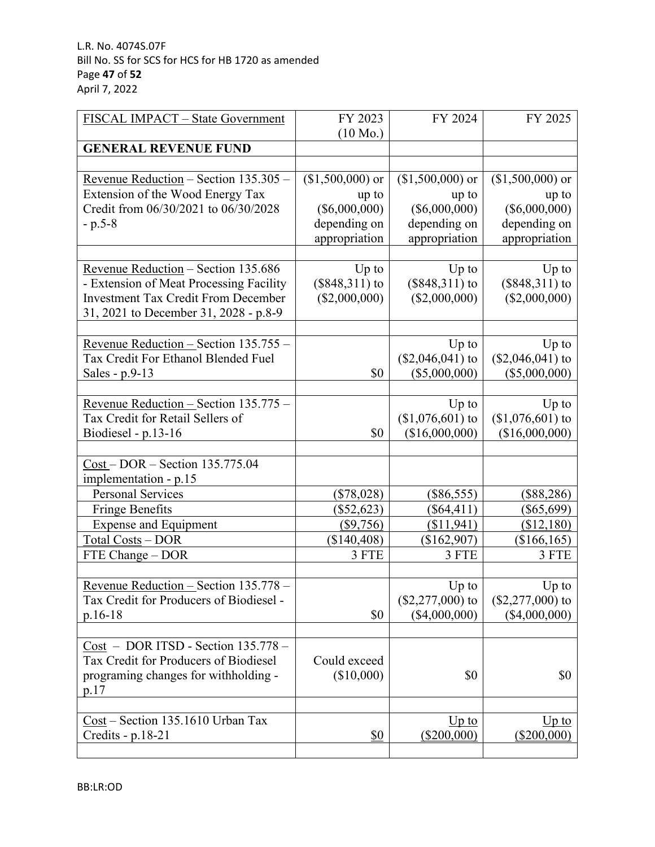| FISCAL IMPACT - State Government           | FY 2023            | FY 2024           | FY 2025           |
|--------------------------------------------|--------------------|-------------------|-------------------|
|                                            | $(10 \text{ Mo.})$ |                   |                   |
| <b>GENERAL REVENUE FUND</b>                |                    |                   |                   |
|                                            |                    |                   |                   |
| Revenue Reduction - Section 135.305 -      | $($1,500,000)$ or  | $($1,500,000)$ or | $($1,500,000)$ or |
| Extension of the Wood Energy Tax           | up to              | up to             | up to             |
| Credit from 06/30/2021 to 06/30/2028       | $(\$6,000,000)$    | $(\$6,000,000)$   | $(\$6,000,000)$   |
| $-p.5-8$                                   | depending on       | depending on      | depending on      |
|                                            | appropriation      | appropriation     | appropriation     |
|                                            |                    |                   |                   |
| Revenue Reduction - Section 135.686        | $Up$ to            | $Up$ to           | $Up$ to           |
| - Extension of Meat Processing Facility    | $(\$848,311)$ to   | $($848,311)$ to   | $($848,311)$ to   |
| <b>Investment Tax Credit From December</b> | $(\$2,000,000)$    | (\$2,000,000)     | $(\$2,000,000)$   |
| 31, 2021 to December 31, 2028 - p.8-9      |                    |                   |                   |
|                                            |                    |                   |                   |
| Revenue Reduction - Section 135.755 -      |                    | $Up$ to           | $Up$ to           |
| Tax Credit For Ethanol Blended Fuel        |                    | $($2,046,041)$ to | $($2,046,041)$ to |
| Sales - p.9-13                             | \$0                | $(\$5,000,000)$   | $(\$5,000,000)$   |
|                                            |                    |                   |                   |
| Revenue Reduction - Section 135.775 -      |                    | $Up$ to           | $Up$ to           |
| Tax Credit for Retail Sellers of           |                    | $($1,076,601)$ to | $($1,076,601)$ to |
| Biodiesel - p.13-16                        | \$0                | (\$16,000,000)    | (\$16,000,000)    |
|                                            |                    |                   |                   |
| $Cost - DOR - Section 135.775.04$          |                    |                   |                   |
| implementation - p.15                      |                    |                   |                   |
| <b>Personal Services</b>                   | (\$78,028)         | $(\$86,555)$      | $(\$88,286)$      |
| <b>Fringe Benefits</b>                     | $(\$52,623)$       | $(\$64,411)$      | $(\$65,699)$      |
| <b>Expense and Equipment</b>               | $(\$9,756)$        | (\$11,941)        | (\$12,180)        |
| Total Costs - DOR                          | (\$140,408)        | $(\$162,907)$     | $(\$166, 165)$    |
| FTE Change - DOR                           | 3 FTE              | 3 FTE             | 3 FTE             |
|                                            |                    |                   |                   |
| Revenue Reduction - Section 135.778 -      |                    | Up to             | $Up$ to           |
| Tax Credit for Producers of Biodiesel -    |                    | $($2,277,000)$ to | $($2,277,000)$ to |
| $p.16-18$                                  | \$0                | (\$4,000,000)     | $(\$4,000,000)$   |
|                                            |                    |                   |                   |
| $Cost - DOR ITSD - Section 135.778 -$      |                    |                   |                   |
| Tax Credit for Producers of Biodiesel      | Could exceed       |                   |                   |
| programing changes for withholding -       | (\$10,000)         | \$0               | \$0               |
| p.17                                       |                    |                   |                   |
|                                            |                    |                   |                   |
| Cost - Section 135.1610 Urban Tax          |                    | $Up$ to           | $Up$ to           |
| Credits - p.18-21                          | \$0                | $(\$200,000)$     | $(\$200,000)$     |
|                                            |                    |                   |                   |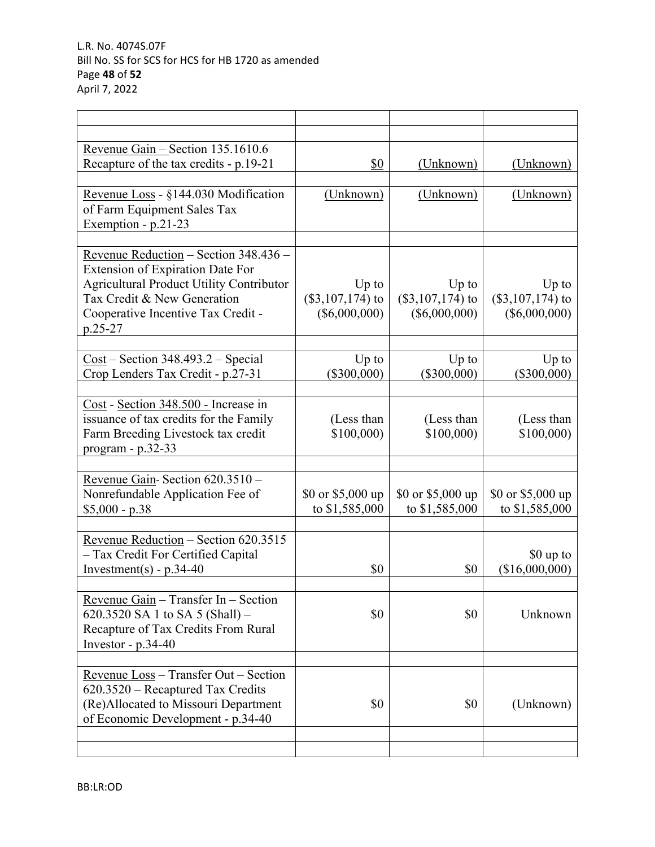| Revenue Gain - Section 135.1610.6<br>Recapture of the tax credits - p.19-21                                                                                                                                    | \$0                                              | (Unknown)                                        | (Unknown)                                        |
|----------------------------------------------------------------------------------------------------------------------------------------------------------------------------------------------------------------|--------------------------------------------------|--------------------------------------------------|--------------------------------------------------|
| Revenue Loss - §144.030 Modification<br>of Farm Equipment Sales Tax<br>Exemption - p.21-23                                                                                                                     | (Unknown)                                        | (Unknown)                                        | (Unknown)                                        |
| Revenue Reduction - Section 348.436 -<br>Extension of Expiration Date For<br><b>Agricultural Product Utility Contributor</b><br>Tax Credit & New Generation<br>Cooperative Incentive Tax Credit -<br>$p.25-27$ | $Up$ to<br>$(\$3,107,174)$ to<br>$(\$6,000,000)$ | $Up$ to<br>$(\$3,107,174)$ to<br>$(\$6,000,000)$ | $Up$ to<br>$(\$3,107,174)$ to<br>$(\$6,000,000)$ |
| $Cost - Section 348.493.2 - Special$<br>Crop Lenders Tax Credit - p.27-31                                                                                                                                      | $Up$ to<br>$(\$300,000)$                         | $Up$ to<br>$(\$300,000)$                         | $Up$ to<br>$(\$300,000)$                         |
| Cost - Section 348.500 - Increase in<br>issuance of tax credits for the Family<br>Farm Breeding Livestock tax credit<br>$program - p.32-33$                                                                    | (Less than<br>\$100,000                          | (Less than<br>\$100,000                          | (Less than<br>\$100,000)                         |
| Revenue Gain-Section 620.3510 -<br>Nonrefundable Application Fee of<br>$$5,000 - p.38$                                                                                                                         | \$0 or $$5,000$ up<br>to \$1,585,000             | \$0 or \$5,000 up<br>to \$1,585,000              | \$0 or \$5,000 up<br>to \$1,585,000              |
| Revenue Reduction - Section 620.3515<br>- Tax Credit For Certified Capital<br>Investment(s) - $p.34-40$                                                                                                        | \$0                                              | \$0                                              | \$0 up to<br>(\$16,000,000)                      |
| Revenue Gain $-$ Transfer In $-$ Section<br>620.3520 SA 1 to SA 5 (Shall) –<br>Recapture of Tax Credits From Rural<br>Investor - $p.34-40$                                                                     | \$0                                              | \$0                                              | Unknown                                          |
| Revenue Loss - Transfer Out - Section<br>620.3520 – Recaptured Tax Credits<br>(Re)Allocated to Missouri Department<br>of Economic Development - p.34-40                                                        | \$0                                              | \$0                                              | (Unknown)                                        |
|                                                                                                                                                                                                                |                                                  |                                                  |                                                  |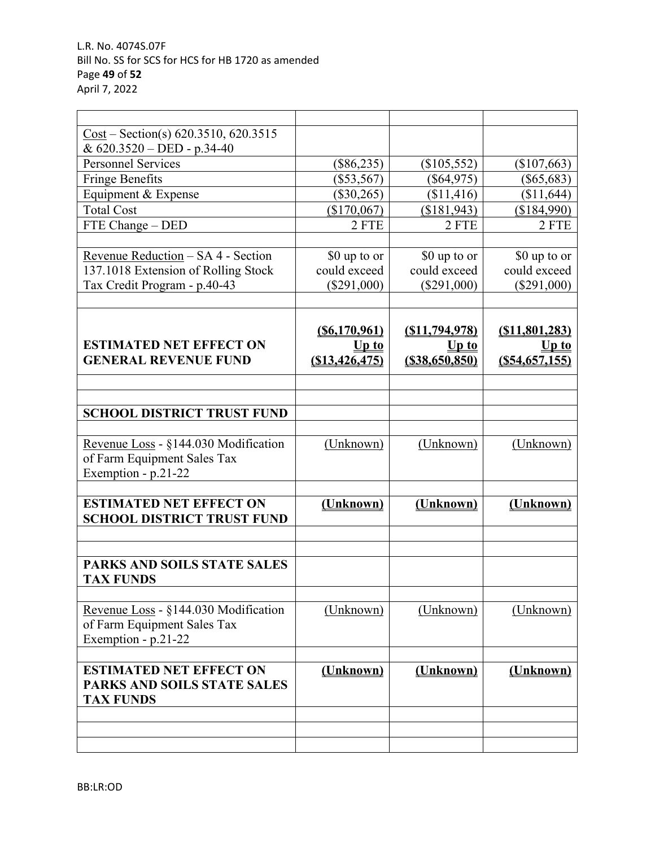| $Cost - Section(s) 620.3510, 620.3515$ |                 |                   |                 |
|----------------------------------------|-----------------|-------------------|-----------------|
| & 620.3520 - DED - p.34-40             |                 |                   |                 |
| <b>Personnel Services</b>              | $(\$86,235)$    | $(\$105,552)$     | $(\$107,663)$   |
| <b>Fringe Benefits</b>                 | $(\$53,567)$    | $(\$64,975)$      | $(\$65,683)$    |
| Equipment & Expense                    | $(\$30,265)$    | (\$11,416)        | (\$11,644)      |
| <b>Total Cost</b>                      | (\$170,067)     | (\$181,943)       | (\$184,990)     |
| FTE Change - DED                       | 2 FTE           | 2 FTE             | 2 FTE           |
|                                        |                 |                   |                 |
| Revenue Reduction - SA 4 - Section     | \$0 up to or    | \$0 up to or      | \$0 up to or    |
| 137.1018 Extension of Rolling Stock    | could exceed    | could exceed      | could exceed    |
| Tax Credit Program - p.40-43           | $(\$291,000)$   | $(\$291,000)$     | $(\$291,000)$   |
|                                        |                 |                   |                 |
|                                        |                 |                   |                 |
|                                        | (S6, 170, 961)  | (S11, 794, 978)   | (S11, 801, 283) |
| <b>ESTIMATED NET EFFECT ON</b>         | $Up$ to         | $Up$ to           | $Up$ to         |
| <b>GENERAL REVENUE FUND</b>            | (S13, 426, 475) | $($ \$38,650,850) | (S54, 657, 155) |
|                                        |                 |                   |                 |
|                                        |                 |                   |                 |
| <b>SCHOOL DISTRICT TRUST FUND</b>      |                 |                   |                 |
|                                        |                 |                   |                 |
| Revenue Loss - §144.030 Modification   | (Unknown)       | (Unknown)         | (Unknown)       |
| of Farm Equipment Sales Tax            |                 |                   |                 |
| Exemption - p.21-22                    |                 |                   |                 |
|                                        |                 |                   |                 |
| <b>ESTIMATED NET EFFECT ON</b>         | (Unknown)       | (Unknown)         | (Unknown)       |
| <b>SCHOOL DISTRICT TRUST FUND</b>      |                 |                   |                 |
|                                        |                 |                   |                 |
|                                        |                 |                   |                 |
| <b>PARKS AND SOILS STATE SALES</b>     |                 |                   |                 |
| <b>TAX FUNDS</b>                       |                 |                   |                 |
|                                        |                 |                   |                 |
| Revenue Loss - §144.030 Modification   | (Unknown)       | (Unknown)         | (Unknown)       |
| of Farm Equipment Sales Tax            |                 |                   |                 |
| Exemption - $p.21-22$                  |                 |                   |                 |
|                                        |                 |                   |                 |
| <b>ESTIMATED NET EFFECT ON</b>         | (Unknown)       | (Unknown)         | (Unknown)       |
| <b>PARKS AND SOILS STATE SALES</b>     |                 |                   |                 |
| <b>TAX FUNDS</b>                       |                 |                   |                 |
|                                        |                 |                   |                 |
|                                        |                 |                   |                 |
|                                        |                 |                   |                 |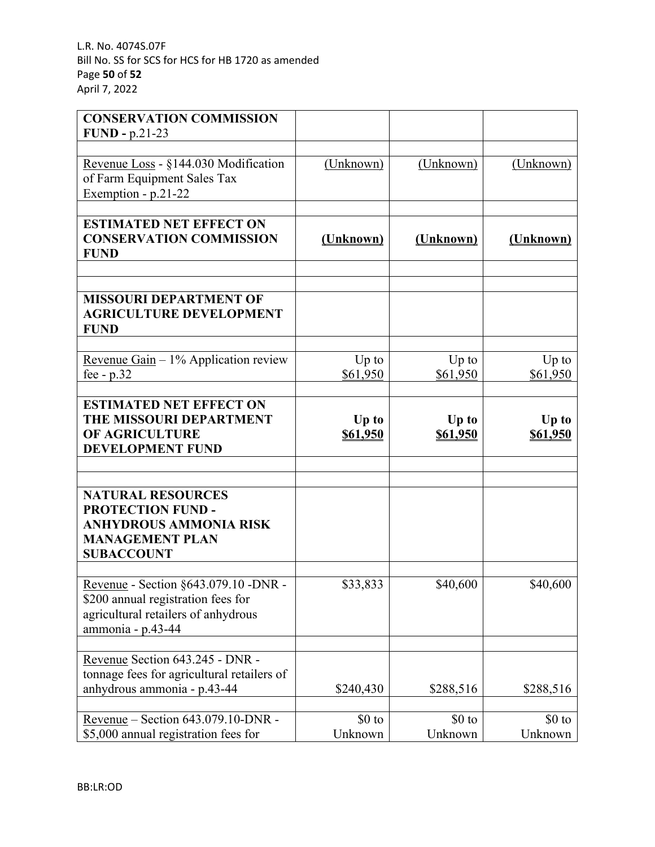| <b>CONSERVATION COMMISSION</b>                                                                                                         |                     |                     |                            |
|----------------------------------------------------------------------------------------------------------------------------------------|---------------------|---------------------|----------------------------|
| $FUND - p.21-23$                                                                                                                       |                     |                     |                            |
| Revenue Loss - §144.030 Modification<br>of Farm Equipment Sales Tax<br>Exemption - p.21-22                                             | (Unknown)           | (Unknown)           | (Unknown)                  |
| <b>ESTIMATED NET EFFECT ON</b><br><b>CONSERVATION COMMISSION</b><br><b>FUND</b>                                                        | (Unknown)           | (Unknown)           | (Unknown)                  |
| <b>MISSOURI DEPARTMENT OF</b><br><b>AGRICULTURE DEVELOPMENT</b><br><b>FUND</b>                                                         |                     |                     |                            |
| Revenue Gain $-1\%$ Application review<br>fee - $p.32$                                                                                 | $Up$ to<br>\$61,950 | $Up$ to<br>\$61,950 | $Up$ to<br><u>\$61,950</u> |
| <b>ESTIMATED NET EFFECT ON</b><br>THE MISSOURI DEPARTMENT<br>OF AGRICULTURE<br><b>DEVELOPMENT FUND</b>                                 | Up to<br>\$61,950   | Up to<br>\$61,950   | Up to<br><b>\$61,950</b>   |
| <b>NATURAL RESOURCES</b><br><b>PROTECTION FUND -</b><br><b>ANHYDROUS AMMONIA RISK</b><br><b>MANAGEMENT PLAN</b><br><b>SUBACCOUNT</b>   |                     |                     |                            |
| Revenue - Section §643.079.10 -DNR -<br>\$200 annual registration fees for<br>agricultural retailers of anhydrous<br>ammonia - p.43-44 | \$33,833            | \$40,600            | \$40,600                   |
| Revenue Section 643.245 - DNR -<br>tonnage fees for agricultural retailers of<br>anhydrous ammonia - p.43-44                           | \$240,430           | \$288,516           | \$288,516                  |
| Revenue – Section 643.079.10-DNR -<br>\$5,000 annual registration fees for                                                             | $$0$ to<br>Unknown  | $$0$ to<br>Unknown  | $$0$ to<br>Unknown         |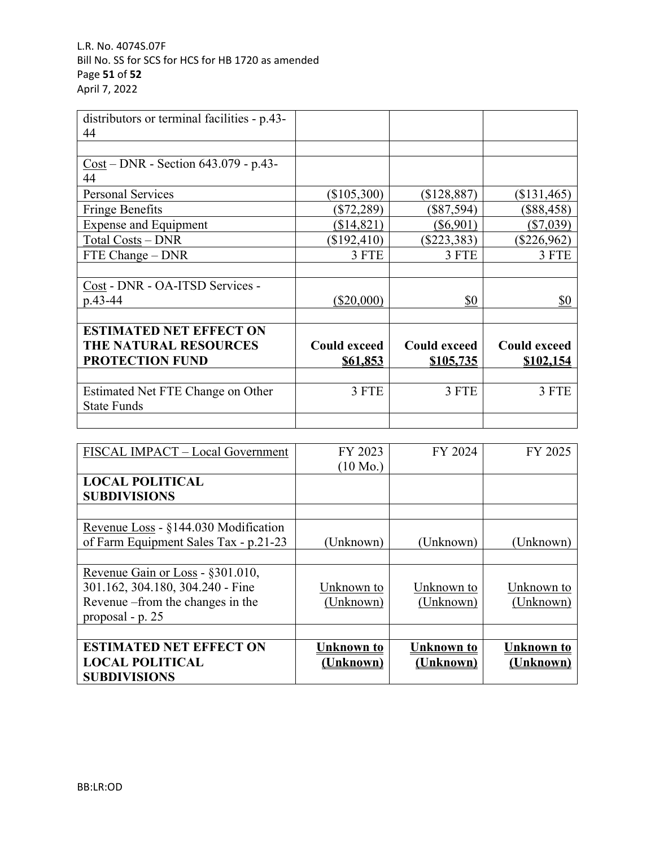| distributors or terminal facilities - p.43- |                     |                     |                     |
|---------------------------------------------|---------------------|---------------------|---------------------|
| 44                                          |                     |                     |                     |
|                                             |                     |                     |                     |
| $Cost - DNR - Section 643.079 - p.43-$      |                     |                     |                     |
| 44                                          |                     |                     |                     |
| <b>Personal Services</b>                    | \$105,300           | (\$128,887)         | $(\$131,465)$       |
| <b>Fringe Benefits</b>                      | (\$72,289)          | $(\$87,594)$        | $(\$88,458)$        |
| <b>Expense and Equipment</b>                | (\$14,821)          | $(\$6,901)$         | $(\$7,039)$         |
| <b>Total Costs - DNR</b>                    | $(\$192,410)$       | $(\$223,383)$       | $(\$226,962)$       |
| FTE Change – DNR                            | 3 FTE               | 3 FTE               | 3 FTE               |
|                                             |                     |                     |                     |
| Cost - DNR - OA-ITSD Services -             |                     |                     |                     |
| p.43-44                                     | $(\$20,000)$        | \$0                 | \$0                 |
|                                             |                     |                     |                     |
| <b>ESTIMATED NET EFFECT ON</b>              |                     |                     |                     |
| <b>THE NATURAL RESOURCES</b>                | <b>Could exceed</b> | <b>Could exceed</b> | <b>Could exceed</b> |
| <b>PROTECTION FUND</b>                      | \$61,853            | <u>\$105,735</u>    | \$102,154           |
|                                             |                     |                     |                     |
| Estimated Net FTE Change on Other           | 3 FTE               | 3 FTE               | 3 FTE               |
| <b>State Funds</b>                          |                     |                     |                     |
|                                             |                     |                     |                     |

| FISCAL IMPACT - Local Government                                                                                              | FY 2023<br>$(10 \text{ Mo.})$  | FY 2024                        | FY 2025                        |
|-------------------------------------------------------------------------------------------------------------------------------|--------------------------------|--------------------------------|--------------------------------|
| <b>LOCAL POLITICAL</b><br><b>SUBDIVISIONS</b>                                                                                 |                                |                                |                                |
| Revenue Loss - $\S$ 144.030 Modification<br>of Farm Equipment Sales Tax - p.21-23                                             | (Unknown)                      | (Unknown)                      | (Unknown)                      |
| Revenue Gain or Loss - §301.010,<br>301.162, 304.180, 304.240 - Fine<br>Revenue – from the changes in the<br>proposal - p. 25 | Unknown to<br>(Unknown)        | Unknown to<br>(Unknown)        | Unknown to<br>(Unknown)        |
| <b>ESTIMATED NET EFFECT ON</b><br><b>LOCAL POLITICAL</b><br><b>SUBDIVISIONS</b>                                               | <b>Unknown to</b><br>(Unknown) | <b>Unknown to</b><br>(Unknown) | <b>Unknown to</b><br>(Unknown) |